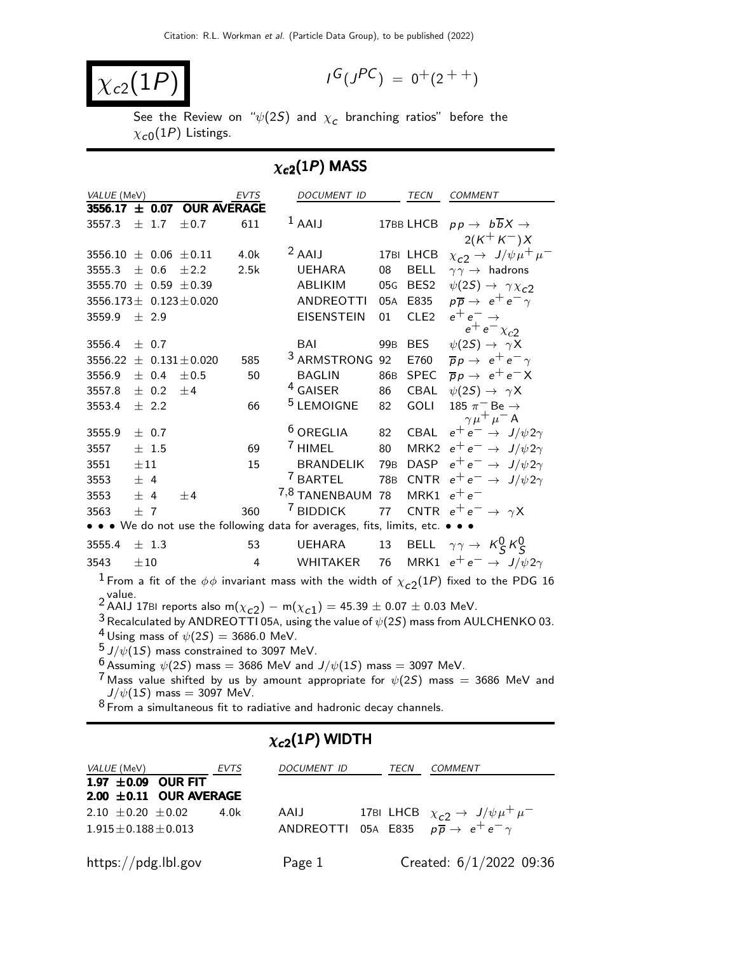$$
\overline{\chi_{c2}(1P)}
$$

$$
I^G(J^{PC}) = 0^+(2^{++})
$$

See the Review on " $\psi(2\mathcal{S})$  and  $\chi_{\bm{c}}$  branching ratios" before the  $\chi_{\rm c0}(1P)$  Listings.

#### $\chi_{c2}(1P)$  MASS

| VALUE (MeV)                    |          |           |                                | <b>EVTS</b>    | DOCUMENT ID                                                                                               |                 | <b>TECN</b>      | <b>COMMENT</b>                                                                                             |
|--------------------------------|----------|-----------|--------------------------------|----------------|-----------------------------------------------------------------------------------------------------------|-----------------|------------------|------------------------------------------------------------------------------------------------------------|
|                                |          |           | 3556.17 $\pm$ 0.07 OUR AVERAGE |                |                                                                                                           |                 |                  |                                                                                                            |
| 3557.3                         |          | $\pm$ 1.7 | $\pm 0.7$                      | 611            | $1$ AAIJ                                                                                                  |                 | 17BB LHCB        | $pp \rightarrow b\overline{b}X \rightarrow$                                                                |
|                                |          |           |                                |                |                                                                                                           |                 |                  | $2(K^+ K^-)X$                                                                                              |
| 3556.10 $\pm$ 0.06 $\pm$ 0.11  |          |           |                                | 4.0k           | $2$ AAIJ                                                                                                  |                 | 17BI LHCB        | $\chi_{c2} \rightarrow J/\psi \mu^+ \mu^-$                                                                 |
| 3555.3                         |          | ± 0.6     | $\pm 2.2$                      | 2.5k           | <b>UEHARA</b>                                                                                             | 08              | <b>BELL</b>      | $\gamma \gamma \rightarrow$ hadrons                                                                        |
| 3555.70 $\pm$ 0.59 $\pm$ 0.39  |          |           |                                |                | ABLIKIM                                                                                                   | 05G             | BES <sub>2</sub> | $\psi(2S) \rightarrow \gamma \chi_{c2}$                                                                    |
| $3556.173 \pm 0.123 \pm 0.020$ |          |           |                                |                | <b>ANDREOTTI</b>                                                                                          | 05A             | E835             | $p\overline{p} \rightarrow e^+e^- \gamma$                                                                  |
| 3559.9                         |          | $\pm$ 2.9 |                                |                | <b>EISENSTEIN</b>                                                                                         | 01              | CLE <sub>2</sub> | $e^+e^- \rightarrow$                                                                                       |
|                                |          |           |                                |                |                                                                                                           |                 |                  | $e^+e^- \chi_{c2}$                                                                                         |
| 3556.4                         |          | $\pm$ 0.7 |                                |                | BAI                                                                                                       | 99 <sub>B</sub> | <b>BES</b>       | $\psi(2S) \rightarrow \gamma X$                                                                            |
| 3556.22                        |          |           | $\pm 0.131 \pm 0.020$          | 585            | <sup>3</sup> ARMSTRONG                                                                                    | 92              | E760             | $\overline{p}p \rightarrow e^+e^- \gamma$                                                                  |
| 3556.9                         |          | ± 0.4     | ±0.5                           | 50             | <b>BAGLIN</b>                                                                                             | 86B             | <b>SPEC</b>      | $\overline{p}p \rightarrow e^+e^-X$                                                                        |
| 3557.8                         |          | $\pm$ 0.2 | ±4                             |                | <sup>4</sup> GAISER                                                                                       | 86              | CBAL             | $\psi(2S) \rightarrow \gamma X$                                                                            |
| 3553.4                         |          | $\pm$ 2.2 |                                | 66             | <sup>5</sup> LEMOIGNE                                                                                     | 82              | GOLI             | 185 $\pi^-$ Be $\rightarrow$                                                                               |
|                                |          |           |                                |                | <sup>6</sup> OREGLIA                                                                                      |                 |                  | $\gamma \mu^+ \mu^-$ A                                                                                     |
| 3555.9                         |          | ± 0.7     |                                |                |                                                                                                           |                 | 82 CBAL          | $e^+e^- \rightarrow J/\psi 2\gamma$                                                                        |
| 3557                           |          | $±$ 1.5   |                                | 69             | <sup>7</sup> HIMEL                                                                                        | 80              |                  | MRK2 $e^+e^- \rightarrow J/\psi 2\gamma$                                                                   |
| 3551                           | $\pm 11$ |           |                                | 15             | BRANDELIK                                                                                                 |                 |                  | 79B DASP $e^+e^- \rightarrow J/\psi 2\gamma$                                                               |
| 3553                           | ± 4      |           |                                |                |                                                                                                           |                 |                  | <sup>7</sup> BARTEL 78B CNTR $e^+e^- \rightarrow J/\psi 2\gamma$                                           |
| 3553                           | ± 4      |           | ±4                             |                | 7,8 TANENBAUM 78                                                                                          |                 | MRK1 $e^+e^-$    |                                                                                                            |
| 3563                           | $+7$     |           |                                | 360            | <sup>7</sup> BIDDICK                                                                                      | 77              |                  | CNTR $e^+e^- \rightarrow \gamma X$                                                                         |
|                                |          |           |                                |                | • • • We do not use the following data for averages, fits, limits, etc. • • •                             |                 |                  |                                                                                                            |
| 3555.4                         |          | $\pm$ 1.3 |                                | 53             | UEHARA                                                                                                    | 13              |                  | BELL $\gamma\gamma \rightarrow K_S^0 K_S^0$                                                                |
| 3543                           | $\pm 10$ |           |                                | $\overline{4}$ | WHITAKER                                                                                                  | 76              |                  | MRK1 $e^+e^- \rightarrow J/\psi 2\gamma$                                                                   |
|                                |          |           |                                |                |                                                                                                           |                 |                  | $^1$ From a fit of the $\phi\phi$ invariant mass with the width of $\chi_{\rm c2}(1P)$ fixed to the PDG 16 |
|                                |          |           |                                |                |                                                                                                           |                 |                  |                                                                                                            |
|                                |          |           |                                |                | 2 value.<br>2 AAIJ 17BI reports also m( $\chi_{c2})$ – m( $\chi_{c1})$ = 45.39 $\pm$ 0.07 $\pm$ 0.03 MeV. |                 |                  |                                                                                                            |

 $^3$  Recalculated by ANDREOTTI 05A, using the value of  $\psi(2S)$  mass from AULCHENKO 03.

 $^4$  Using mass of  $\psi(2S) = 3686.0$  MeV.

 $5 \text{ J}/\psi(15)$  mass constrained to 3097 MeV.

 $^6$  Assuming  $\psi(2S)$  mass = 3686 MeV and  $J/\psi(1S)$  mass = 3097 MeV.

 $7$  Mass value shifted by us by amount appropriate for  $\psi(2S)$  mass = 3686 MeV and  $J/\psi(1S)$  mass  $= 3097$  MeV.

 $8$  From a simultaneous fit to radiative and hadronic decay channels.

# $\chi_{c2}(1P)$  WIDTH

| <i>VALUE</i> (MeV)                                      | EVTS | <b>DOCUMENT ID</b> | TECN | COMMENT                                                                                                             |
|---------------------------------------------------------|------|--------------------|------|---------------------------------------------------------------------------------------------------------------------|
| 1.97 $\pm$ 0.09 OUR FIT<br>$2.00 \pm 0.11$ OUR AVERAGE  |      |                    |      |                                                                                                                     |
| $2.10 \pm 0.20 \pm 0.02$<br>$1.915 \pm 0.188 \pm 0.013$ | 4.0k | AAIJ               |      | 17BI LHCB $\chi_{c2} \rightarrow J/\psi \mu^+ \mu^-$<br>ANDREOTTI 05A E835 $p\overline{p} \rightarrow e^+e^-\gamma$ |
| https://pdg.lbl.gov                                     |      | Page 1             |      | Created: 6/1/2022 09:36                                                                                             |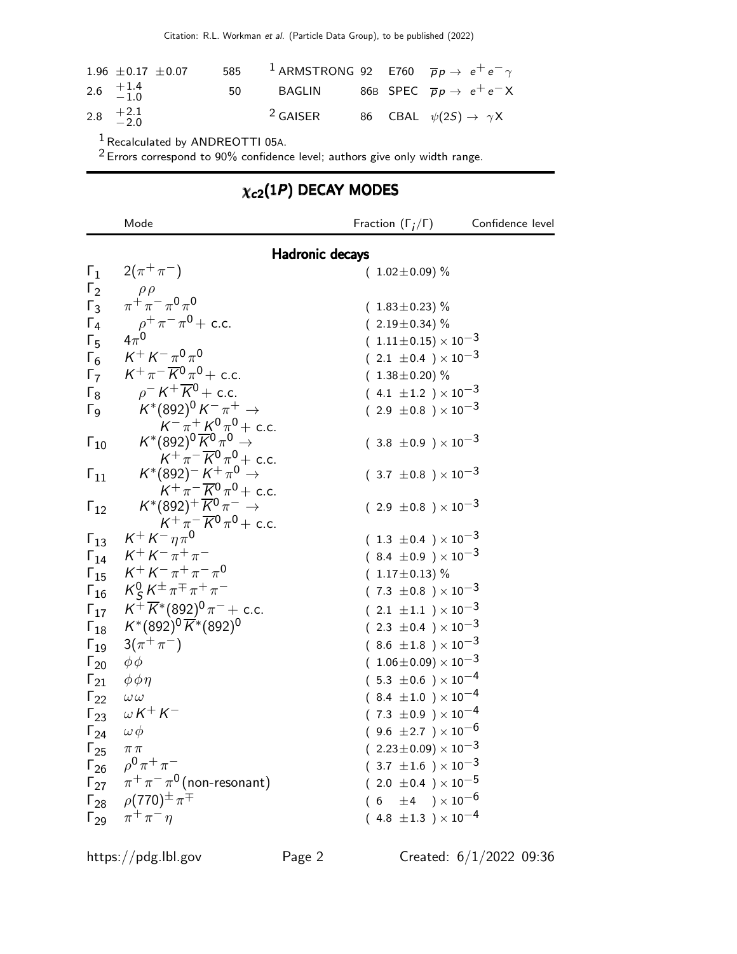| 1.96 $\pm$ 0.17 $\pm$ 0.07                       |      | 585 <sup>1</sup> ARMSTRONG 92 E760 $\overline{p}p \rightarrow e^+e^- \gamma$ |  |                                                     |
|--------------------------------------------------|------|------------------------------------------------------------------------------|--|-----------------------------------------------------|
| 2.6 $\begin{array}{cc} +1.4 \\ -1.0 \end{array}$ | 50 — |                                                                              |  | BAGLIN 86B SPEC $\overline{p}p \rightarrow e^+e^-X$ |
| 2.8 $+2.1$<br>-2.0                               |      | $2$ GAISER                                                                   |  | 86 CBAL $\psi(2S) \rightarrow \gamma X$             |

 $1$  Recalculated by ANDREOTTI 05A.

 $2$  Errors correspond to 90% confidence level; authors give only width range.

# $\chi_{c2}(1P)$  DECAY MODES

|                        | Mode                                                                                    | Fraction $(\Gamma_i/\Gamma)$     | Confidence level |
|------------------------|-----------------------------------------------------------------------------------------|----------------------------------|------------------|
|                        |                                                                                         | <b>Hadronic decays</b>           |                  |
| $\mathsf{r}_1$         | $2(\pi^{+}\pi^{-})$                                                                     | $(1.02 \pm 0.09)$ %              |                  |
| $\Gamma_2$             | $\rho \rho \over \pi^+ \pi^- \pi^0 \pi^0$                                               |                                  |                  |
| $\Gamma_3$             |                                                                                         | $(1.83 \pm 0.23)$ %              |                  |
| $\Gamma_4$             | $\rho^+ \pi^- \pi^0$ + c.c.                                                             | $(2.19 \pm 0.34)$ %              |                  |
| $\Gamma_{5}$           | $4\pi^0$                                                                                | $(1.11 \pm 0.15) \times 10^{-3}$ |                  |
| $\Gamma_6$             | $K^+ K^- \pi^0 \pi^0$                                                                   | $(2.1 \pm 0.4) \times 10^{-3}$   |                  |
| $\Gamma_7$             | $K^+\pi^-\overline{K^0}\pi^0 +$ c.c.                                                    | $(1.38 \pm 0.20)\%$              |                  |
| $\Gamma_8$             | $\rho$ <sup>-</sup> $K^+\overline{K}{}^0$ + c.c.                                        | $(4.1 \pm 1.2) \times 10^{-3}$   |                  |
| $\Gamma_{\mathsf{Q}}$  | $K^*(892)^0 K^- \pi^+ \to$                                                              | $(2.9 \pm 0.8) \times 10^{-3}$   |                  |
|                        | $K^+\pi^+\pi^0\pi^0 +$ c.c.<br>$K^*(892)^0\overline{K^0}\pi^0 \to$                      |                                  |                  |
| $\Gamma_{10}$          |                                                                                         | $(3.8 \pm 0.9) \times 10^{-3}$   |                  |
|                        | $K^+\pi^-\overline{K}{}^0\pi^0$ + c.c.<br>$K^*(892)^-\overline{K}{}^+\pi^0 \rightarrow$ | $(3.7 \pm 0.8) \times 10^{-3}$   |                  |
| $\mathsf{\Gamma}_{11}$ | $K^{+}\pi^{-}\overline{K}^{0}\pi^{0}+$ c.c.                                             |                                  |                  |
| $\Gamma_{12}$          | $K^*(892)^+\overline{K}^0\pi^- \rightarrow$                                             | $(2.9 \pm 0.8) \times 10^{-3}$   |                  |
|                        | $K^+ \pi^- \overline{K}^0 \pi^0$ + c.c.<br>$K^+ K^- \eta \pi^0$                         |                                  |                  |
| $\Gamma_{13}$          |                                                                                         | $(1.3 \pm 0.4) \times 10^{-3}$   |                  |
| $\Gamma_{14}$          | $K^+ K^- \pi^+ \pi^-$                                                                   | $(8.4 \pm 0.9) \times 10^{-3}$   |                  |
|                        | $\Gamma_{15}$ $K^+ K^- \pi^+ \pi^- \pi^0$                                               | $(1.17 \pm 0.13)$ %              |                  |
|                        | $\Gamma_{16}$ $K_S^0 K^{\pm} \pi^{\mp} \pi^+ \pi^-$                                     | $(7.3 \pm 0.8) \times 10^{-3}$   |                  |
|                        | $\Gamma_{17}$ $K^{\pm} \overline{K}$ * (892) <sup>0</sup> $\pi^-$ + c.c.                | $(2.1 \pm 1.1) \times 10^{-3}$   |                  |
| $\mathsf{\Gamma}_{18}$ | $\mathcal{K}^*(892)^0 \, \overline{\mathcal{K}}^*(892)^0$                               | $(2.3 \pm 0.4) \times 10^{-3}$   |                  |
| $\Gamma_{19}$          | $3(\pi^{+}\pi^{-})$                                                                     | $(8.6 \pm 1.8) \times 10^{-3}$   |                  |
| $\Gamma_{20}$          | $\phi\phi$                                                                              | $(1.06\pm0.09)\times10^{-3}$     |                  |
| $\mathsf{\Gamma}_{21}$ | $\phi \phi \eta$                                                                        | $(5.3 \pm 0.6) \times 10^{-4}$   |                  |
| $\Gamma_{22}$          | $\omega\,\omega$                                                                        | $(8.4 \pm 1.0) \times 10^{-4}$   |                  |
| $\Gamma_{23}$          | $\omega K^+ K^-$                                                                        | $(7.3 \pm 0.9) \times 10^{-4}$   |                  |
| $\Gamma_{24}$          | $\omega \phi$                                                                           | $(9.6 \pm 2.7) \times 10^{-6}$   |                  |
| $\Gamma_{25}$          | $\pi\pi$                                                                                | $(2.23 \pm 0.09) \times 10^{-3}$ |                  |
|                        | $\Gamma_{26}$ $\rho^0 \pi^+ \pi^-$                                                      | $(3.7 \pm 1.6) \times 10^{-3}$   |                  |
|                        | $\Gamma_{27}$ $\pi^+\pi^-\pi^0$ (non-resonant)                                          | $(2.0 \pm 0.4) \times 10^{-5}$   |                  |
|                        | $\Gamma_{28}$ $\rho(770)^{\pm} \pi^{\mp}$                                               | $(6 \pm 4) \times 10^{-6}$       |                  |
|                        | $\Gamma_{29}$ $\pi^{+}\pi^{-}\eta$                                                      | $(4.8 \pm 1.3) \times 10^{-4}$   |                  |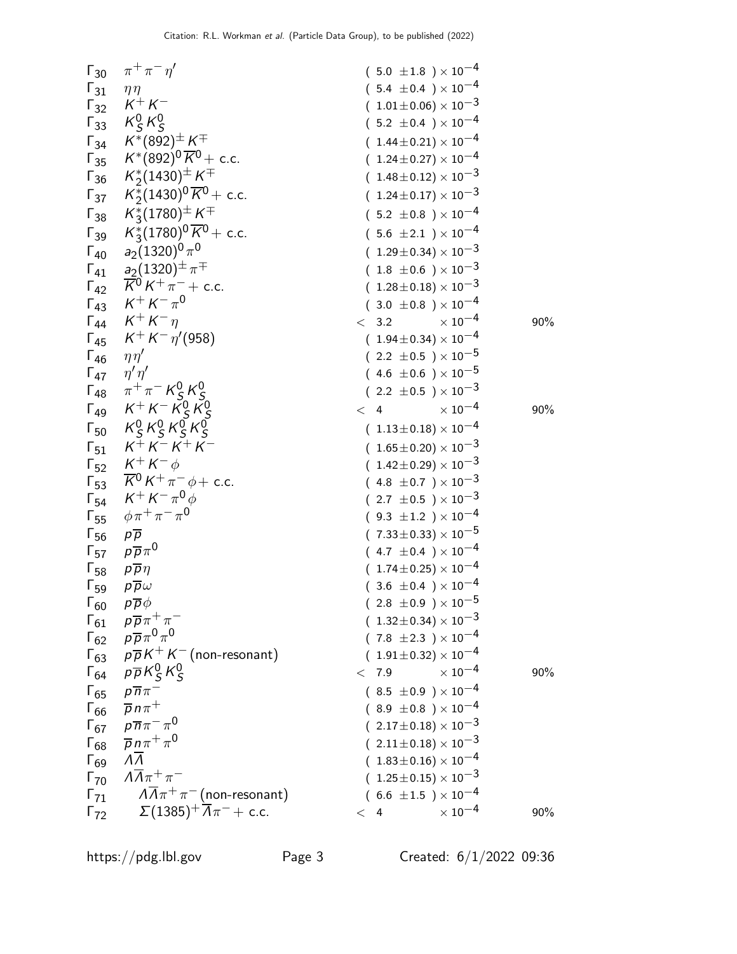| $\Gamma_{30}$                 | $\pi^+\pi^-\eta^{\prime}$                                                                                 | $(5.0 \pm 1.8) \times 10^{-4}$     |     |
|-------------------------------|-----------------------------------------------------------------------------------------------------------|------------------------------------|-----|
| $\Gamma_{31}$                 | $\eta\eta$                                                                                                | $(5.4 \pm 0.4) \times 10^{-4}$     |     |
| $\mathsf{\Gamma}_{32}$        | $K^+ K^-$                                                                                                 | $(1.01 \pm 0.06) \times 10^{-3}$   |     |
|                               | $\Gamma_{33}$ $K_S^0 K_S^0$                                                                               | $(5.2 \pm 0.4) \times 10^{-4}$     |     |
|                               | $\Gamma_{34}$ $K^*(892)^{\pm} K^{\mp}$                                                                    | $(1.44 \pm 0.21) \times 10^{-4}$   |     |
|                               | $\Gamma_{35}$ $K^*(892)^0 \overline{K}^0$ + c.c.                                                          | $(1.24 \pm 0.27) \times 10^{-4}$   |     |
|                               | $\mathsf{F}_{36}$ $K_2^*(1430)^\pm K^\mp$                                                                 | $(1.48 \pm 0.12) \times 10^{-3}$   |     |
| $\Gamma_{37}$                 | $\mathcal{K}^{\ast}_{2}(1430)^{0} \, \overline{\mathcal{K}}{}^{0} +$ c.c.                                 | $(1.24 \pm 0.17) \times 10^{-3}$   |     |
|                               | $\Gamma_{38}$ $K_3^*(1780)^\pm K^\mp$                                                                     | $(5.2 \pm 0.8) \times 10^{-4}$     |     |
|                               | $\Gamma_{39}$ $K_3^*(1780)^0 \overline{K}^0$ + c.c.                                                       | $(5.6 \pm 2.1) \times 10^{-4}$     |     |
|                               | $\Gamma_{40}$ $a_2(1320)^0 \pi^0$                                                                         | $(1.29 \pm 0.34) \times 10^{-3}$   |     |
|                               | $\Gamma_{41}$ $\frac{a_2(1320)^{\pm} \pi^{\mp}}{a_1a_2}$                                                  | $(1.8 \pm 0.6) \times 10^{-3}$     |     |
|                               | $\Gamma_{42}$ $\overline{K}^0 K^+ \pi^-$ + c.c.                                                           | $(1.28 \pm 0.18) \times 10^{-3}$   |     |
|                               | $\Gamma_{43}$ $K^+ K^- \pi^0$                                                                             | $(3.0 \pm 0.8) \times 10^{-4}$     |     |
|                               | $\Gamma_{44}$ $K^+ K^- \eta$                                                                              | $\times$ 10 <sup>-4</sup><br>< 3.2 | 90% |
|                               | $\Gamma_{45}$ $K^+ K^- \eta' (958)$                                                                       | $(1.94 \pm 0.34) \times 10^{-4}$   |     |
| $\Gamma_{46}$                 | $\eta\eta'$                                                                                               | $(2.2 \pm 0.5) \times 10^{-5}$     |     |
| $\Gamma_{47}$                 | $\eta' \eta'$                                                                                             | $(4.6 \pm 0.6) \times 10^{-5}$     |     |
|                               |                                                                                                           | $(2.2 \pm 0.5) \times 10^{-3}$     |     |
|                               | $\begin{array}{cc} \Gamma_{48} & \pi^+\pi^- K^0_S K^0_S \\ \Gamma_{49} & K^+ K^- K^0_S K^0_S \end{array}$ | $\times$ 10 <sup>-4</sup><br>< 4   | 90% |
|                               | $\Gamma_{50}$ $K^0_S K^0_S K^0_S K^0_S$                                                                   | $(1.13\pm0.18)\times10^{-4}$       |     |
|                               | $\Gamma_{51}$ $K^+ K^- K^+ K^-$                                                                           | $(1.65 \pm 0.20) \times 10^{-3}$   |     |
|                               | $\Gamma_{52}$ $K^+K^-\phi$                                                                                | $(1.42 \pm 0.29) \times 10^{-3}$   |     |
|                               | $\int_{53}^{52} \overline{K^0} K^+ \pi^- \phi + \text{c.c.}$                                              | $(4.8 \pm 0.7) \times 10^{-3}$     |     |
|                               | $\Gamma_{54}$ $K^+ K^- \pi^0 \phi$                                                                        | $(2.7 \pm 0.5) \times 10^{-3}$     |     |
| $\mathsf{\Gamma}_{55}$        | $\phi \pi^+ \pi^- \pi^0$                                                                                  | $(9.3 \pm 1.2) \times 10^{-4}$     |     |
| $\Gamma_{56}$ $p\overline{p}$ |                                                                                                           | $(7.33 \pm 0.33) \times 10^{-5}$   |     |
|                               | $\Gamma_{57}$ $p\overline{p}\pi^0$                                                                        | $(4.7 \pm 0.4) \times 10^{-4}$     |     |
| $\Gamma_{58}$                 | $p\overline{p}\eta$                                                                                       | $(1.74 \pm 0.25) \times 10^{-4}$   |     |
| $\Gamma_{59}$                 | $p\overline{p}\omega$                                                                                     | $(3.6 \pm 0.4) \times 10^{-4}$     |     |
| $\Gamma_{60}$                 | $p\overline{p}\phi$                                                                                       | $(2.8 \pm 0.9) \times 10^{-5}$     |     |
| $\Gamma_{61}$                 | $p\overline{p}\pi^+\pi^-$                                                                                 | $(1.32 \pm 0.34) \times 10^{-3}$   |     |
| $\Gamma_{62}$                 | $\rho\overline{\rho}\pi^0\pi^0$                                                                           | $(7.8 \pm 2.3) \times 10^{-4}$     |     |
|                               | $\Gamma_{63}$ $p\overline{p}K^{+}K^{-}$ (non-resonant)                                                    | $(1.91 \pm 0.32) \times 10^{-4}$   |     |
|                               | $\Gamma_{64}$ $\rho \overline{\rho} K_S^0 K_S^0$                                                          | $\times$ $10^{-4}$<br>< 7.9        | 90% |
| $\Gamma_{65}$                 | $p\overline{n}\pi^-$                                                                                      | $(8.5 \pm 0.9) \times 10^{-4}$     |     |
| $\Gamma_{66}$                 | $\overline{p} n \pi^+$                                                                                    | $(8.9 \pm 0.8) \times 10^{-4}$     |     |
| $\Gamma_{67}$                 | $\rho \overline{n} \pi^- \pi^0$                                                                           | $(2.17\pm0.18)\times10^{-3}$       |     |
| $\Gamma_{68}$                 | $\overline{p}$ n $\pi^+\pi^0$                                                                             | $(2.11 \pm 0.18) \times 10^{-3}$   |     |
| $\Gamma_{69}$                 | $\Lambda \overline{\Lambda}$                                                                              | $(1.83 \pm 0.16) \times 10^{-4}$   |     |
| $\Gamma_{70}$                 | $\Lambda \overline{\Lambda} \pi^+ \pi^-$                                                                  | $(1.25 \pm 0.15) \times 10^{-3}$   |     |
| $\Gamma_{71}$                 | $\sqrt{A}\pi^+\pi^-$ (non-resonant)                                                                       | $(6.6 \pm 1.5) \times 10^{-4}$     |     |
| $\Gamma_{72}$                 | $\Sigma(1385)^{+}\overline{\Lambda}\pi^{-}$ + c.c.                                                        | $\times$ 10 <sup>-4</sup><br>< 4   | 90% |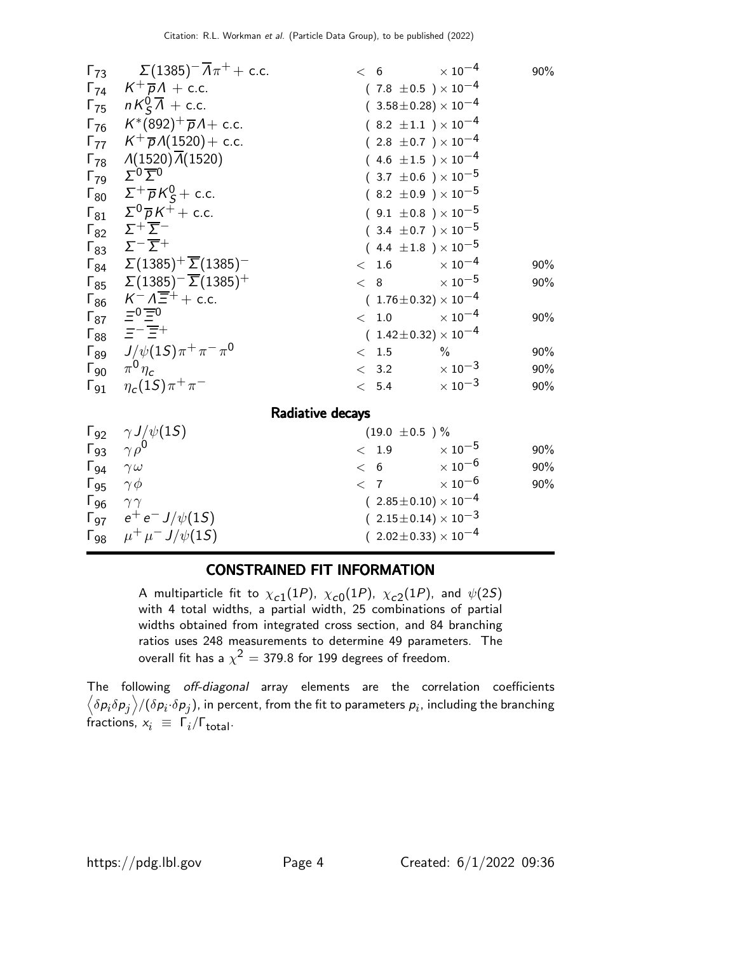| $\Gamma_{73}$ | $\Sigma(1385)^{-}\overline{A}\pi^{+}+$ c.c.                    | < 6                              | $\times$ $10^{-4}$<br>90%        |
|---------------|----------------------------------------------------------------|----------------------------------|----------------------------------|
|               | $\Gamma_{74}$ $K^+\overline{p}A$ + c.c.                        | $(7.8 \pm 0.5) \times 10^{-4}$   |                                  |
|               | $\Gamma_{75}$ $nK^0_S\overline{\Lambda}$ + c.c.                | $(3.58 \pm 0.28) \times 10^{-4}$ |                                  |
|               | $\Gamma_{76}$ $K^*(892)^+\overline{p}A + \text{c.c.}$          | $(8.2 \pm 1.1) \times 10^{-4}$   |                                  |
|               | $\Gamma_{77}$ $K^{+}\overline{p}A(1520) + c.c.$                | $(2.8 \pm 0.7) \times 10^{-4}$   |                                  |
| $\Gamma_{78}$ | $\Lambda(1520)\overline{\Lambda}(1520)$                        | $(4.6 \pm 1.5) \times 10^{-4}$   |                                  |
| $\Gamma_{79}$ | $\Sigma^{0}$ $\Sigma^{0}$                                      | $(.3.7 \pm 0.6) \times 10^{-5}$  |                                  |
| $\Gamma_{80}$ | $\Sigma^+ \overline{\rho} K^0_S$ + c.c.                        | $(8.2 \pm 0.9) \times 10^{-5}$   |                                  |
|               | $\Gamma_{81}$ $\Sigma^0 \overline{p} K^+ + c.c.$               | $(9.1 \pm 0.8) \times 10^{-5}$   |                                  |
|               | $\Gamma_{82}$ $\Sigma^+\overline{\Sigma}^-$                    | $(.3.4 \pm 0.7) \times 10^{-5}$  |                                  |
| $\Gamma_{83}$ | $\Sigma^-\overline{\Sigma}{}^+$                                | $(4.4 \pm 1.8) \times 10^{-5}$   |                                  |
|               | $\Gamma_{84}$ $\Sigma(1385)^{+} \overline{\Sigma}(1385)^{-}$   | < 1.6                            | $\times$ 10 <sup>-4</sup><br>90% |
|               | $\Gamma_{85}$ $\Sigma(1385)^{-}$ $\overline{\Sigma}(1385)^{+}$ | < 8                              | $\times$ 10 $^{-5}$<br>90%       |
|               | $\Gamma_{86}$ $K^- \Lambda \overline{\Xi}^+$ + c.c.            | $(1.76 \pm 0.32) \times 10^{-4}$ |                                  |
| $\Gamma_{87}$ | $\equiv 0 \equiv 0$                                            | $\rm <~1.0$                      | $\times$ 10 $^{-4}$<br>90%       |
|               | $\Gamma_{88}$ $\equiv$ $\equiv$ $\equiv$ $\equiv$ +            | $(1.42 \pm 0.32) \times 10^{-4}$ |                                  |
|               | $\Gamma_{89}$ $J/\psi(15)\pi^{+}\pi^{-}\pi^{0}$                | $\frac{0}{0}$<br>< 1.5           | 90%                              |
| $\Gamma_{90}$ | $\pi^0 \eta_c$                                                 | < 3.2                            | $\times$ 10 <sup>-3</sup><br>90% |
| $\Gamma_{91}$ | $\eta_c(1S)\pi^+\pi^-$                                         | < 5.4                            | $\times$ 10 <sup>-3</sup><br>90% |
|               |                                                                | Radiative decays                 |                                  |
|               | $\Gamma_{92}$ $\gamma J/\psi(15)$                              | $(19.0 \pm 0.5)$ %               |                                  |
| $\Gamma_{93}$ | $\gamma \rho^0$                                                | < 1.9                            | $\times$ 10 $^{-5}$<br>90%       |
| $\Gamma_{94}$ | $\gamma \omega$                                                | < 6                              | $\times$ 10 $^{-6}$<br>90%       |
| $\Gamma_{95}$ | $\gamma \phi$                                                  | $\langle 7$                      | $\times$ 10 $^{-6}$<br>90%       |
| $\Gamma_{96}$ | $\gamma\gamma$                                                 | $(2.85 \pm 0.10) \times 10^{-4}$ |                                  |
|               | $\Gamma_{97}$ $e^+e^- J/\psi(15)$                              | $(2.15\pm0.14)\times10^{-3}$     |                                  |
|               | $\Gamma_{98}$ $\mu^+ \mu^- J/\psi(15)$                         | $(2.02 \pm 0.33) \times 10^{-4}$ |                                  |

#### CONSTRAINED FIT INFORMATION

A multiparticle fit to  $\chi_{c1}(1P)$ ,  $\chi_{c0}(1P)$ ,  $\chi_{c2}(1P)$ , and  $\psi(2S)$ with 4 total widths, a partial width, 25 combinations of partial widths obtained from integrated cross section, and 84 branching ratios uses 248 measurements to determine 49 parameters. The overall fit has a  $\chi^2 =$  379.8 for 199 degrees of freedom.

The following off-diagonal array elements are the correlation coefficients  $\left<\delta p_i\delta p_j\right>$ /( $\delta p_i\!\cdot\!\delta p_j$ ), in percent, from the fit to parameters  $p_i$ , including the branching fractions,  $x_i \equiv \Gamma_i / \Gamma_{\text{total}}$ .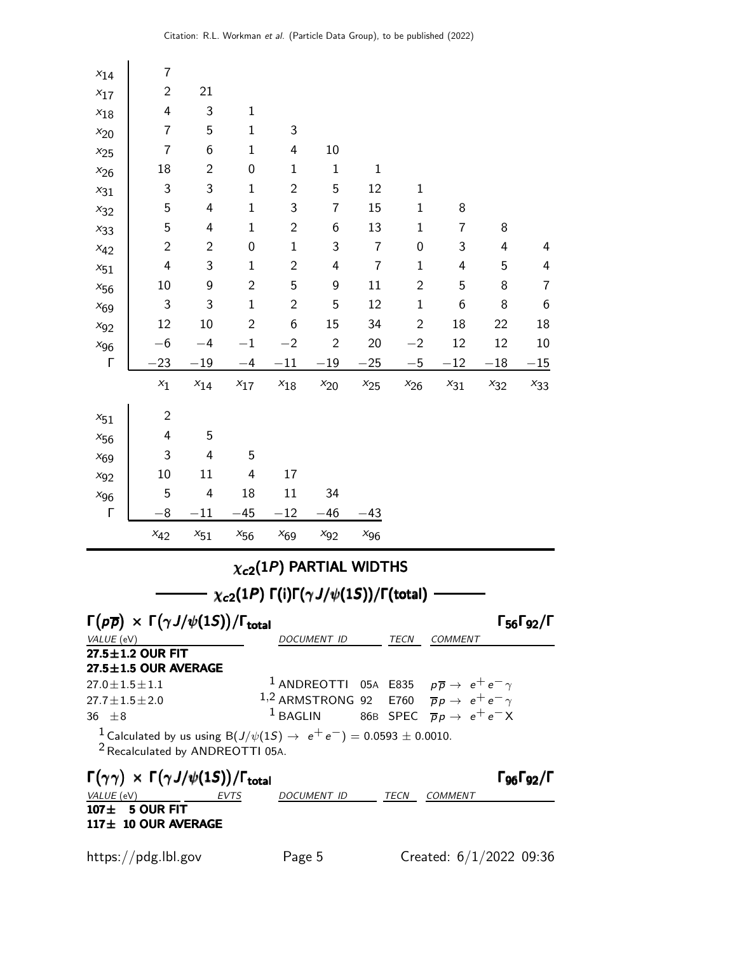| $x_{14}$                                     | 7                                                                                                                                  |                |                         |                |                                                       |                           |                |                                                                           |          |                                                          |
|----------------------------------------------|------------------------------------------------------------------------------------------------------------------------------------|----------------|-------------------------|----------------|-------------------------------------------------------|---------------------------|----------------|---------------------------------------------------------------------------|----------|----------------------------------------------------------|
| $x_{17}$                                     | $\overline{c}$                                                                                                                     | 21             |                         |                |                                                       |                           |                |                                                                           |          |                                                          |
| $x_{18}$                                     | 4                                                                                                                                  | 3              | $\mathbf 1$             |                |                                                       |                           |                |                                                                           |          |                                                          |
| $x_{20}$                                     | 7                                                                                                                                  | 5              | $\mathbf{1}$            | 3              |                                                       |                           |                |                                                                           |          |                                                          |
| $x_{25}$                                     | $\overline{7}$                                                                                                                     | 6              | $\mathbf{1}$            | 4              | 10                                                    |                           |                |                                                                           |          |                                                          |
| $x_{26}$                                     | 18                                                                                                                                 | $\overline{2}$ | $\mathbf 0$             | $\mathbf{1}$   | $\mathbf 1$                                           | $\mathbf 1$               |                |                                                                           |          |                                                          |
| $x_{31}$                                     | $\ensuremath{\mathsf{3}}$                                                                                                          | 3              | $\mathbf{1}$            | $\mathbf{2}$   | 5                                                     | 12                        | $\mathbf{1}$   |                                                                           |          |                                                          |
| $x_{32}$                                     | 5                                                                                                                                  | 4              | $\mathbf{1}$            | 3              | 7                                                     | 15                        | $\mathbf{1}$   | 8                                                                         |          |                                                          |
| $x_{33}$                                     | 5                                                                                                                                  | 4              | $\mathbf{1}$            | $\mathbf{2}$   | 6                                                     | 13                        | $\mathbf{1}$   | 7                                                                         | 8        |                                                          |
| $x_{42}$                                     | $\mathbf{2}$                                                                                                                       | $\mathbf{2}$   | $\mathbf 0$             | $\mathbf 1$    | 3                                                     | $\overline{\mathfrak{c}}$ | 0              | 3                                                                         | 4        | 4                                                        |
| $x_{51}$                                     | 4                                                                                                                                  | 3              | $\mathbf{1}$            | $\mathbf{2}$   | 4                                                     | $\overline{7}$            | $\mathbf{1}$   | 4                                                                         | 5        | 4                                                        |
| $x_{56}$                                     | 10                                                                                                                                 | 9              | $\overline{2}$          | 5              | 9                                                     | 11                        | $\overline{c}$ | 5                                                                         | 8        | 7                                                        |
| $x_{69}$                                     | 3                                                                                                                                  | 3              | $\mathbf 1$             | $\overline{2}$ | 5                                                     | 12                        | $\mathbf{1}$   | 6                                                                         | 8        | 6                                                        |
| $x_{92}$                                     | 12                                                                                                                                 | 10             | $\overline{2}$          | 6              | 15                                                    | 34                        | $\overline{2}$ | 18                                                                        | 22       | 18                                                       |
| $x_{96}$                                     | $-6$                                                                                                                               | $-4$           | $-1$                    | $-2$           | $\overline{2}$                                        | 20                        | $-2$           | 12                                                                        | 12       | 10                                                       |
| Г                                            | 23                                                                                                                                 | $-19$          | -4                      | $^{-11}$       | $-19$                                                 | $-25$                     | $-5$           | $^{-12}$                                                                  | $-18$    | $-15$                                                    |
|                                              | $x_{\mathbf{1}}$                                                                                                                   | $x_{14}$       | $x_{17}$                | $x_{18}$       | $x_{20}$                                              | $x_{25}$                  | $x_{26}$       | $x_{31}$                                                                  | $x_{32}$ | $x_{33}$                                                 |
| $x_{51}$                                     | $\mathbf{2}$                                                                                                                       |                |                         |                |                                                       |                           |                |                                                                           |          |                                                          |
| $x_{56}$                                     | 4                                                                                                                                  | 5              |                         |                |                                                       |                           |                |                                                                           |          |                                                          |
| $x_{69}$                                     | 3                                                                                                                                  | 4              | 5                       |                |                                                       |                           |                |                                                                           |          |                                                          |
| $x_{92}$                                     | 10                                                                                                                                 | 11             | $\overline{\mathbf{4}}$ | 17             |                                                       |                           |                |                                                                           |          |                                                          |
| $x_{96}$                                     | 5                                                                                                                                  | 4              | 18                      | 11             | 34                                                    |                           |                |                                                                           |          |                                                          |
| Г                                            | $8^{\circ}$                                                                                                                        | $-11$          | $-45$                   | $-12$          | $-46$                                                 | -43                       |                |                                                                           |          |                                                          |
|                                              | $x_{42}$                                                                                                                           | $x_{\rm 51}$   | $x_{56}$                | $x_{69}$       | $x_{92}$                                              | $x_{96}$                  |                |                                                                           |          |                                                          |
|                                              |                                                                                                                                    |                |                         |                | $\chi_{c2}(1P)$ PARTIAL WIDTHS                        |                           |                |                                                                           |          |                                                          |
|                                              |                                                                                                                                    |                |                         |                | $\chi_{c2}(1P)$ Γ(i)Γ( $\gamma J/\psi(1S)$ )/Γ(total) |                           |                |                                                                           |          |                                                          |
|                                              | $\Gamma(p\overline{p}) \times \Gamma(\gamma J/\psi(1S))/\Gamma_{\text{total}}$                                                     |                |                         |                |                                                       |                           |                |                                                                           |          | $\Gamma_{56}\Gamma_{92}/\Gamma$                          |
|                                              | <i>VALUE</i> (eV)                                                                                                                  |                |                         |                | DOCUMENT ID                                           |                           |                | TECN COMMENT                                                              |          |                                                          |
|                                              | 27.5±1.2 OUR FIT                                                                                                                   |                |                         |                |                                                       |                           |                |                                                                           |          |                                                          |
|                                              | $27.5 \pm 1.5$ OUR AVERAGE                                                                                                         |                |                         |                |                                                       |                           |                | $^1$ ANDREOTTI 05A E835 $p\overline{p} \rightarrow e^+e^-\gamma$          |          |                                                          |
| $27.0 \pm 1.5 \pm 1.1$<br>$27.7 + 1.5 + 2.0$ |                                                                                                                                    |                |                         |                |                                                       |                           |                | <sup>1,2</sup> ARMSTRONG 92 E760 $\overline{p}p \rightarrow e^+e^-\gamma$ |          |                                                          |
| $36 + 8$                                     |                                                                                                                                    |                |                         |                | $^1$ BAGLIN                                           |                           |                | 86B SPEC $\overline{p}p \rightarrow e^+e^-X$                              |          |                                                          |
|                                              | <sup>1</sup> Calculated by us using B( $J/\psi(1S) \to e^+e^-$ ) = 0.0593 ± 0.0010.<br><sup>2</sup> Recalculated by ANDREOTTI 05A. |                |                         |                |                                                       |                           |                |                                                                           |          |                                                          |
|                                              | $\Gamma(\gamma\gamma) \times \Gamma(\gamma J/\psi(1S)) / \Gamma_{\text{total}}$                                                    |                |                         |                |                                                       |                           |                |                                                                           |          | $\Gamma$ <sub>96</sub> $\Gamma$ <sub>92</sub> / $\Gamma$ |
| VALUE (eV)                                   |                                                                                                                                    |                | EVTS                    |                | DOCUMENT ID                                           |                           | TECN           | COMMENT                                                                   |          |                                                          |
|                                              | $107 \pm 5$ OUR FIT<br>117± 10 OUR AVERAGE                                                                                         |                |                         |                |                                                       |                           |                |                                                                           |          |                                                          |
|                                              | https://pdg.lbl.gov                                                                                                                |                |                         | Page 5         |                                                       |                           |                | Created: 6/1/2022 09:36                                                   |          |                                                          |
|                                              |                                                                                                                                    |                |                         |                |                                                       |                           |                |                                                                           |          |                                                          |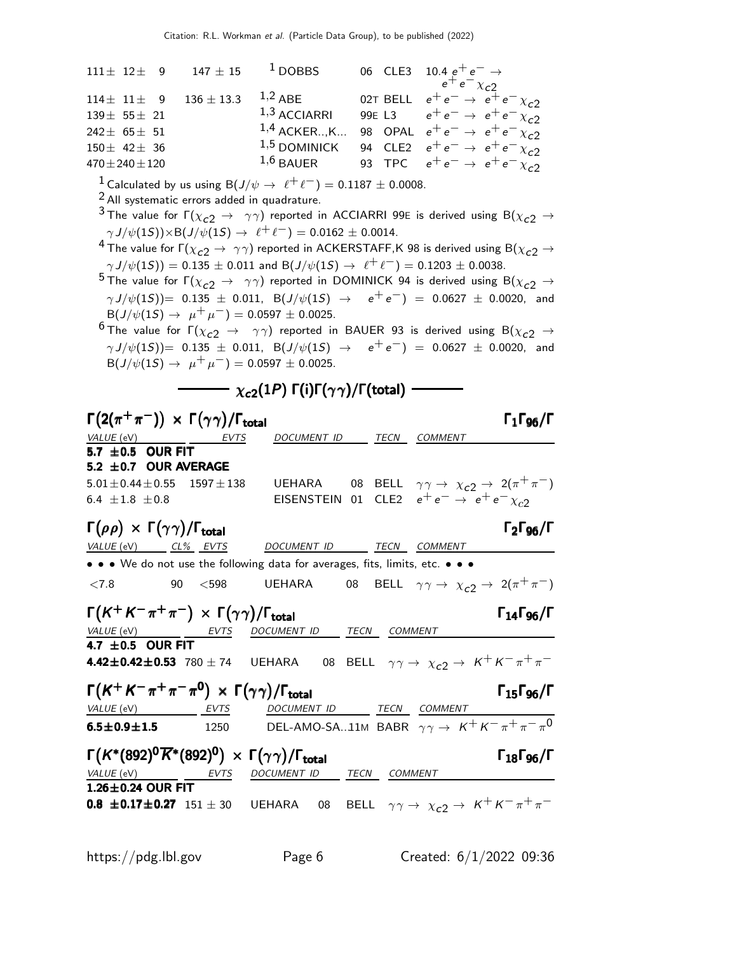| $111 \pm 12 \pm 9$<br>$147 \pm 15$                                                                                                                        | $1$ DOBBS                                                                                                                              | 06 CLE3      | 10.4 $e^+e^- \rightarrow$<br>$e^+e^- \chi_{c2}$                                 |
|-----------------------------------------------------------------------------------------------------------------------------------------------------------|----------------------------------------------------------------------------------------------------------------------------------------|--------------|---------------------------------------------------------------------------------|
| $136 \pm 13.3$<br>$114 \pm 11 \pm 9$                                                                                                                      | $1,2$ ABE                                                                                                                              | 02T BELL     | $e^+e^- \rightarrow e^+e^- \chi_{c2}$                                           |
| $139 \pm 55 \pm 21$                                                                                                                                       | $1,3$ ACCIARRI                                                                                                                         |              | 99E L3 $e^+e^- \rightarrow e^+e^- \chi_{c2}$                                    |
| $242\pm 65\pm 51$                                                                                                                                         | $1,4$ ACKERK                                                                                                                           |              | 98 OPAL $e^+e^- \rightarrow e^+e^- \chi_{c2}$                                   |
| $150 \pm 42 \pm 36$                                                                                                                                       | $1,5$ DOMINICK                                                                                                                         |              | 94 CLE2 $e^+e^- \rightarrow e^+e^- \chi_{c2}$                                   |
| $470 \pm 240 \pm 120$                                                                                                                                     | $1,6$ BAUER                                                                                                                            |              | 93 TPC $e^+e^- \rightarrow e^+e^- \chi_{c2}$                                    |
|                                                                                                                                                           |                                                                                                                                        |              |                                                                                 |
| <sup>1</sup> Calculated by us using B( $J/\psi \rightarrow \ell^+ \ell^-)=0.1187 \pm 0.0008$ .<br><sup>2</sup> All systematic errors added in quadrature. |                                                                                                                                        |              |                                                                                 |
| $^3$ The value for $\Gamma(\chi_{c2} \to~\gamma\gamma)$ reported in ACCIARRI 99E is derived using B $(\chi_{c2} \to$                                      |                                                                                                                                        |              |                                                                                 |
| $\gamma J/\psi(1S)$ $\times$ B( $J/\psi(1S)$ $\rightarrow$ $\ell^+ \ell^-$ ) = 0.0162 $\pm$ 0.0014.                                                       |                                                                                                                                        |              |                                                                                 |
| <sup>4</sup> The value for $\Gamma(\chi_{c2} \to \gamma \gamma)$ reported in ACKERSTAFF,K 98 is derived using B $(\chi_{c2} \to \gamma \gamma)$           |                                                                                                                                        |              |                                                                                 |
| $\gamma J/\psi(1S)$ = 0.135 $\pm$ 0.011 and B( $J/\psi(1S) \rightarrow \ell^+ \ell^-$ ) = 0.1203 $\pm$ 0.0038.                                            |                                                                                                                                        |              |                                                                                 |
| $^5$ The value for $\Gamma(\chi_{c2} \to~\gamma\gamma)$ reported in DOMINICK 94 is derived using B $(\chi_{c2} \to$                                       |                                                                                                                                        |              |                                                                                 |
| $\gamma J/\psi(1S)$ )= 0.135 $\pm$ 0.011, B(J/ $\psi(1S) \rightarrow e^+e^-$ ) = 0.0627 $\pm$ 0.0020, and                                                 |                                                                                                                                        |              |                                                                                 |
| $B(J/\psi(1S) \rightarrow \mu^+ \mu^-) = 0.0597 \pm 0.0025.$                                                                                              |                                                                                                                                        |              |                                                                                 |
| <sup>6</sup> The value for $\Gamma(\chi_{c2} \to \gamma\gamma)$ reported in BAUER 93 is derived using B $(\chi_{c2} \to \gamma\gamma)$                    |                                                                                                                                        |              |                                                                                 |
| $\gamma J/\psi(1S)$ )= 0.135 $\pm$ 0.011, B(J/ $\psi(1S) \rightarrow e^+e^-$ ) = 0.0627 $\pm$ 0.0020, and                                                 |                                                                                                                                        |              |                                                                                 |
| $B(J/\psi(15) \rightarrow \mu^+ \mu^-) = 0.0597 \pm 0.0025.$                                                                                              |                                                                                                                                        |              |                                                                                 |
|                                                                                                                                                           | $\cdot$ $\chi_{\bm{c2}}(1P)$ $\bm{\mathsf{\Gamma}}(\mathsf{i})\bm{\mathsf{\Gamma}}(\gamma\gamma)/\bm{\mathsf{\Gamma}}(\textsf{total})$ |              |                                                                                 |
|                                                                                                                                                           |                                                                                                                                        |              |                                                                                 |
| $\Gamma\big(2(\pi^+\pi^-)\big)\,\times\,\Gamma\big(\gamma\gamma\big)/\Gamma_{\rm total}$                                                                  |                                                                                                                                        |              | $\Gamma_1\Gamma_{96}/\Gamma$                                                    |
| <i>VALUE</i> (eV)<br><b>EVTS</b>                                                                                                                          | DOCUMENT ID                                                                                                                            | TECN         | <b>COMMENT</b>                                                                  |
| 5.7 $\pm$ 0.5 OUR FIT                                                                                                                                     |                                                                                                                                        |              |                                                                                 |
| $5.2 \pm 0.7$ OUR AVERAGE                                                                                                                                 |                                                                                                                                        |              |                                                                                 |
| $5.01 \pm 0.44 \pm 0.55$<br>$1597 \pm 138$                                                                                                                | UEHARA                                                                                                                                 |              | 08 BELL $\gamma \gamma \rightarrow \chi_{c2} \rightarrow 2(\pi^+ \pi^-)$        |
| 6.4 $\pm 1.8$ $\pm 0.8$                                                                                                                                   |                                                                                                                                        |              | EISENSTEIN 01 CLE2 $e^+e^- \rightarrow e^+e^- \chi_{c2}$                        |
| $\Gamma(\rho\rho)\,\times\,\Gamma(\gamma\gamma)/\Gamma_{\rm total}$                                                                                       |                                                                                                                                        |              | $\Gamma_2\Gamma_{96}/\Gamma$                                                    |
| VALUE (eV) CL% EVTS                                                                                                                                       | DOCUMENT ID                                                                                                                            | TECN COMMENT |                                                                                 |
| • • • We do not use the following data for averages, fits, limits, etc. • • •                                                                             |                                                                                                                                        |              |                                                                                 |
| < 7.8<br>$90<$ $<$ 598                                                                                                                                    |                                                                                                                                        |              | UEHARA 08 BELL $\gamma \gamma \rightarrow \chi_{c2} \rightarrow 2(\pi^+ \pi^-)$ |
|                                                                                                                                                           |                                                                                                                                        |              |                                                                                 |
| $\Gamma\bigl(K^+K^-\pi^+\pi^-\bigr)\,\times\,\Gamma\bigl(\gamma\gamma\bigr)/\Gamma_{\rm total}$                                                           |                                                                                                                                        |              | $\Gamma_{14}\Gamma_{96}/\Gamma$                                                 |
| VALUE (eV) EVTS DOCUMENT ID TECN COMMENT                                                                                                                  |                                                                                                                                        |              |                                                                                 |
| 4.42 $\pm$ 0.42 $\pm$ 0.53 780 $\pm$ 74 UEHARA 08 BELL $\gamma\gamma \to \chi_{c2} \to K^+K^-\pi^+\pi^-$                                                  |                                                                                                                                        |              |                                                                                 |
|                                                                                                                                                           |                                                                                                                                        |              |                                                                                 |
| $\Gamma(K^+K^-\pi^+\pi^-\pi^{\mathbf{0}})\,\times\,\Gamma(\gamma\gamma)/\Gamma_{\rm total}$                                                               |                                                                                                                                        |              | $\Gamma_{15} \Gamma_{96} / \Gamma$                                              |
|                                                                                                                                                           |                                                                                                                                        |              |                                                                                 |
| VALUE (eV) EVTS DOCUMENT ID TECN COMMENT<br><b>6.5±0.9±1.5</b> 1250 DEL-AMO-SA11M BABR $\gamma \gamma \rightarrow K^+ K^- \pi^+ \pi^- \pi^0$              |                                                                                                                                        |              |                                                                                 |
| $\Gamma(K^*(892)^0\overline{K}^*(892)^0) \, \times \, \Gamma(\gamma\gamma)/\Gamma_{\rm total}$                                                            |                                                                                                                                        |              | $\Gamma_{18}\Gamma_{96}/\Gamma$                                                 |
|                                                                                                                                                           |                                                                                                                                        |              |                                                                                 |
| $\frac{VALUE(eV)}{1.26 \pm 0.24 \text{ OUR FIT}}$ EVTS DOCUMENT ID TECN COMMENT                                                                           |                                                                                                                                        |              |                                                                                 |
| 0.8 ±0.17±0.27 151 $\pm$ 30 UEHARA 08 BELL $\gamma\gamma \to \chi_{c2} \to K^+ K^- \pi^+ \pi^-$                                                           |                                                                                                                                        |              |                                                                                 |
|                                                                                                                                                           |                                                                                                                                        |              |                                                                                 |
|                                                                                                                                                           |                                                                                                                                        |              |                                                                                 |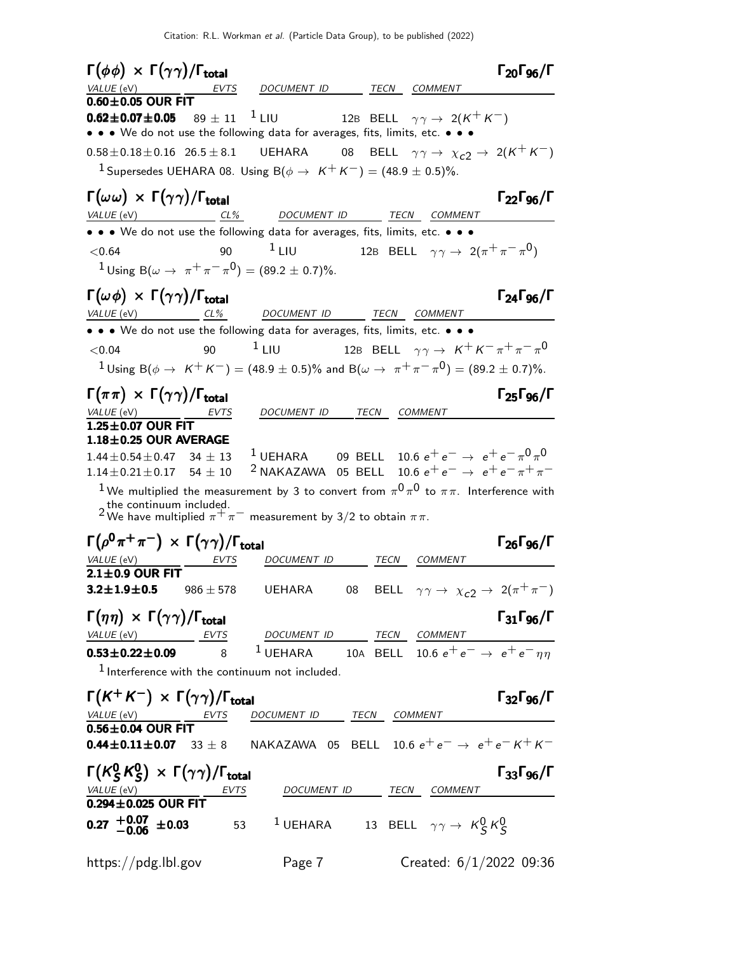| $\Gamma(\phi\phi) \times \Gamma(\gamma\gamma)/\Gamma_{\text{total}}$                                         |               |                                                                                                                 |      |                                                                             | $\Gamma_{20}\Gamma_{96}/\Gamma$ |
|--------------------------------------------------------------------------------------------------------------|---------------|-----------------------------------------------------------------------------------------------------------------|------|-----------------------------------------------------------------------------|---------------------------------|
| VALUE (eV)                                                                                                   | EVTS          | DOCUMENT ID TECN COMMENT                                                                                        |      |                                                                             |                                 |
| $0.60\pm0.05$ OUR FIT                                                                                        |               |                                                                                                                 |      |                                                                             |                                 |
| $0.62 \pm 0.07 \pm 0.05$<br>• • • We do not use the following data for averages, fits, limits, etc. • • •    |               | $89\pm11$ $^{-1}$ LIU                                                                                           |      | 12B BELL $\gamma \gamma \rightarrow 2(K^+ K^-)$                             |                                 |
|                                                                                                              |               |                                                                                                                 |      |                                                                             |                                 |
| $0.58 \pm 0.18 \pm 0.16$ $26.5 \pm 8.1$ UEHARA                                                               |               |                                                                                                                 |      | 08 BELL $\gamma\gamma \rightarrow \chi_{c2} \rightarrow 2(K^{+}K^{-})$      |                                 |
|                                                                                                              |               | <sup>1</sup> Supersedes UEHARA 08. Using $B(\phi \rightarrow K^+ K^-) = (48.9 \pm 0.5)\%$ .                     |      |                                                                             |                                 |
| $\Gamma(\omega\omega) \times \Gamma(\gamma\gamma) / \Gamma_{\text{total}}$                                   |               |                                                                                                                 |      |                                                                             | $\Gamma_{22}\Gamma_{96}/\Gamma$ |
| VALUE (eV) CL% DOCUMENT ID                                                                                   |               |                                                                                                                 |      | TECN COMMENT                                                                |                                 |
| • • • We do not use the following data for averages, fits, limits, etc. • • •                                |               |                                                                                                                 |      |                                                                             |                                 |
| < 0.64                                                                                                       | 90            | $1$ LIU                                                                                                         |      | 12B BELL $\gamma \gamma \rightarrow 2(\pi^+ \pi^- \pi^0)$                   |                                 |
|                                                                                                              |               | <sup>1</sup> Using B( $\omega \to \pi^+ \pi^- \pi^0$ ) = (89.2 ± 0.7)%.                                         |      |                                                                             |                                 |
| $\Gamma(\omega \phi) \times \Gamma(\gamma \gamma) / \Gamma_{\text{total}}$                                   |               |                                                                                                                 |      |                                                                             | $\Gamma_{24}\Gamma_{96}/\Gamma$ |
| $VALUE$ (eV) CL%                                                                                             |               | DOCUMENT ID TECN COMMENT                                                                                        |      |                                                                             |                                 |
| • • • We do not use the following data for averages, fits, limits, etc. • • •                                |               |                                                                                                                 |      |                                                                             |                                 |
| < 0.04                                                                                                       | 90            | $1$ LIU                                                                                                         |      | 12B BELL $\gamma\gamma\rightarrow\ K^{+}\,K^{-}\,\pi^{+}\,\pi^{-}\,\pi^{0}$ |                                 |
|                                                                                                              |               | $1$ Using B( $\phi \to K^+K^-$ ) = (48.9 $\pm$ 0.5)% and B( $\omega \to \pi^+\pi^-\pi^0$ ) = (89.2 $\pm$ 0.7)%. |      |                                                                             |                                 |
|                                                                                                              |               |                                                                                                                 |      |                                                                             |                                 |
| $\Gamma(\pi\pi) \times \Gamma(\gamma\gamma)/\Gamma_{\text{total}}$                                           |               |                                                                                                                 |      |                                                                             | $\Gamma_{25}\Gamma_{96}/\Gamma$ |
| $VALUE$ (eV) $\qquad \qquad$<br>$1.25 \pm 0.07$ OUR FIT                                                      | EVTS          | DOCUMENT ID TECN COMMENT                                                                                        |      |                                                                             |                                 |
| $1.18 \pm 0.25$ OUR AVERAGE                                                                                  |               |                                                                                                                 |      |                                                                             |                                 |
| $1.44 \pm 0.54 \pm 0.47$ 34 $\pm$ 13                                                                         |               | <sup>1</sup> UEHARA 09 BELL 10.6 $e^+e^- \rightarrow e^+e^-\pi^0\pi^0$                                          |      |                                                                             |                                 |
| $1.14 \pm 0.21 \pm 0.17$ 54 $\pm$ 10                                                                         |               | <sup>2</sup> NAKAZAWA 05 BELL 10.6 $e^+e^- \rightarrow e^+e^- \pi^+\pi^-$                                       |      |                                                                             |                                 |
|                                                                                                              |               | $^1$ We multiplied the measurement by 3 to convert from $\pi^0\pi^0$ to $\pi\pi$ . Interference with            |      |                                                                             |                                 |
| the continuum included.                                                                                      |               | <sup>2</sup> We have multiplied $\pi^+ \pi^-$ measurement by 3/2 to obtain $\pi \pi$ .                          |      |                                                                             |                                 |
| $\Gamma(\rho^0\pi^+\pi^-) \times \Gamma(\gamma\gamma)/\Gamma_{\rm total}$                                    |               |                                                                                                                 |      |                                                                             |                                 |
|                                                                                                              |               | DOCUMENT ID                                                                                                     | TECN |                                                                             | $\Gamma_{26}\Gamma_{96}/\Gamma$ |
| <i>VALUE</i> (eV)<br>$2.1 \pm 0.9$ OUR FIT                                                                   | EVTS          |                                                                                                                 |      | COMMENT                                                                     |                                 |
| $3.2 \pm 1.9 \pm 0.5$                                                                                        | $986 \pm 578$ | UEHARA                                                                                                          | 08   | BELL $\gamma \gamma \rightarrow \chi_{c2} \rightarrow 2(\pi^+ \pi^-)$       |                                 |
|                                                                                                              |               |                                                                                                                 |      |                                                                             |                                 |
| $\Gamma(\eta\eta) \times \Gamma(\gamma\gamma)/\Gamma_{\text{total}}$                                         |               |                                                                                                                 |      |                                                                             | $\Gamma_{31}\Gamma_{96}/\Gamma$ |
| VALUE (eV) EVTS<br><b>0.53±0.22±0.09</b> 8 <sup>1</sup> UEHARA 10A BELL 10.6 $e^+e^- \rightarrow e^+e^- n n$ |               | DOCUMENT ID TECN COMMENT                                                                                        |      |                                                                             |                                 |
|                                                                                                              |               | $1$ Interference with the continuum not included.                                                               |      |                                                                             |                                 |
|                                                                                                              |               |                                                                                                                 |      |                                                                             |                                 |
| $\Gamma(K^+K^-) \times \Gamma(\gamma\gamma)/\Gamma_{\text{total}}$                                           |               |                                                                                                                 |      |                                                                             | $\Gamma_{32}\Gamma_{96}/\Gamma$ |
| $\frac{VALUE\ (eV)}{0.56 \pm 0.04\ OUR FIT}$                                                                 |               | DOCUMENT ID TECN COMMENT                                                                                        |      |                                                                             |                                 |
|                                                                                                              |               | NAKAZAWA 05 BELL 10.6 $e^+e^- \rightarrow e^+e^-$ K $^+$ K $^-$                                                 |      |                                                                             |                                 |
| $0.44 \pm 0.11 \pm 0.07$ 33 $\pm$ 8                                                                          |               |                                                                                                                 |      |                                                                             |                                 |
| $\Gamma(K^0_S K^0_S) \times \Gamma(\gamma \gamma)/\Gamma_{\text{total}}$                                     |               |                                                                                                                 |      |                                                                             | $\Gamma_{33}\Gamma_{96}/\Gamma$ |
| $\frac{$ VALUE (eV)<br>0.294±0.025 OUR FIT                                                                   | <b>EVTS</b>   |                                                                                                                 |      | DOCUMENT ID TECN COMMENT                                                    |                                 |
|                                                                                                              |               |                                                                                                                 |      |                                                                             |                                 |
| $0.27^{+0.07}_{-0.06}$ ±0.03                                                                                 |               | 53 $^1$ UEHARA 13 BELL $\gamma\gamma\rightarrow\ K_S^0\,K_S^0$                                                  |      |                                                                             |                                 |
| https://pdg.lbl.gov                                                                                          |               | Page 7                                                                                                          |      | Created: $6/1/2022$ 09:36                                                   |                                 |
|                                                                                                              |               |                                                                                                                 |      |                                                                             |                                 |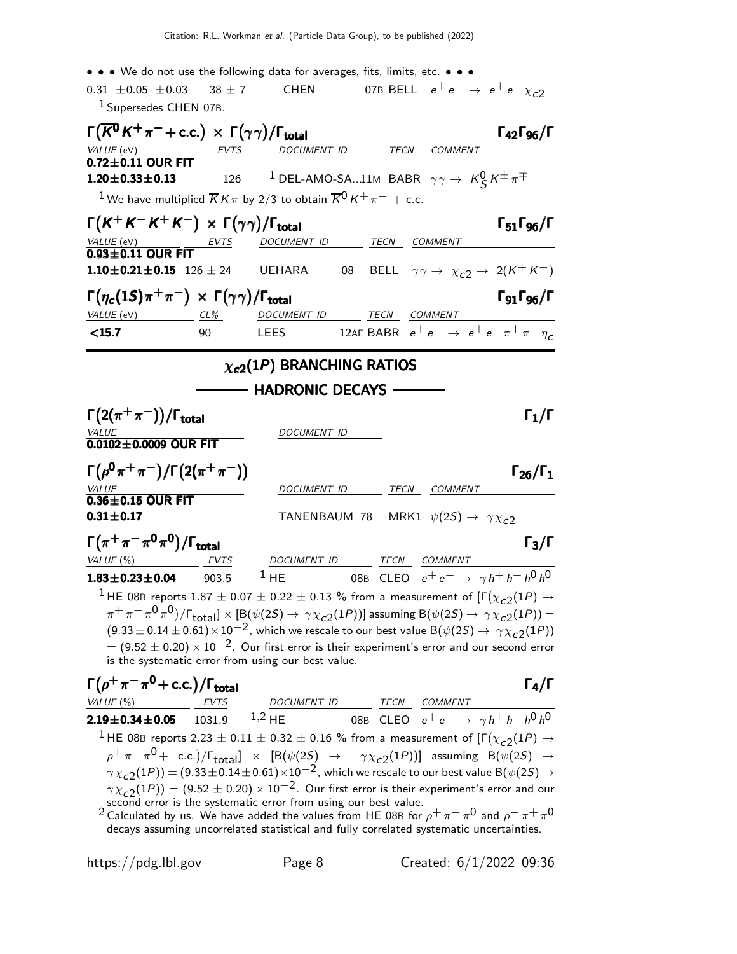• • • We do not use the following data for averages, fits, limits, etc. • • •

#### 0.31  $\pm$  0.05  $\pm$  0.03 38  $\pm$  7 CHEN 07B BELL  $e^+e^- \rightarrow e^+e^- \chi_{c2}$ 1 Supersedes CHEN 07B.

|                                                                                  | $\Gamma(\overline{K}^0 K^+\pi^-+$ c.c.) $\times \Gamma(\gamma\gamma)/\Gamma_{\rm total}$<br>$\Gamma_{42}\Gamma_{96}/\Gamma$                                                                                                                    |
|----------------------------------------------------------------------------------|------------------------------------------------------------------------------------------------------------------------------------------------------------------------------------------------------------------------------------------------|
| $\frac{VALU E (eV)}{0.72 \pm 0.11}$ OUR FIT                                      | DOCUMENT ID TECN COMMENT                                                                                                                                                                                                                       |
|                                                                                  |                                                                                                                                                                                                                                                |
| $1.20 \pm 0.33 \pm 0.13$<br>126                                                  | <sup>1</sup> DEL-AMO-SA11M BABR $\gamma \gamma \rightarrow K \frac{0}{5} K^{\pm} \pi^{\mp}$                                                                                                                                                    |
|                                                                                  | <sup>1</sup> We have multiplied $\overline{K}K\pi$ by 2/3 to obtain $\overline{K}^0K^+\pi^-$ + c.c.                                                                                                                                            |
| $\Gamma(K^+K^-K^+K^-) \times \Gamma(\gamma\gamma)/\Gamma_{\rm total}$            | $\Gamma_{51}\Gamma_{96}/\Gamma$                                                                                                                                                                                                                |
| $\frac{VALU E (eV)}{0.93 \pm 0.11}$ OUR FIT<br><u>EVTS</u>                       | TECN COMMENT<br>DOCUMENT ID                                                                                                                                                                                                                    |
|                                                                                  |                                                                                                                                                                                                                                                |
| 1.10 $\pm$ 0.21 $\pm$ 0.15 126 $\pm$ 24                                          | BELL $\gamma \gamma \rightarrow \chi_{c2} \rightarrow 2(K^{+} K^{-})$<br>08<br>UEHARA                                                                                                                                                          |
| $\Gamma(\eta_c(1S)\pi^+\pi^-) \times \Gamma(\gamma\gamma)/\Gamma_{\text{total}}$ | $\Gamma_{91}\Gamma_{96}/\Gamma$                                                                                                                                                                                                                |
| VALUE (eV)<br>$CL\%$                                                             | DOCUMENT ID<br>TECN<br><b>COMMENT</b>                                                                                                                                                                                                          |
| $15.7$<br>90                                                                     | 12AE BABR $e^+e^- \rightarrow e^+e^- \pi^+\pi^-\eta_c$<br><b>LEES</b>                                                                                                                                                                          |
|                                                                                  |                                                                                                                                                                                                                                                |
|                                                                                  | $\chi_{c2}(1P)$ BRANCHING RATIOS                                                                                                                                                                                                               |
|                                                                                  | <b>HADRONIC DECAYS -</b>                                                                                                                                                                                                                       |
|                                                                                  |                                                                                                                                                                                                                                                |
| $\Gamma(2(\pi^+\pi^-))/\Gamma_{\rm total}$                                       | $\Gamma_1/\Gamma$                                                                                                                                                                                                                              |
| $\frac{VALUE}{0.0102 \pm 0.0009}$ OUR FIT                                        | <u>DOCUMENT ID</u>                                                                                                                                                                                                                             |
|                                                                                  |                                                                                                                                                                                                                                                |
|                                                                                  |                                                                                                                                                                                                                                                |
| $\Gamma(\rho^0 \pi^+ \pi^-)/\Gamma(2(\pi^+ \pi^-))$                              | $\Gamma_{26}/\Gamma_1$                                                                                                                                                                                                                         |
| <b>VALUE</b>                                                                     | TECN COMMENT<br>DOCUMENT ID                                                                                                                                                                                                                    |
| $0.36 \pm 0.15$ OUR FIT                                                          |                                                                                                                                                                                                                                                |
| $0.31 \pm 0.17$                                                                  | TANENBAUM 78 MRK1 $\psi(2S) \rightarrow \gamma \chi_{c2}$                                                                                                                                                                                      |
|                                                                                  | $\Gamma_3/\Gamma$                                                                                                                                                                                                                              |
| $\Gamma(\pi^+\pi^-\pi^0\pi^0)/\Gamma_{\rm total}$<br>VALUE(%)<br><b>EVTS</b>     | DOCUMENT ID TECN COMMENT                                                                                                                                                                                                                       |
| $1.83 \pm 0.23 \pm 0.04$<br>903.5                                                | 08B CLEO $e^+e^- \to \gamma h^+h^-h^0h^0$<br>$1$ HE                                                                                                                                                                                            |
|                                                                                  |                                                                                                                                                                                                                                                |
|                                                                                  | $^1$ HE 08B reports 1.87 $\pm$ 0.07 $\pm$ 0.22 $\pm$ 0.13 % from a measurement of [F $(\chi_{c2}(1P)$ $\rightarrow$                                                                                                                            |
|                                                                                  | $\pi^+\pi^-\pi^0\pi^0)$ / $\Gamma_{\rm total}$ $]\times$ [B( $\psi(2S)\rightarrow\,\gamma\chi_{c2}(1P)$ )] assuming B( $\psi(2S)\rightarrow\,\gamma\chi_{c2}(1P))=$                                                                            |
|                                                                                  | $(9.33 \pm 0.14 \pm 0.61) \times 10^{-2}$ , which we rescale to our best value B $(\psi(2S) \rightarrow \gamma \chi_{c2}(1P))$<br>$=$ (9.52 $\pm$ 0.20) $\times$ 10 $^{-2}$ . Our first error is their experiment's error and our second error |
| is the systematic error from using our best value.                               |                                                                                                                                                                                                                                                |
| $\Gamma(\rho^+\pi^-\pi^0$ + c.c.)/ $\Gamma_{\text{total}}$                       | $\Gamma_4/\Gamma$                                                                                                                                                                                                                              |
| VALUE $(\%)$<br><b>EVTS</b>                                                      | DOCUMENT ID TECN COMMENT                                                                                                                                                                                                                       |
| 1031.9<br>$2.19 \pm 0.34 \pm 0.05$                                               | $1,2$ HE<br>08B CLEO $e^+e^- \to \gamma h^+h^-h^0h^0$                                                                                                                                                                                          |
|                                                                                  | $^1$ HE 08B reports 2.23 $\pm$ 0.11 $\pm$ 0.32 $\pm$ 0.16 % from a measurement of [F $(\chi_{c2}(1P) \rightarrow$                                                                                                                              |

 $\gamma \chi_{c2}(1P)) = (9.33 \pm 0.14 \pm 0.61) \times 10^{-2}$ , which we rescale to our best value B $(\psi(2S) \rightarrow$  $\gamma \chi_{\tt c2}(1P)) = (9.52 \pm 0.20) \times 10^{-2}$ . Our first error is their experiment's error and our second error is the systematic error from using our best value.

<sup>2</sup> Calculated by us. We have added the values from HE 08B for  $\rho^+\pi^-\pi^0$  and  $\rho^-\pi^+\pi^0$ decays assuming uncorrelated statistical and fully correlated systematic uncertainties.

https://pdg.lbl.gov Page 8 Created: 6/1/2022 09:36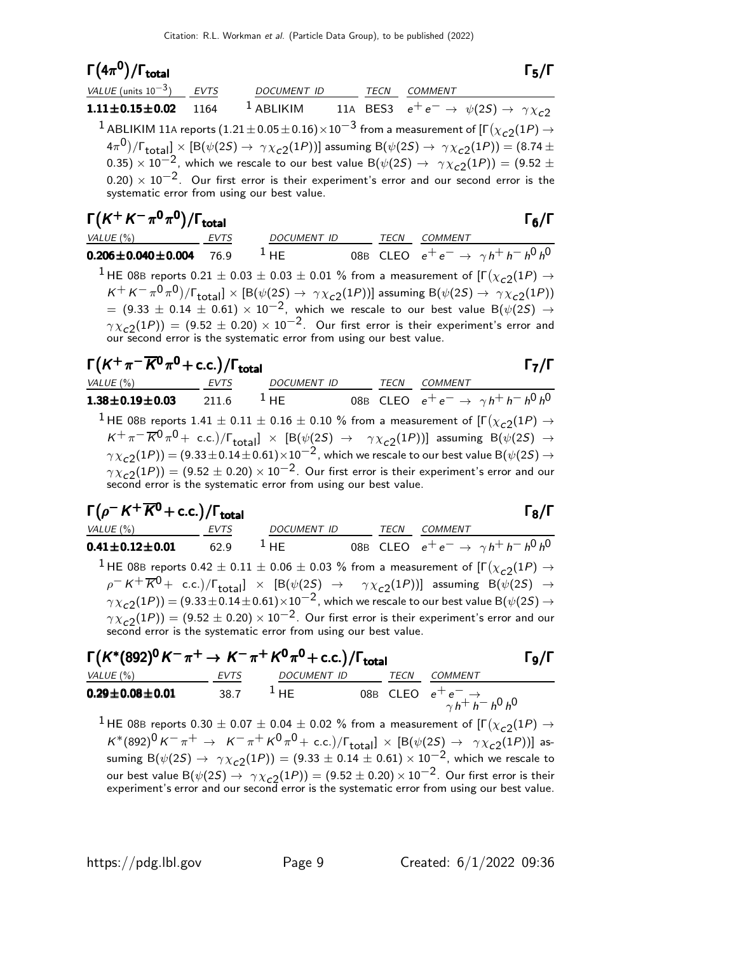#### Γ $(4\pi^0)/\Gamma_{\text{total}}$  Γ $_5/\Gamma$

| VALUE (units $10^{-3}$ ) EVTS |      | <b>DOCUMENT ID</b>                                                                                                                               | TECN | COMMENT                                                             |  |
|-------------------------------|------|--------------------------------------------------------------------------------------------------------------------------------------------------|------|---------------------------------------------------------------------|--|
| $1.11 \pm 0.15 \pm 0.02$      | 1164 | $^1$ ABLIKIM                                                                                                                                     |      | 11A BES3 $e^+e^- \rightarrow \psi(2S) \rightarrow \gamma \chi_{c2}$ |  |
|                               |      | <sup>1</sup> ABLIKIM 11A reports $(1.21 \pm 0.05 \pm 0.16) \times 10^{-3}$ from a measurement of $[\Gamma(\chi_{c2}(1P) \rightarrow$             |      |                                                                     |  |
|                               |      | $(4\pi^0)/\Gamma_{\text{total}}] \times [B(\psi(2S) \to \gamma \chi_{c2}(1P))]$ assuming $B(\psi(2S) \to \gamma \chi_{c2}(1P)) = (8.74 \pm 1.0)$ |      |                                                                     |  |
|                               |      | 0.35) $\times$ 10 <sup>-2</sup> , which we rescale to our best value B( $\psi$ (2S) $\rightarrow \gamma \chi_{c2}(1P)$ ) = (9.52 $\pm$           |      |                                                                     |  |
|                               |      | $(0.20) \times 10^{-2}$ . Our first error is their experiment's error and our second error is the<br>systematic error from using our best value. |      |                                                                     |  |

| $\Gamma(K^+K^-\pi^0\pi^0)/\Gamma_{\rm total}$                                                                                                                                                                                                                                                                                                                                                                                                                                                                                                                                                                             |             |                    |      |                | $\Gamma_6/\Gamma$                                 |
|---------------------------------------------------------------------------------------------------------------------------------------------------------------------------------------------------------------------------------------------------------------------------------------------------------------------------------------------------------------------------------------------------------------------------------------------------------------------------------------------------------------------------------------------------------------------------------------------------------------------------|-------------|--------------------|------|----------------|---------------------------------------------------|
| VALUE (%)                                                                                                                                                                                                                                                                                                                                                                                                                                                                                                                                                                                                                 | <b>EVTS</b> | <b>DOCUMENT ID</b> | TECN | <b>COMMENT</b> |                                                   |
| $0.206 \pm 0.040 \pm 0.004$ 76.9                                                                                                                                                                                                                                                                                                                                                                                                                                                                                                                                                                                          |             | $1$ HF             |      |                | 08B CLEO $e^+e^- \rightarrow \gamma h^+h^-h^0h^0$ |
| <sup>1</sup> HE 08B reports 0.21 $\pm$ 0.03 $\pm$ 0.03 $\pm$ 0.01 % from a measurement of [ $\Gamma(\chi_{c2}(1P) \rightarrow$<br>$K^+ K^- \pi^0 \pi^0)/\Gamma_{\text{total}}$ × [B( $\psi$ (2S) $\rightarrow \gamma \chi_{c2}(1P))$ ] assuming B( $\psi$ (2S) $\rightarrow \gamma \chi_{c2}(1P)$ )<br>$=$ (9.33 $\pm$ 0.14 $\pm$ 0.61) $\times$ 10 <sup>-2</sup> , which we rescale to our best value B( $\psi$ (25) $\rightarrow$<br>$\gamma \chi_{c2}(1P)$ = (9.52 ± 0.20) × 10 <sup>-2</sup> . Our first error is their experiment's error and<br>our second error is the systematic error from using our best value. |             |                    |      |                |                                                   |

| $\Gamma(K^+\pi^-\overline{K^0}\pi^0$ + c.c.)/ $\Gamma_{\text{total}}$                                                                                                                |                                                                                                                                |                    |  |      |                | $\Gamma_7/\Gamma$                         |
|--------------------------------------------------------------------------------------------------------------------------------------------------------------------------------------|--------------------------------------------------------------------------------------------------------------------------------|--------------------|--|------|----------------|-------------------------------------------|
| VALUE (%)                                                                                                                                                                            | <b>EVTS</b>                                                                                                                    | <b>DOCUMENT ID</b> |  | TECN | <b>COMMENT</b> |                                           |
| $1.38 \pm 0.19 \pm 0.03$                                                                                                                                                             | 211.6                                                                                                                          | $1$ HF             |  |      |                | 08B CLEO $e^+e^- \to \gamma h^+h^-h^0h^0$ |
|                                                                                                                                                                                      | <sup>1</sup> HE 08B reports 1.41 $\pm$ 0.11 $\pm$ 0.16 $\pm$ 0.10 % from a measurement of [ $\Gamma(\chi_{c2}(1P) \rightarrow$ |                    |  |      |                |                                           |
| $K^+\pi^-\overline{K}{}^0\pi^0$ + c.c.)/ $\Gamma_{\text{total}}$ $\times$ [B( $\psi$ (2S) $\rightarrow$ $\gamma \chi_{c2}(1P)$ )] assuming B( $\psi$ (2S) $\rightarrow$              |                                                                                                                                |                    |  |      |                |                                           |
| $\gamma \chi_{c2}(1P)$ = (9.33 ± 0.14 ± 0.61) $\times 10^{-2}$ , which we rescale to our best value B( $\psi(2S) \rightarrow$                                                        |                                                                                                                                |                    |  |      |                |                                           |
| $\gamma \chi_{c2}(1P)$ ) = (9.52 ± 0.20) × 10 <sup>-2</sup> . Our first error is their experiment's error and our<br>second error is the systematic error from using our best value. |                                                                                                                                |                    |  |      |                |                                           |

$$
\Gamma(\rho^- K^+ \overline{K}^0 + \text{c.c.}) / \Gamma_{\text{total}}
$$

 $\Gamma_5/\Gamma$ 

VALUE (%) EVTS DOCUMENT ID TECN COMMENT  $\textbf{0.41} \pm \textbf{0.12} \pm \textbf{0.01}$  62.9  $^1$  HE 08B CLEO  $e^+ \, e^- \rightarrow \, \gamma \, h^+ \, h^- \, h^0 \, h^0$  $^1$  HE 08B reports 0.42  $\pm$  0.11  $\pm$  0.06  $\pm$  0.03 % from a measurement of [Γ $(\chi_{c2}(1P)$   $\rightarrow$  $\rho^- \: K^+ \: \overline K{}^0 + \; \text{c.c.})/\Gamma_{\text{total}}] \; \; \times \; \; \left[\mathsf{B}(\psi(2\mathsf{S}) \; \; \rightarrow \;\; \;\; \gamma \chi_{\text{c2}}(1\mathsf{P})) \right] \; \; \text{assuming} \; \; \mathsf{B}(\psi(2\mathsf{S}) \; \rightarrow \;\; \; \; \; \; \; \gamma \chi_{\text{c2}}(1\mathsf{P}))$  $\gamma \chi_{c2}(1P)) = (9.33 \pm 0.14 \pm 0.61) \times 10^{-2}$ , which we rescale to our best value B $(\psi(2S) \rightarrow$  $\gamma \chi_{\tt c2}(1P)) = (9.52 \pm 0.20) \times 10^{-2}$ . Our first error is their experiment's error and our second error is the systematic error from using our best value.

## $\Gamma(K^*(892)^0 K^-\pi^+\to K^-\pi^+ K^0\pi^0+{\rm c.c.})/\Gamma_{\rm total}$  Γg/Γ

| .                        |             |               | . |      |                                                          |  |
|--------------------------|-------------|---------------|---|------|----------------------------------------------------------|--|
| VALUE (%)                | <b>EVTS</b> | DOCUMENT ID   |   | TECN | COMMENT                                                  |  |
| $0.29 \pm 0.08 \pm 0.01$ | 38.7        | $^{\perp}$ HF |   |      | 08B CLEO $e^+e^ \rightarrow$<br>$\gamma h^+ h^- h^0 h^0$ |  |
|                          |             |               |   |      |                                                          |  |

 $^1$  HE 08B reports  $0.30 \pm 0.07 \pm 0.04 \pm 0.02$  % from a measurement of  $[\Gamma(\chi_{c2}(1P) \to$  $K^*(892)^0 K^-\pi^+ \rightarrow K^-\pi^+ K^0 \pi^0 + \text{c.c.})/\Gamma_{\text{total}}] \times [B(\psi(2S) \rightarrow \gamma \chi_{c2}(1P))]$  assuming B( $\psi(2S) \to \gamma \chi_{c2}(1P)$ ) = (9.33  $\pm$  0.14  $\pm$  0.61) × 10<sup>-2</sup>, which we rescale to our best value B $(\psi(2S) \rightarrow \gamma \chi_{c2}(1P)) = (9.52 \pm 0.20) \times 10^{-2}$ . Our first error is their experiment's error and our second error is the systematic error from using our best value.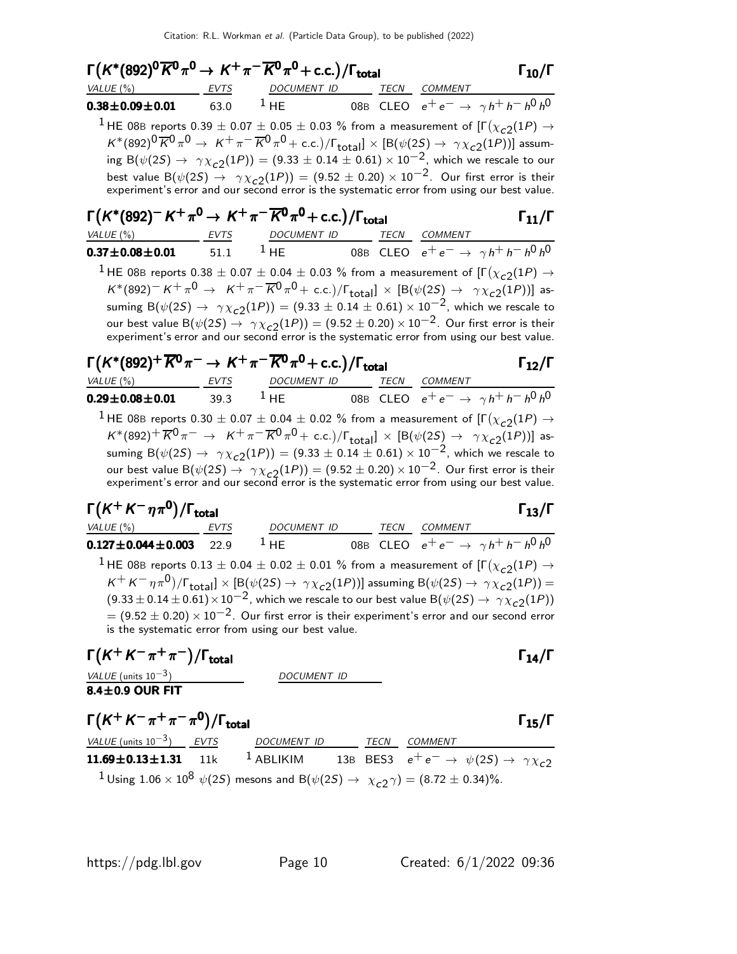| $\Gamma(K^*(892)^0\overline{K}^0\pi^0\to K^+\pi^-\overline{K}{}^0\pi^0+{\rm c.c.})/\Gamma_{\rm total}$                                                                                                               |                          | $\Gamma_{10}/\Gamma$                                                                                                                                                                                                                                                                                                                                                                                                                                                                                                                                                                                                                     |
|----------------------------------------------------------------------------------------------------------------------------------------------------------------------------------------------------------------------|--------------------------|------------------------------------------------------------------------------------------------------------------------------------------------------------------------------------------------------------------------------------------------------------------------------------------------------------------------------------------------------------------------------------------------------------------------------------------------------------------------------------------------------------------------------------------------------------------------------------------------------------------------------------------|
|                                                                                                                                                                                                                      |                          | $VALUE (%)$ EVTS DOCUMENT ID TECN COMMENT                                                                                                                                                                                                                                                                                                                                                                                                                                                                                                                                                                                                |
|                                                                                                                                                                                                                      |                          | <b>0.38±0.09±0.01</b> 63.0 <sup>1</sup> HE 08B CLEO $e^+e^- \rightarrow \gamma h^+h^-h^0h^0$                                                                                                                                                                                                                                                                                                                                                                                                                                                                                                                                             |
|                                                                                                                                                                                                                      |                          | $^1$ HE 08B reports 0.39 $\pm$ 0.07 $\pm$ 0.05 $\pm$ 0.03 % from a measurement of [F $(\chi_{c2}(1P)$ $\rightarrow$<br>$K^*(892)^0\overline{K}^0\pi^0 \to K^+\pi^-\overline{K}^0\pi^0$ + c.c.)/ $\Gamma_{\text{total}}$ ] × [B( $\psi(2S) \to \gamma \chi_{c2}(1P)$ )] assum-<br>ing B( $\psi(2S) \to \gamma \chi_{c2}(1P)$ ) = (9.33 $\pm$ 0.14 $\pm$ 0.61) $\times$ 10 <sup>-2</sup> , which we rescale to our<br>best value B $(\psi(2S) \rightarrow \gamma \chi_{c2}(1P)) = (9.52 \pm 0.20) \times 10^{-2}$ . Our first error is their<br>experiment's error and our second error is the systematic error from using our best value. |
| $\Gamma(K^*(892)^- K^+\pi^0 \to K^+\pi^-\overline{K^0}\pi^0 + \text{c.c.})/\Gamma_{\text{total}}$                                                                                                                    |                          | $\Gamma_{11}/\Gamma$                                                                                                                                                                                                                                                                                                                                                                                                                                                                                                                                                                                                                     |
| VALUE (%) EVTS DOCUMENT ID TECN COMMENT                                                                                                                                                                              |                          |                                                                                                                                                                                                                                                                                                                                                                                                                                                                                                                                                                                                                                          |
|                                                                                                                                                                                                                      |                          | <b>0.37±0.08±0.01</b> 51.1 <sup>1</sup> HE 08B CLEO $e^+e^- \rightarrow \gamma h^+h^-h^0h^0$                                                                                                                                                                                                                                                                                                                                                                                                                                                                                                                                             |
|                                                                                                                                                                                                                      |                          | $^1$ HE 08B reports 0.38 $\pm$ 0.07 $\pm$ 0.04 $\pm$ 0.03 % from a measurement of [F $(\chi_{c2}(1P)$ $\rightarrow$<br>$K^*(892)^- K^+ \pi^0 \to K^+ \pi^- \overline{K}^0 \pi^0$ + c.c.)/ $\Gamma_{\text{total}}$ × [B( $\psi(2S) \to \gamma \chi_{c2}(1P)$ )] as-<br>suming B $(\psi(2S) \to \gamma \chi_{c2}(1P)) = (9.33 \pm 0.14 \pm 0.61) \times 10^{-2}$ , which we rescale to<br>our best value B $(\psi(2S) \rightarrow \gamma \chi_{c2}(1P)) = (9.52 \pm 0.20) \times 10^{-2}$ . Our first error is their<br>experiment's error and our second error is the systematic error from using our best value.                         |
| $\Gamma(K^*(892)^+\overline{K^0}\pi^-\rightarrow K^+\pi^-\overline{K^0}\pi^0$ + c.c.)/ $\Gamma_{\text{total}}$                                                                                                       |                          | $\Gamma_{12}/\Gamma$                                                                                                                                                                                                                                                                                                                                                                                                                                                                                                                                                                                                                     |
|                                                                                                                                                                                                                      |                          | <u>VALUE (%)</u> EVTS DOCUMENT ID TECN COMMENT<br><b>0.29±0.08±0.01</b> 39.3 1 HE 08B CLEO $e^+e^- \rightarrow \gamma h^+ h^- h^0 h^0$                                                                                                                                                                                                                                                                                                                                                                                                                                                                                                   |
|                                                                                                                                                                                                                      |                          | $K^*(892)^+ \overline{K}^0 \pi^- \to K^+ \pi^- \overline{K}^0 \pi^0 + \text{c.c.})/\Gamma_{\text{total}}] \times [B(\psi(2S) \to \gamma \chi_{c2}(1P))]$ as-<br>suming B( $\psi(2S) \to \gamma \chi_{c2}(1P)$ ) = (9.33 ± 0.14 ± 0.61) × 10 <sup>-2</sup> , which we rescale to<br>our best value B( $\psi(2S) \rightarrow \gamma \chi_{c2}(1P)$ ) = (9.52 ± 0.20) × 10 <sup>-2</sup> . Our first error is their experiment's error and our second error is the systematic error from using our best value.                                                                                                                              |
| $\Gamma(K^+K^-\eta\pi^0)/\Gamma_{\rm total}$                                                                                                                                                                         |                          | $\Gamma_{13}/\Gamma$                                                                                                                                                                                                                                                                                                                                                                                                                                                                                                                                                                                                                     |
| $VALUE(%)$ EVTS DOCUMENT ID TECN COMMENT                                                                                                                                                                             |                          |                                                                                                                                                                                                                                                                                                                                                                                                                                                                                                                                                                                                                                          |
|                                                                                                                                                                                                                      |                          | <b>0.127±0.044±0.003</b> 22.9 <sup>1</sup> HE 08B CLEO $e^+e^- \rightarrow \gamma h^+h^-h^0h^0$                                                                                                                                                                                                                                                                                                                                                                                                                                                                                                                                          |
| is the systematic error from using our best value.                                                                                                                                                                   |                          | $^1$ HE 08B reports 0.13 $\pm$ 0.04 $\pm$ 0.02 $\pm$ 0.01 % from a measurement of [F $(\chi_{c2}(1P)$ $\rightarrow$<br>$K^+ K^- \eta \pi^0$ )/ $\Gamma_{\text{total}}$ ] × [B( $\psi$ (2S) $\rightarrow \gamma \chi_{c2}(1P)$ )] assuming B( $\psi$ (2S) $\rightarrow \gamma \chi_{c2}(1P)$ ) =<br>$(9.33 \pm 0.14 \pm 0.61) \times 10^{-2}$ , which we rescale to our best value B $(\psi(2S) \rightarrow \gamma \chi_{c2}(1P))$<br>$=$ (9.52 $\pm$ 0.20) $\times$ 10 <sup>-2</sup> . Our first error is their experiment's error and our second error                                                                                  |
| $\Gamma(K^+K^-\pi^+\pi^-)/\Gamma_{\rm total}$                                                                                                                                                                        |                          | $\Gamma_{14}/\Gamma$                                                                                                                                                                                                                                                                                                                                                                                                                                                                                                                                                                                                                     |
| $\frac{VALUE \text{ (units 10}^{-3})}{8.4 \pm 0.9 \text{ OUR FIT}}$                                                                                                                                                  | DOCUMENT ID              |                                                                                                                                                                                                                                                                                                                                                                                                                                                                                                                                                                                                                                          |
| $\Gamma(K^+K^-\pi^+\pi^-\pi^0)/\Gamma_{\text{total}}$                                                                                                                                                                |                          | $\Gamma_{15}/\Gamma$                                                                                                                                                                                                                                                                                                                                                                                                                                                                                                                                                                                                                     |
| <u>VALUE</u> (units $10^{-3}$ ) EVTS                                                                                                                                                                                 | DOCUMENT ID TECN COMMENT |                                                                                                                                                                                                                                                                                                                                                                                                                                                                                                                                                                                                                                          |
| $11.69 \pm 0.13 \pm 1.31$ 11k<br><sup>1</sup> Using 1.06 $\times$ 10 <sup>8</sup> $\psi$ (2 <i>S</i> ) mesons and B( $\psi$ (2 <i>S</i> ) $\rightarrow$ $\chi$ <sub><i>c</i>2</sub> $\gamma$ ) = (8.72 $\pm$ 0.34)%. |                          | <sup>1</sup> ABLIKIM 13B BES3 $e^+e^- \rightarrow \psi(2S) \rightarrow \gamma \chi_{c2}$                                                                                                                                                                                                                                                                                                                                                                                                                                                                                                                                                 |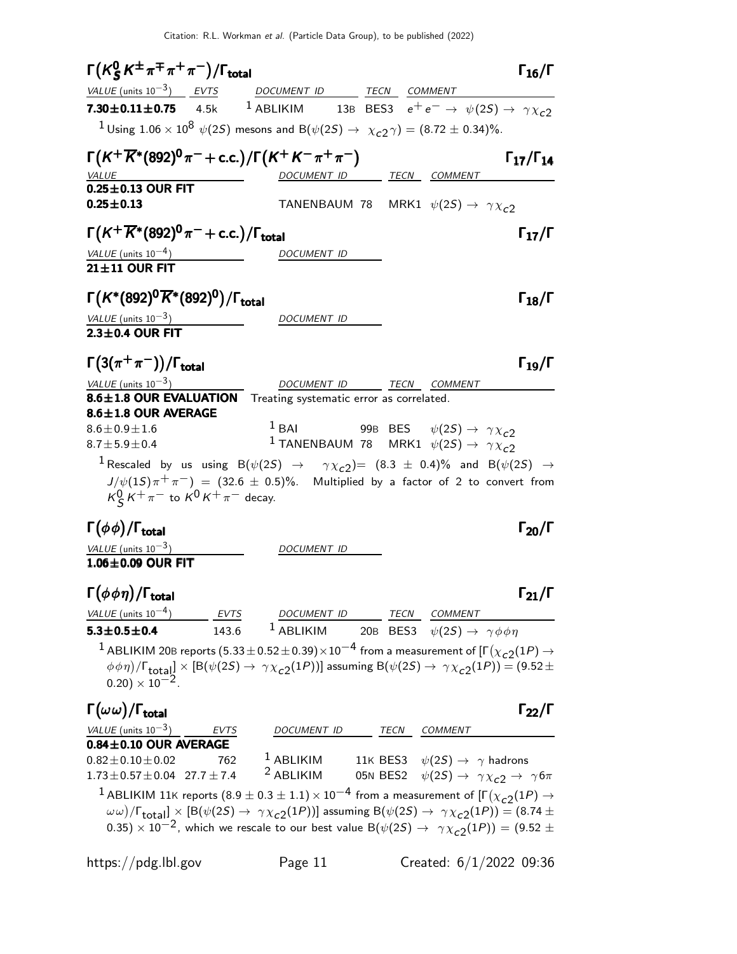Citation: R.L. Workman et al. (Particle Data Group), to be published (2022)

| $\Gamma(K_S^0 K^{\pm} \pi^{\mp} \pi^+ \pi^-)/\Gamma_{\text{total}}$                                                                                                                             |                          | $\Gamma_{16}/\Gamma$                                                                                                                                                                                                                                                                                                                                                                                                                |
|-------------------------------------------------------------------------------------------------------------------------------------------------------------------------------------------------|--------------------------|-------------------------------------------------------------------------------------------------------------------------------------------------------------------------------------------------------------------------------------------------------------------------------------------------------------------------------------------------------------------------------------------------------------------------------------|
| VALUE (units $10^{-3}$ ) EVTS DOCUMENT ID TECN COMMENT                                                                                                                                          |                          |                                                                                                                                                                                                                                                                                                                                                                                                                                     |
| <b>7.30 ± 0.11 ± 0.75</b> 4.5k <sup>1</sup> ABLIKIM 13B BES3 $e^+e^- \rightarrow \psi(2S) \rightarrow \gamma \chi_{c2}$                                                                         |                          |                                                                                                                                                                                                                                                                                                                                                                                                                                     |
| <sup>1</sup> Using 1.06 $\times$ 10 <sup>8</sup> $\psi$ (2 <i>S</i> ) mesons and B( $\psi$ (2 <i>S</i> ) $\rightarrow$ $\chi$ <sub><i>c</i></sub> <sub>2</sub> $\gamma$ ) = (8.72 $\pm$ 0.34)%. |                          |                                                                                                                                                                                                                                                                                                                                                                                                                                     |
| $\Gamma(K^+\overline{K}{}^*(892)^0\pi^-+c.c.)/\Gamma(K^+K^-\pi^+\pi^-)$<br><i>VALUE</i>                                                                                                         |                          | $\Gamma_{17}/\Gamma_{14}$<br>DOCUMENT ID TECN COMMENT                                                                                                                                                                                                                                                                                                                                                                               |
| $0.25\pm0.13$ OUR FIT                                                                                                                                                                           |                          |                                                                                                                                                                                                                                                                                                                                                                                                                                     |
| $0.25 \pm 0.13$                                                                                                                                                                                 |                          | TANENBAUM 78 MRK1 $\psi(2S) \rightarrow \gamma \chi_{c2}$                                                                                                                                                                                                                                                                                                                                                                           |
| $\Gamma(K^+\overline{K}{}^*(892)^0\pi^-+$ c.c.)/ $\Gamma_{\rm total}$                                                                                                                           |                          | $\Gamma_{17}/\Gamma$                                                                                                                                                                                                                                                                                                                                                                                                                |
| VALUE (units $10^{-4}$ )                                                                                                                                                                        | DOCUMENT ID              |                                                                                                                                                                                                                                                                                                                                                                                                                                     |
| 21±11 OUR FIT                                                                                                                                                                                   |                          |                                                                                                                                                                                                                                                                                                                                                                                                                                     |
| $\Gamma(K^*(892)^0\overline{K}^*(892)^0)/\Gamma_{\rm total}$                                                                                                                                    |                          | $\Gamma_{18}/\Gamma$                                                                                                                                                                                                                                                                                                                                                                                                                |
| VALUE (units $10^{-3}$ )                                                                                                                                                                        | <i>DOCUMENT ID</i>       |                                                                                                                                                                                                                                                                                                                                                                                                                                     |
| 2.3±0.4 OUR FIT                                                                                                                                                                                 |                          |                                                                                                                                                                                                                                                                                                                                                                                                                                     |
| $\Gamma(3(\pi^+\pi^-))/\Gamma_{\rm total}$                                                                                                                                                      |                          | $\Gamma_{19}/\Gamma$                                                                                                                                                                                                                                                                                                                                                                                                                |
| VALUE (units $10^{-3}$ )                                                                                                                                                                        |                          | DOCUMENT ID TECN COMMENT                                                                                                                                                                                                                                                                                                                                                                                                            |
| 8.6±1.8 OUR EVALUATION Treating systematic error as correlated.<br>8.6±1.8 OUR AVERAGE                                                                                                          |                          |                                                                                                                                                                                                                                                                                                                                                                                                                                     |
| $8.6 \pm 0.9 \pm 1.6$                                                                                                                                                                           | $1$ BAI                  | 99B BES $\psi(2S) \rightarrow \gamma \chi_{c2}$                                                                                                                                                                                                                                                                                                                                                                                     |
| $8.7 \pm 5.9 \pm 0.4$                                                                                                                                                                           |                          | <sup>1</sup> TANENBAUM 78 MRK1 $\psi(2S) \rightarrow \gamma \chi_{c2}$                                                                                                                                                                                                                                                                                                                                                              |
| $K_S^0 K^+ \pi^-$ to $K^0 K^+ \pi^-$ decay.                                                                                                                                                     |                          | $^1$ Rescaled by us using B( $\psi(2S)$ $\rightarrow$ $\gamma\chi_{c2})$ $=(8.3\,\pm\,0.4)\%$ and B( $\psi(2S)\,\rightarrow\,$<br>$J/\psi(1S)\pi^{+}\pi^{-}$ = (32.6 $\pm$ 0.5)%. Multiplied by a factor of 2 to convert from                                                                                                                                                                                                       |
| $\Gamma(\phi\phi)/\Gamma_{\rm total}$                                                                                                                                                           |                          | $\Gamma_{20}/\Gamma$                                                                                                                                                                                                                                                                                                                                                                                                                |
| VALUE (units $10^{-3}$ )                                                                                                                                                                        | DOCUMENT ID              |                                                                                                                                                                                                                                                                                                                                                                                                                                     |
| $1.06\pm0.09$ OUR FIT                                                                                                                                                                           |                          |                                                                                                                                                                                                                                                                                                                                                                                                                                     |
| $\Gamma(\phi\phi\eta)/\Gamma_{\rm total}$                                                                                                                                                       |                          | $\Gamma_{21}/\Gamma$                                                                                                                                                                                                                                                                                                                                                                                                                |
| VALUE (units $10^{-4}$ )                                                                                                                                                                        |                          |                                                                                                                                                                                                                                                                                                                                                                                                                                     |
| $5.3 \pm 0.5 \pm 0.4$                                                                                                                                                                           |                          | $\frac{EVTS}{143.6}$ $\frac{DOCUMENT \; ID}{14BLIKIM}$ $\frac{TECN}{20B}$ $\frac{COMMENT}{BES3}$ $\psi(2S) \rightarrow \gamma \phi \phi \eta$                                                                                                                                                                                                                                                                                       |
| $(0.20) \times 10^{-2}$ .                                                                                                                                                                       |                          | $^1$ ABLIKIM 20B reports (5.33 $\pm$ 0.52 $\pm$ 0.39) $\times10^{-4}$ from a measurement of [F( $\chi_{c2}(1P)$ $\rightarrow$<br>$(\phi \phi \eta)/\Gamma_{\text{total}}] \times [B(\psi(2S) \to \gamma \chi_{c2}(1P))]$ assuming $B(\psi(2S) \to \gamma \chi_{c2}(1P)) = (9.52 \pm 1)$                                                                                                                                             |
| $\Gamma(\omega\,\omega)/\Gamma_{\rm total}$                                                                                                                                                     |                          | $\Gamma_{22}/\Gamma$                                                                                                                                                                                                                                                                                                                                                                                                                |
| $\frac{\text{VALU E (units 10}^{-3})}{\text{0.84} \pm \text{0.10 OUR AVERAGE}}$                                                                                                                 | DOCUMENT ID TECN COMMENT |                                                                                                                                                                                                                                                                                                                                                                                                                                     |
|                                                                                                                                                                                                 |                          |                                                                                                                                                                                                                                                                                                                                                                                                                                     |
| $0.82 \pm 0.10 \pm 0.02$<br>762<br>$1.73 \pm 0.57 \pm 0.04$ 27.7 $\pm$ 7.4                                                                                                                      |                          | <sup>1</sup> ABLIKIM 11K BES3 $\psi(2S) \rightarrow \gamma$ hadrons<br><sup>2</sup> ABLIKIM 05N BES2 $\psi(2S) \rightarrow \gamma \chi_{c2} \rightarrow \gamma 6\pi$                                                                                                                                                                                                                                                                |
|                                                                                                                                                                                                 |                          | <sup>1</sup> ABLIKIM 11K reports $(8.9 \pm 0.3 \pm 1.1) \times 10^{-4}$ from a measurement of $[\Gamma(\chi_{c2}(1P) \rightarrow$<br>$(\omega \omega)/\Gamma_{\text{total}}] \times [B(\psi(2S) \to \gamma \chi_{c2}(1P))]$ assuming $B(\psi(2S) \to \gamma \chi_{c2}(1P)) = (8.74 \pm 1.0)$<br>0.35) $\times$ 10 <sup>-2</sup> , which we rescale to our best value B( $\psi(2S) \rightarrow \gamma \chi_{c2}(1P)) = (9.52 \pm 1)$ |

https://pdg.lbl.gov Page 11 Created: 6/1/2022 09:36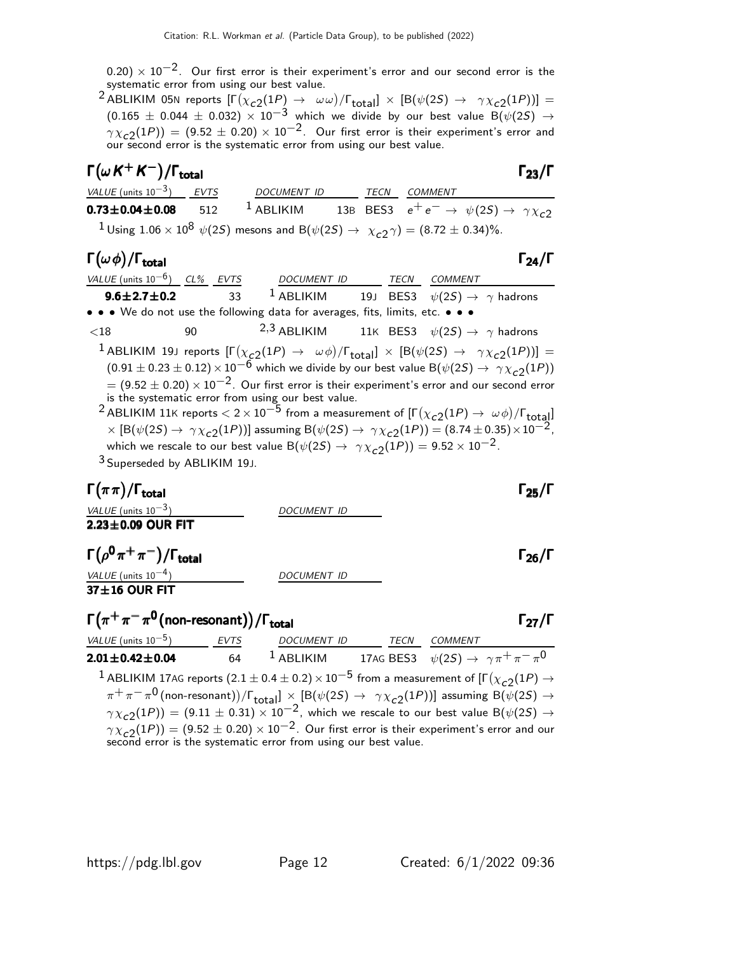$(0.20)\times 10^{-2}$ . Our first error is their experiment's error and our second error is the systematic error from using our best value.

 $^2$  ABLIKIM 05N reports  $[\Gamma(\chi_{c2}(1P) \to \omega\omega)/\Gamma_{\rm total}]\times[{\cal B}(\psi(2S) \to \gamma\chi_{c2}(1P))] =$  $(0.165 \pm 0.044 \pm 0.032) \times 10^{-3}$  which we divide by our best value B( $\psi(25) \rightarrow$  $\gamma \chi_{\tt C2}(1P))\,=\,(9.52\,\pm\,0.20)\times 10^{-2}$  . Our first error is their experiment's error and our second error is the systematic error from using our best value.

| $\Gamma(\omega K^+ K^-)/\Gamma_{\rm total}$ |     |                                                                                                                                                      |      |                                                                     | $\Gamma_{23}/\Gamma$ |
|---------------------------------------------|-----|------------------------------------------------------------------------------------------------------------------------------------------------------|------|---------------------------------------------------------------------|----------------------|
| VALUE (units $10^{-3}$ ) EVTS               |     | <b>DOCUMENT ID</b>                                                                                                                                   | TECN | <i>COMMENT</i>                                                      |                      |
| $0.73 \pm 0.04 \pm 0.08$                    | 512 | $^1$ ABLIKIM                                                                                                                                         |      | 13B BES3 $e^+e^- \rightarrow \psi(2S) \rightarrow \gamma \chi_{c2}$ |                      |
|                                             |     | <sup>1</sup> Using 1.06 × 10 <sup>8</sup> $\psi$ (2 <i>S</i> ) mesons and B( $\psi$ (2 <i>S</i> ) $\rightarrow \chi_{c2} \gamma$ ) = (8.72 ± 0.34)%. |      |                                                                     |                      |

#### $\Gamma(\omega\phi)/\Gamma_{\rm total}$  Γ<sub>24</sub>/Γ

| VALUE (units $10^{-6}$ ) CL% EVTS       |                 | DOCUMENT ID TECN                                                                                                                                                |  | <i>COMMENT</i>                                                                                                                                                                                                                                                                                                                                                                                                                                                                                                                                                                                                                                                                                           |
|-----------------------------------------|-----------------|-----------------------------------------------------------------------------------------------------------------------------------------------------------------|--|----------------------------------------------------------------------------------------------------------------------------------------------------------------------------------------------------------------------------------------------------------------------------------------------------------------------------------------------------------------------------------------------------------------------------------------------------------------------------------------------------------------------------------------------------------------------------------------------------------------------------------------------------------------------------------------------------------|
| $9.6 \pm 2.7 \pm 0.2$                   | $\overline{33}$ |                                                                                                                                                                 |  | <sup>1</sup> ABLIKIM 19J BES3 $\psi(2S) \rightarrow \gamma$ hadrons                                                                                                                                                                                                                                                                                                                                                                                                                                                                                                                                                                                                                                      |
|                                         |                 | • • • We do not use the following data for averages, fits, limits, etc. • • •                                                                                   |  |                                                                                                                                                                                                                                                                                                                                                                                                                                                                                                                                                                                                                                                                                                          |
| ${<}18$                                 | 90              |                                                                                                                                                                 |  | <sup>2,3</sup> ABLIKIM 11K BES3 $\psi(2S) \rightarrow \gamma$ hadrons                                                                                                                                                                                                                                                                                                                                                                                                                                                                                                                                                                                                                                    |
| <sup>3</sup> Superseded by ABLIKIM 19J. |                 | is the systematic error from using our best value.<br>which we rescale to our best value $B(\psi(2S) \rightarrow \gamma \chi_{c2}(1P)) = 9.52 \times 10^{-2}$ . |  | <sup>1</sup> ABLIKIM 19J reports $[\Gamma(\chi_{c2}(1P) \to \omega \phi)/\Gamma_{\text{total}}] \times [B(\psi(2S) \to \gamma \chi_{c2}(1P))] =$<br>$(0.91 \pm 0.23 \pm 0.12) \times 10^{-6}$ which we divide by our best value B $(\psi(2S) \rightarrow \gamma \chi_{c2}(1P))$<br>$= (9.52 \pm 0.20) \times 10^{-2}$ . Our first error is their experiment's error and our second error<br><sup>2</sup> ABLIKIM 11K reports $< 2 \times 10^{-5}$ from a measurement of $[\Gamma(\chi_{c2}(1P) \to \omega \phi)/\Gamma_{\text{total}}]$<br>$\times$ [B( $\psi$ (2S) $\rightarrow \gamma \chi_{c2}(1P)$ ] assuming B( $\psi$ (2S) $\rightarrow \gamma \chi_{c2}(1P)$ ) = (8.74 ± 0.35) $\times 10^{-2}$ , |

| $\Gamma(\pi\pi)/\Gamma_{\rm total}$                                                                                                              |                                                                                                                                                             |  | $\Gamma_{25}/\Gamma$ |
|--------------------------------------------------------------------------------------------------------------------------------------------------|-------------------------------------------------------------------------------------------------------------------------------------------------------------|--|----------------------|
| VALUE (units $10^{-3}$ )                                                                                                                         | <i>DOCUMENT ID</i>                                                                                                                                          |  |                      |
| $2.23 \pm 0.09$ OUR FIT                                                                                                                          |                                                                                                                                                             |  |                      |
| $\Gamma(\rho^0\pi^+\pi^-)/\Gamma_{\rm total}$<br>VALUE (units $10^{-4}$ )<br>37±16 OUR FIT                                                       | <b>DOCUMENT ID</b>                                                                                                                                          |  | $\Gamma_{26}/\Gamma$ |
| $\Gamma(\pi^+\pi^-\pi^0$ (non-resonant))/ $\Gamma_{\rm total}$                                                                                   |                                                                                                                                                             |  | $\Gamma_{27}/\Gamma$ |
| $VALUE$ (units $10^{-5}$ ) EVTS                                                                                                                  | DOCUMENT ID TECN COMMENT                                                                                                                                    |  |                      |
| $2.01 \pm 0.42 \pm 0.04$ 64                                                                                                                      | <sup>1</sup> ABLIKIM 17AG BES3 $\psi(2S) \rightarrow \gamma \pi^+ \pi^- \pi^0$                                                                              |  |                      |
| <sup>1</sup> ABLIKIM 17AG reports (2.1 $\pm$ 0.4 $\pm$ 0.2) $\times$ 10 <sup>-5</sup> from a measurement of [ $\Gamma(\chi_{c2}(1P) \rightarrow$ |                                                                                                                                                             |  |                      |
|                                                                                                                                                  | $\pi^+\pi^-\pi^0$ (non-resonant))/ $\Gamma_{\text{total}}$ ] $\times$ [B( $\psi(2S) \rightarrow \gamma \chi_{c2}(1P)$ )] assuming B( $\psi(2S) \rightarrow$ |  |                      |
|                                                                                                                                                  | $\gamma \chi_{c2}(1P)$ ) = (9.11 $\pm$ 0.31) $\times$ 10 <sup>-2</sup> , which we rescale to our best value B( $\psi(2S) \rightarrow$                       |  |                      |

 $\gamma \chi_{\tt c2}^{\tt} (1P)) = (9.52 \pm 0.20) \times 10^{-2}$ . Our first error is their experiment's error and our second error is the systematic error from using our best value.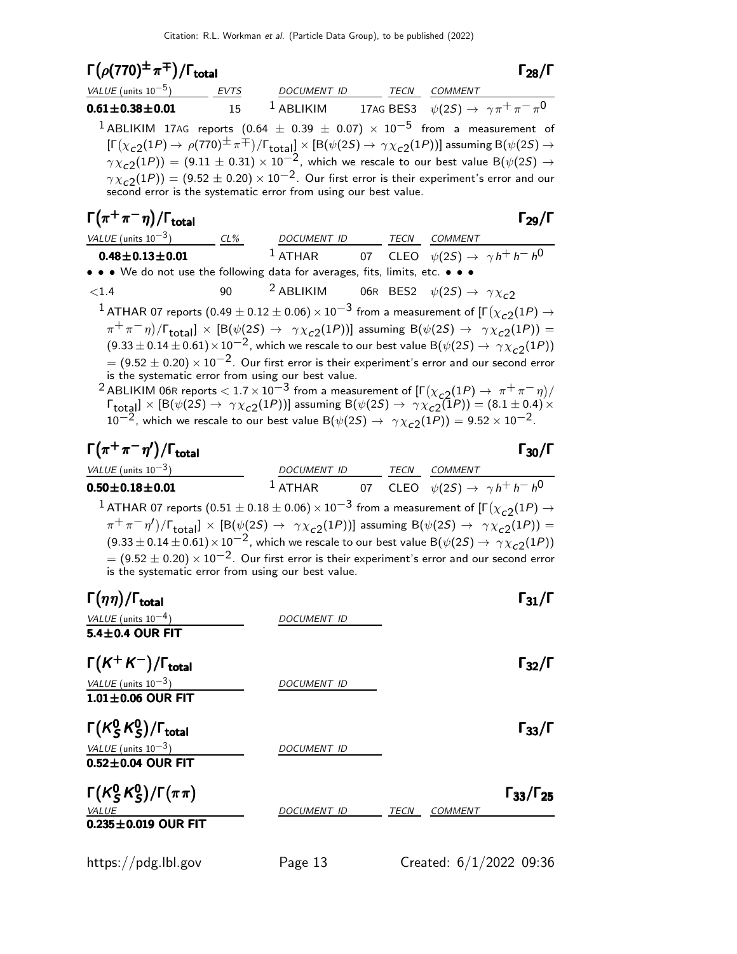| $\Gamma(\rho(770)^{\pm}\pi^{\mp})/\Gamma_{\rm total}$                                                                                                                                                                                                                                                                                                                                                                                                                                                                                                                                                                                                                                                                                                                                                                                           |    |                                                                                |  | $\Gamma_{28}/\Gamma$      |
|-------------------------------------------------------------------------------------------------------------------------------------------------------------------------------------------------------------------------------------------------------------------------------------------------------------------------------------------------------------------------------------------------------------------------------------------------------------------------------------------------------------------------------------------------------------------------------------------------------------------------------------------------------------------------------------------------------------------------------------------------------------------------------------------------------------------------------------------------|----|--------------------------------------------------------------------------------|--|---------------------------|
| $VALUE$ (units $10^{-5}$ ) EVTS DOCUMENT ID TECN COMMENT                                                                                                                                                                                                                                                                                                                                                                                                                                                                                                                                                                                                                                                                                                                                                                                        |    |                                                                                |  |                           |
| $0.61 \pm 0.38 \pm 0.01$                                                                                                                                                                                                                                                                                                                                                                                                                                                                                                                                                                                                                                                                                                                                                                                                                        | 15 | <sup>1</sup> ABLIKIM 17AG BES3 $\psi(2S) \rightarrow \gamma \pi^+ \pi^- \pi^0$ |  |                           |
| $^1$ ABLIKIM 17AG reports (0.64 $\pm$ 0.39 $\pm$ 0.07) $\times$ 10 <sup>-5</sup> from a measurement of<br>$[\Gamma(\chi_{c2}(1P) \to \rho(770)^{\pm} \pi^{\mp})/\Gamma_{\text{total}}] \times [B(\psi(2S) \to \gamma \chi_{c2}(1P))]$ assuming $B(\psi(2S) \to$<br>$\gamma \chi_{\rm c2}(1P))=(9.11\pm0.31)\times 10^{-2}$ , which we rescale to our best value B $(\psi(2S)\rightarrow$<br>$\gamma \chi_{c2}(1P)$ ) = (9.52 $\pm$ 0.20) × 10 <sup>-2</sup> . Our first error is their experiment's error and our second error is the systematic error from using our best value.                                                                                                                                                                                                                                                               |    |                                                                                |  |                           |
| $\Gamma(\pi^+\pi^-\eta)/\Gamma_{\rm total}$                                                                                                                                                                                                                                                                                                                                                                                                                                                                                                                                                                                                                                                                                                                                                                                                     |    |                                                                                |  | $\Gamma_{29}/\Gamma$      |
| $\frac{\text{VALU E (units 10}^{-3})}{\text{0.48} \pm \text{0.13} \pm \text{0.01}}$ $\frac{\text{CL\%}}{1 \text{ ATHAR}}$ $\frac{\text{DOCUMENT ID}}{\text{O} \cdot \text{CLEO}}$ $\frac{\text{TCN}}{\psi(2S)} \rightarrow \gamma h^+ h^- h^0$                                                                                                                                                                                                                                                                                                                                                                                                                                                                                                                                                                                                  |    |                                                                                |  |                           |
|                                                                                                                                                                                                                                                                                                                                                                                                                                                                                                                                                                                                                                                                                                                                                                                                                                                 |    |                                                                                |  |                           |
| • • • We do not use the following data for averages, fits, limits, etc. • • •                                                                                                                                                                                                                                                                                                                                                                                                                                                                                                                                                                                                                                                                                                                                                                   |    |                                                                                |  |                           |
| < 1.4                                                                                                                                                                                                                                                                                                                                                                                                                                                                                                                                                                                                                                                                                                                                                                                                                                           | 90 | <sup>2</sup> ABLIKIM 06R BES2 $\psi(2S) \rightarrow \gamma \chi_{c2}$          |  |                           |
| $(\pi^+\pi^-\eta)/\Gamma_{\text{total}}] \times [B(\psi(2S) \to \gamma \chi_{c2}(1P))]$ assuming $B(\psi(2S) \to \gamma \chi_{c2}(1P)) =$<br>$(9.33 \pm 0.14 \pm 0.61) \times 10^{-2}$ , which we rescale to our best value B $(\psi(2S) \rightarrow \gamma \chi_{c2}(1P))$<br>$= (9.52 \pm 0.20) \times 10^{-2}$ . Our first error is their experiment's error and our second error<br>is the systematic error from using our best value.<br><sup>2</sup> ABLIKIM 06R reports $< 1.7 \times 10^{-3}$ from a measurement of $[\Gamma(\chi_{c2}(1P) \to \pi^+ \pi^- \eta)/\Gamma_{\text{total}}] \times [B(\psi(2S) \to \gamma \chi_{c2}(1P))]$ assuming $B(\psi(2S) \to \gamma \chi_{c2}(1P)) = (8.1 \pm 0.4) \times$<br>$10^{-2}$ , which we rescale to our best value B $(\psi(2S) \rightarrow \gamma \chi_{c2}(1P)) = 9.52 \times 10^{-2}$ . |    |                                                                                |  |                           |
| $\Gamma(\pi^+\pi^-\eta')/\Gamma_{\rm total}$                                                                                                                                                                                                                                                                                                                                                                                                                                                                                                                                                                                                                                                                                                                                                                                                    |    |                                                                                |  | $\Gamma_{30}/\Gamma$      |
| VALUE (units $10^{-3}$ )                                                                                                                                                                                                                                                                                                                                                                                                                                                                                                                                                                                                                                                                                                                                                                                                                        |    | DOCUMENT ID TECN COMMENT                                                       |  |                           |
| $0.50 \pm 0.18 \pm 0.01$                                                                                                                                                                                                                                                                                                                                                                                                                                                                                                                                                                                                                                                                                                                                                                                                                        |    | <sup>1</sup> ATHAR 07 CLEO $\psi(2S) \rightarrow \gamma h^+ h^- h^0$           |  |                           |
| $^1$ ATHAR 07 reports $(0.51\pm0.18\pm0.06)\times10^{-3}$ from a measurement of [F $(\chi_{c2}(1P)\rightarrow$<br>$\pi^+\pi^-\eta'$ )/ $\Gamma_{\text{total}}$ ] × [B( $\psi(2S) \rightarrow \gamma \chi_{c2}(1P)$ )] assuming B( $\psi(2S) \rightarrow \gamma \chi_{c2}(1P)$ ) =<br>$(9.33 \pm 0.14 \pm 0.61) \times 10^{-2}$ , which we rescale to our best value B $(\psi(2S) \rightarrow \gamma \chi_{c2}(1P))$<br>$\sigma = (9.52 \pm 0.20) \times 10^{-2}$ . Our first error is their experiment's error and our second error<br>is the systematic error from using our best value.                                                                                                                                                                                                                                                       |    |                                                                                |  |                           |
| $\sqrt{2}$<br>$\Gamma(\eta\eta)/\Gamma_{\rm total}$                                                                                                                                                                                                                                                                                                                                                                                                                                                                                                                                                                                                                                                                                                                                                                                             |    |                                                                                |  | $\Gamma_{31}/I$           |
| VALUE (units $10^{-4}$ )                                                                                                                                                                                                                                                                                                                                                                                                                                                                                                                                                                                                                                                                                                                                                                                                                        |    | DOCUMENT ID                                                                    |  |                           |
| 5.4±0.4 OUR FIT                                                                                                                                                                                                                                                                                                                                                                                                                                                                                                                                                                                                                                                                                                                                                                                                                                 |    |                                                                                |  |                           |
| $\Gamma(K^+K^-)/\Gamma_{\rm total}$<br>$\frac{VALUE (units 10^{-3})}{1.01 \pm 0.06}$ OUR FIT                                                                                                                                                                                                                                                                                                                                                                                                                                                                                                                                                                                                                                                                                                                                                    |    | DOCUMENT ID                                                                    |  | $\Gamma_{32}/\Gamma$      |
| $\Gamma(K_S^0K_S^0)/\Gamma_{\rm total}$<br>$\frac{VALUE (units 10^{-3})}{0.52 \pm 0.04 \text{ OUR FIT}}$                                                                                                                                                                                                                                                                                                                                                                                                                                                                                                                                                                                                                                                                                                                                        |    | DOCUMENT ID                                                                    |  | $\Gamma_{33}/\Gamma$      |
| $\Gamma(K_S^0 K_S^0)/\Gamma(\pi\pi)$<br>VALUE<br>$0.235 \pm 0.019$ OUR FIT                                                                                                                                                                                                                                                                                                                                                                                                                                                                                                                                                                                                                                                                                                                                                                      |    | DOCUMENT ID TECN COMMENT                                                       |  | $\Gamma_{33}/\Gamma_{25}$ |

https://pdg.lbl.gov Page 13 Created: 6/1/2022 09:36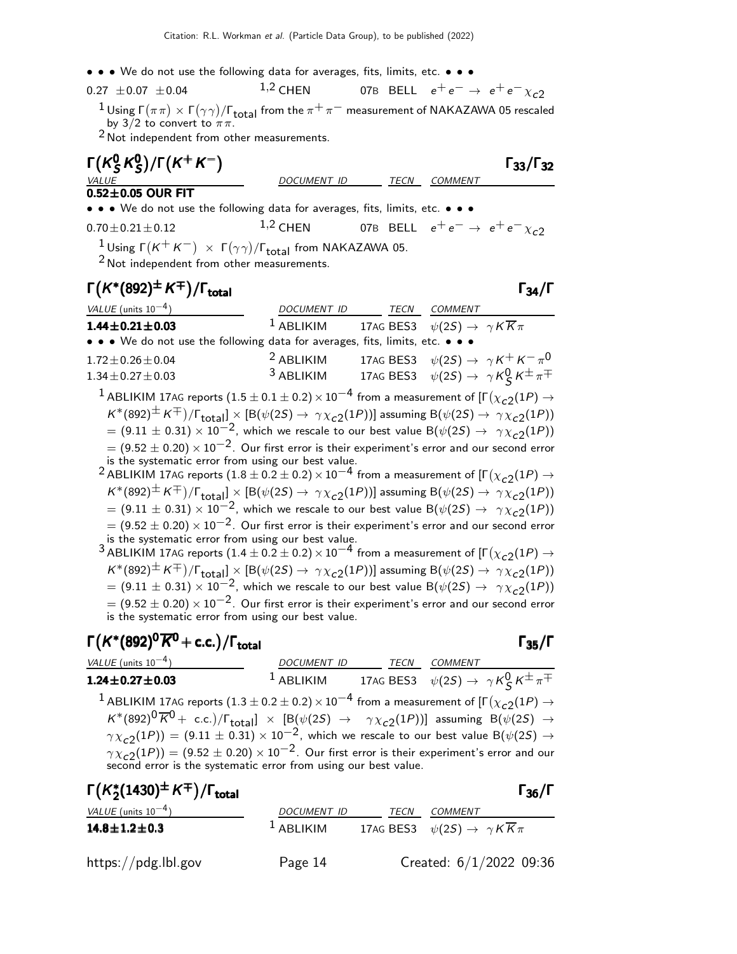• • • We do not use the following data for averages, fits, limits, etc. • • •

0.27 
$$
\pm
$$
 0.07  $\pm$  0.04  $1,2$  CHEN 07B BELL  $e^+e^- \rightarrow e^+e^- \chi_{c2}$ 

 $\frac{1}{\pi}$  Using  $\Gamma(\pi\pi) \times \Gamma(\gamma\gamma)/\Gamma_{\text{total}}$  from the  $\pi^+\pi^-$  measurement of NAKAZAWA 05 rescaled by 3/2 to convert to  $\pi\pi$ .

DOCUMENT ID TECN COMMENT

<sup>2</sup> Not independent from other measurements.

$$
\Gamma(K_S^0 K_S^0)/\Gamma(K^+ K^-)
$$

$$
\overline{\stackrel{\text{MIDE}}{0.52 \pm 0.05 \text{ OUR FIT}}}
$$

• • • We do not use the following data for averages, fits, limits, etc. • • •

 $0.70 \pm 0.21 \pm 0.12$  1,2 CHEN 07B BELL  $e^+e^- \rightarrow e^+e^- \chi_{c2}$ 

 $\frac{1}{2}$  Using  $\Gamma(K^+K^-) \times \Gamma(\gamma\gamma)/\Gamma_{\text{total}}$  from NAKAZAWA 05.

2 Not independent from other measurements.

## $\Gamma(K^*(892)^\pm K^\mp)/\Gamma_{\text{total}}$  Γ<sub>34</sub>/Γ

VALUE (units  $10^{-4}$ ) DOCUMENT ID TECN COMMENT **1.44±0.21±0.03** <sup>1</sup> ABLIKIM 17AG BES3  $\psi(2S) \rightarrow \gamma K \overline{K} \pi$ • • • We do not use the following data for averages, fits, limits, etc. • • •  $1.72\pm0.26\pm0.04$   $2$  ABLIKIM  $17$ AG BES3  $\psi(2S) \rightarrow \ \gamma K^+ K^- \pi^0$ 1.34 $\pm$ 0.27 $\pm$ 0.03 3 ABLIKIM 17AG BES3  $\psi(25) \rightarrow \gamma K_S^0 K^{\pm} \pi^{\mp}$  $^1$  ABLIKIM 17AG reports  $(1.5\pm0.1\pm0.2)\times10^{-4}$  from a measurement of [Г $(\chi_{c2}(1P) \rightarrow$  $\kappa^*(892)^\pm \, \kappa^\mp)/\Gamma_\text{total} \times \left[ \text{B}(\psi(2S) \to \, \gamma \chi_{c2}(1P)) \right]$  assuming  $\text{B}(\psi(2S) \to \, \gamma \chi_{c2}(1P))$ 

 $= (9.11 \pm 0.31) \times 10^{-2}$ , which we rescale to our best value B( $\psi(2S) \rightarrow \gamma \chi_{c2}(1P)$ )  $= (9.52 \pm 0.20) \times 10^{-2}$ . Our first error is their experiment's error and our second error is the systematic error from using our best value.

 $^2$  ABLIKIM 17AG reports  $(1.8\pm0.2\pm0.2)\times10^{-4}$  from a measurement of [Г $(\chi_{c2}(1P) \rightarrow$  $K^*(892)^\pm K^\mp)/\Gamma_\text{total}$  ×  $[B(\psi(2S) \to \gamma \chi_{c2}(1P))]$  assuming  $B(\psi(2S) \to \gamma \chi_{c2}(1P))$  $= (9.11 \pm 0.31) \times 10^{-2}$ , which we rescale to our best value B( $\psi(2S) \rightarrow \gamma \chi_{c2}(1P)$ )  $= (9.52 \pm 0.20) \times 10^{-2}$ . Our first error is their experiment's error and our second error is the systematic error from using our best value.

 $^3$  ABLIKIM 17AG reports  $(1.4\pm0.2\pm0.2)\times10^{-4}$  from a measurement of [Г $(\chi_{c2}(1P) \rightarrow$  $\kappa^*(892)^\pm \, \kappa^\mp)/\Gamma_\text{total} \times \left[ \text{B}(\psi(2S) \to \, \gamma \chi_{c2}(1P)) \right]$  assuming  $\text{B}(\psi(2S) \to \, \gamma \chi_{c2}(1P))$  $= (9.11 \pm 0.31) \times 10^{-2}$ , which we rescale to our best value B( $\psi(2S) \rightarrow \gamma \chi_{c2}(1P)$ )  $= (9.52 \pm 0.20) \times 10^{-2}$ . Our first error is their experiment's error and our second error is the systematic error from using our best value.

# $\Gamma(K^*(892)^0\overline{K}^0$  + c.c.)/Γ<sub>total</sub>Γ35/Γ

Γ33/Γ

VALUE (units 10<sup>-4</sup>) DOCUMENT ID TECN COMMENT **1.24±0.27±0.03** <sup>1</sup> ABLIKIM 17AG BES3  $\psi(2S) \rightarrow \gamma K_S^0 K^{\pm} \pi^{\mp}$  $^1$  ABLIKIM 17AG reports  $(1.3\pm0.2\pm0.2)\times10^{-4}$  from a measurement of [Г $(\chi_{c2}(1P) \rightarrow$  $\kappa^*(892)^0\overline{\kappa}^0$  + c.c.)/ $\Gamma_{\rm total}$ ]  $\times$  [B( $\psi(2S)$   $\rightarrow$   $\gamma\chi_{c2}(1P)$ )] assuming B( $\psi(2S)$   $\rightarrow$  $\gamma \chi_{c2}(1P)$ ) = (9.11  $\pm$  0.31)  $\times$  10<sup>-2</sup>, which we rescale to our best value B( $\psi(2S) \rightarrow$  $\gamma \chi_{\tt c2}(1P)) = (9.52 \pm 0.20) \times 10^{-2}$ . Our first error is their experiment's error and our second error is the systematic error from using our best value.

| $\Gamma(K_{2}^{*}(1430)^{\pm}K^{\mp})/\Gamma_{\text{total}}$ |                    |      | $\Gamma_{36}/\Gamma$                                       |
|--------------------------------------------------------------|--------------------|------|------------------------------------------------------------|
| <i>VALUE</i> (units $10^{-4}$ )                              | <b>DOCUMENT ID</b> | TECN | COMMENT                                                    |
| $14.8 \pm 1.2 \pm 0.3$                                       | $1$ ABLIKIM        |      | 17AG BES3 $\psi(2S) \rightarrow \gamma K \overline{K} \pi$ |
| https://pdg.lbl.gov                                          | Page 14            |      | Created: $6/1/2022$ 09:36                                  |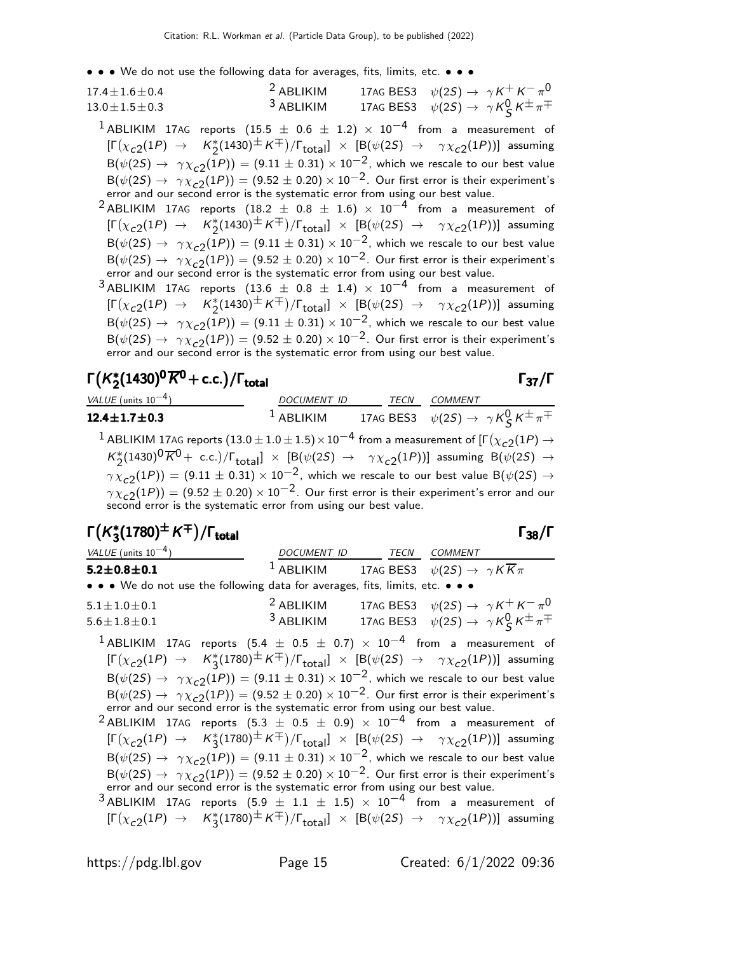• • • We do not use the following data for averages, fits, limits, etc. • • •

| $17.4 \pm 1.6 \pm 0.4$ | $2$ ABLIKIM | 17AG BES3 $\psi(2S) \rightarrow \gamma K^+ K^- \pi^0$           |
|------------------------|-------------|-----------------------------------------------------------------|
| $13.0 \pm 1.5 \pm 0.3$ | $3$ ABLIKIM | 17AG BES3 $\psi(2S) \rightarrow \gamma K_S^0 K^{\pm} \pi^{\mp}$ |

<sup>1</sup> ABLIKIM 17AG reports (15.5  $\pm$  0.6  $\pm$  1.2)  $\times$  10<sup>-4</sup> from a measurement of  $[\Gamma(\chi_{c2}(1P) \rightarrow K_2^*(1430)^\pm K^\mp)/\Gamma_{\rm total}]\times [\beta(\psi(2S) \rightarrow \gamma \chi_{c2}(1P))]$  assuming  ${\mathsf B}(\psi(2{\mathcal S})\to \ \gamma\chi_{\tt C2}(1P))=(9.11\pm 0.31)\times 10^{-2},$  which we rescale to our best value  $B(\psi(2S) \rightarrow \gamma \chi_{c2}(1P)) = (9.52 \pm 0.20) \times 10^{-2}$ . Our first error is their experiment's error and our second error is the systematic error from using our best value.

<sup>2</sup> ABLIKIM 17AG reports (18.2  $\pm$  0.8  $\pm$  1.6) × 10<sup>-4</sup> from a measurement of  $[\Gamma(\chi_{c2}(1P) \rightarrow K_2^*(1430) \pm K \mp)/\Gamma_{\text{total}}] \times [\beta(\psi(2S) \rightarrow \gamma \chi_{c2}(1P))]$  assuming  ${\mathsf B}(\psi(2{\mathcal S})\to \ \gamma\chi_{\tt C2}(1P))=(9.11\pm 0.31)\times 10^{-2},$  which we rescale to our best value  $B(\psi(2S) \rightarrow \gamma \chi_{c2}(1P)) = (9.52 \pm 0.20) \times 10^{-2}$ . Our first error is their experiment's error and our second error is the systematic error from using our best value.

3 ABLIKIM 17AG reports  $(13.6 \pm 0.8 \pm 1.4) \times 10^{-4}$  from a measurement of  $[\Gamma(\chi_{c2}(1P) \rightarrow K_2^*(1430) \pm K \mp)/\Gamma_{\text{total}}] \times [\beta(\psi(2S) \rightarrow \gamma \chi_{c2}(1P))]$  assuming  $B(\psi(2S) \rightarrow \gamma \chi_{c2}(1P)) = (9.11 \pm 0.31) \times 10^{-2}$ , which we rescale to our best value  $B(\psi(2S) \rightarrow \gamma \chi_{c2}(1P)) = (9.52 \pm 0.20) \times 10^{-2}$ . Our first error is their experiment's error and our second error is the systematic error from using our best value.

#### $\Gamma(K_2^*)$  $\Gamma(K_2^*(1430)^0\overline{K}^0$  + c.c.)/ $\Gamma_{\text{total}}$  Γ<sub>37</sub>/Γ  $\Gamma(K_2^*(1430)^0\overline{K}^0$  + c.c.)/Γ<sub>total</sub>Γ37/Γ

| VALUE (units $10^{-4}$ )                                                                                                                                                                                                                                                                            | DOCUMENT ID | TECN | COMMENT                                                         |
|-----------------------------------------------------------------------------------------------------------------------------------------------------------------------------------------------------------------------------------------------------------------------------------------------------|-------------|------|-----------------------------------------------------------------|
| 12.4 $\pm$ 1.7 $\pm$ 0.3                                                                                                                                                                                                                                                                            | $1$ ABLIKIM |      | 17AG BES3 $\psi(2S) \rightarrow \gamma K^0_S K^{\pm} \pi^{\mp}$ |
| <sup>1</sup> ABLIKIM 17AG reports $(13.0 \pm 1.0 \pm 1.5) \times 10^{-4}$ from a measurement of $[\Gamma(\chi_{c2}(1P) \rightarrow$                                                                                                                                                                 |             |      |                                                                 |
| $K_2^*(1430)^0\overline{K}^0$ + c.c.)/ $\Gamma_{total}$ $\times$ [B( $\psi(2S)$ $\rightarrow$ $\gamma \chi_{c2}(1P)$ )] assuming B( $\psi(2S)$ $\rightarrow$<br>$\gamma \chi_{c2}(1P)$ = (9.11 $\pm$ 0.31) $\times$ 10 <sup>-2</sup> , which we rescale to our best value B( $\psi(2S) \rightarrow$ |             |      |                                                                 |
| $\gamma \chi_{c2}(1P)$ = (9.52 $\pm$ 0.20) $\times$ 10 <sup>-2</sup> . Our first error is their experiment's error and our second error is the systematic error from using our best value.                                                                                                          |             |      |                                                                 |

#### $\Gamma(K_3^*)$  $\Gamma(K_3^*(1780)^\pm K^\mp)/\Gamma_\mathrm{total}$  Γ<sub>38</sub>/Γ /Γ $_{\rm total}$ Γ<sub>38</sub>/Γ

| VALUE (units $10^{-4}$ )                                                                                                                                                                                                                                                                                                                                                                                                                                                                              | DOCUMENT ID TECN COMMENT |                                                                                                                                               |
|-------------------------------------------------------------------------------------------------------------------------------------------------------------------------------------------------------------------------------------------------------------------------------------------------------------------------------------------------------------------------------------------------------------------------------------------------------------------------------------------------------|--------------------------|-----------------------------------------------------------------------------------------------------------------------------------------------|
| $5.2 \pm 0.8 \pm 0.1$                                                                                                                                                                                                                                                                                                                                                                                                                                                                                 |                          | <sup>1</sup> ABLIKIM 17AG BES3 $\psi(2S) \rightarrow \gamma K \overline{K} \pi$                                                               |
| • • • We do not use the following data for averages, fits, limits, etc. • • •                                                                                                                                                                                                                                                                                                                                                                                                                         |                          |                                                                                                                                               |
| $5.1 \pm 1.0 \pm 0.1$<br>$5.6 \pm 1.8 \pm 0.1$                                                                                                                                                                                                                                                                                                                                                                                                                                                        | $2$ ABLIKIM              | 17AG BES3 $\psi(2S) \rightarrow \gamma K^+ K^- \pi^0$<br><sup>3</sup> ABLIKIM 17AG BES3 $\psi(2S) \rightarrow \gamma K_S^0 K^{\pm} \pi^{\mp}$ |
| <sup>1</sup> ABLIKIM 17AG reports $(5.4 \pm 0.5 \pm 0.7) \times 10^{-4}$ from a measurement of<br>$[\Gamma(\chi_{c2}(1P) \rightarrow K_3^*(1780)^\pm K^\mp)/\Gamma_{\text{total}}] \times [B(\psi(2S) \rightarrow \gamma \chi_{c2}(1P))]$ assuming<br>$B(\psi(2S) \rightarrow \gamma \chi_{c2}(1P)) = (9.11 \pm 0.31) \times 10^{-2}$ , which we rescale to our best value<br>$B(\psi(2S) \rightarrow \gamma \chi_{c2}(1P)) = (9.52 \pm 0.20) \times 10^{-2}$ . Our first error is their experiment's |                          |                                                                                                                                               |
| error and our second error is the systematic error from using our best value.                                                                                                                                                                                                                                                                                                                                                                                                                         |                          |                                                                                                                                               |

 $^{2}$ ABLIKIM 17AG reports  $(5.3 \pm 0.5 \pm 0.9) \times 10^{-4}$  from a measurement of  $[\Gamma(\chi_{c2}(1P) \rightarrow K_3^*(1780) \pm K \mp)/\Gamma_{\text{total}}] \times [B(\psi(2S) \rightarrow \gamma \chi_{c2}(1P))]$  assuming  ${\mathsf B}(\psi(2{\mathcal S})\to \ \gamma\chi_{\tt C2}(1P))=(9.11\pm 0.31)\times 10^{-2},$  which we rescale to our best value  $B(\psi(2S) \rightarrow \gamma \chi_{c2}(1P)) = (9.52 \pm 0.20) \times 10^{-2}$ . Our first error is their experiment's error and our second error is the systematic error from using our best value.

 $3$  ABLIKIM 17AG reports  $(5.9 \pm 1.1 \pm 1.5) \times 10^{-4}$  from a measurement of  $[\Gamma(\chi_{c2}(1P) \to K_3^*(1780)^\pm K^\mp)/\Gamma_{\text{total}}] \times [B(\psi(2S) \to \gamma \chi_{c2}(1P))]$  assuming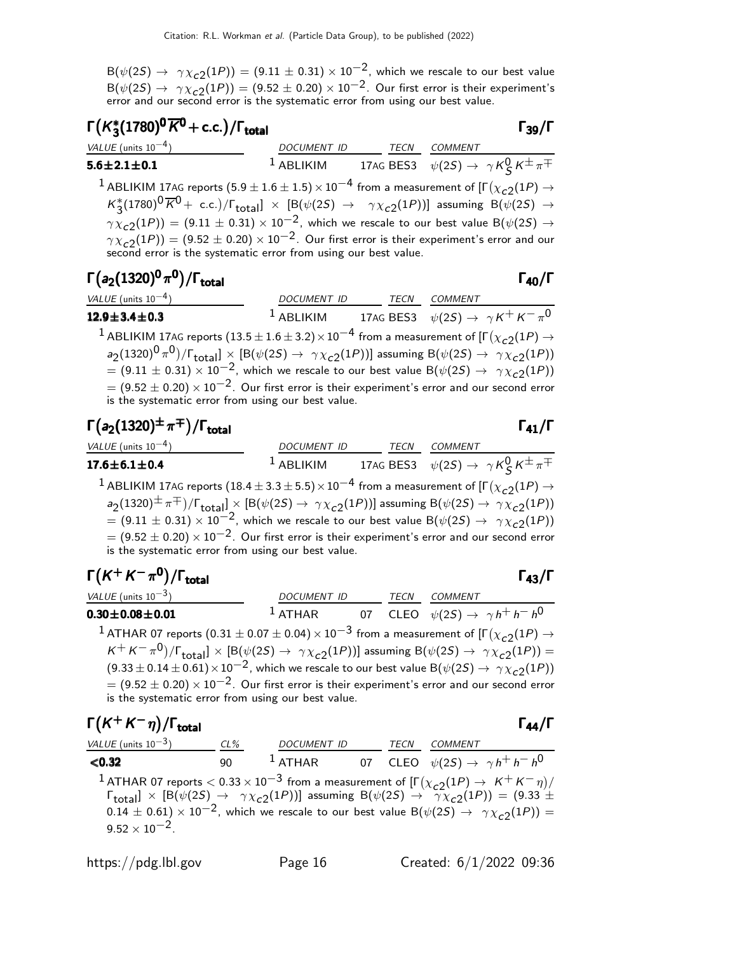${\mathsf B}(\psi(2{\mathcal S})\to \ \gamma\chi_{\tt C2}(1P))=(9.11\pm 0.31)\times 10^{-2}$ , which we rescale to our best value  $B(\psi(2S) \rightarrow \gamma \chi_{c2}(1P)) = (9.52 \pm 0.20) \times 10^{-2}$ . Our first error is their experiment's error and our second error is the systematic error from using our best value.

#### $Γ(K_3^*)$  $\Gamma(K_3^*(1780)^0\overline{K}^0$  + c.c.)/Γ<sub>total</sub> Γ<sub>39</sub>/Γ

VALUE (units  $10^{-4}$ ) ) DOCUMENT ID TECN COMMENT  $5.6 \pm 2.1 \pm 0.1$  $1$  ABLIKIM 17AG BES3  $\psi(2S)$  →  $\gamma K_S^0 K^{\pm} \pi^{\mp}$  $^1$  ABLIKIM 17AG reports  $(5.9 \pm 1.6 \pm 1.5) \times 10^{-4}$  from a measurement of [Г $(\chi_{c2}(1P) \rightarrow$  $K_{3}^{*}(1780)^{0}\overline{K}^{0}$  + c.c.)/ $\Gamma_{\text{total}}$ ]  $\times$  [B( $\psi(2S)$   $\rightarrow$   $\gamma\chi_{c2}(1P)$ )] assuming B( $\psi(2S)$   $\rightarrow$  $\gamma \chi_{c2}(1P)) = (9.11 \pm 0.31) \times 10^{-2}$ , which we rescale to our best value B $(\psi(2S) \rightarrow$  $\gamma \chi_{\tt c2}^{\tt} (1P)) = (9.52 \pm 0.20) \times 10^{-2}$ . Our first error is their experiment's error and our second error is the systematic error from using our best value.

#### Γ $(a_2(1320)^0 \pi^0)/\Gamma_{\rm total}$

total and the contract of the contract of the contract of the contract of the contract of the contract of the c

| VALUE (units $10^{-4}$ )                                                                                                                                            | <b>DOCUMENT ID</b> | TECN | <i>COMMENT</i> |                                                       |
|---------------------------------------------------------------------------------------------------------------------------------------------------------------------|--------------------|------|----------------|-------------------------------------------------------|
| $12.9 \pm 3.4 \pm 0.3$                                                                                                                                              | $1$ ABLIKIM        |      |                | 17AG BES3 $\psi(2S) \rightarrow \gamma K^+ K^- \pi^0$ |
| <sup>1</sup> ABLIKIM 17AG reports (13.5 $\pm$ 1.6 $\pm$ 3.2) $\times$ 10 <sup>-4</sup> from a measurement of [ $\Gamma(\chi_{c2}(1P) \rightarrow$                   |                    |      |                |                                                       |
| $a_2(1320)^0 \pi^0$ / $\Gamma_{\text{total}}$ $\times$ [B( $\psi(2S) \rightarrow \gamma \chi_{c2}(1P)$ )] assuming B( $\psi(2S) \rightarrow \gamma \chi_{c2}(1P)$ ) |                    |      |                |                                                       |
| $= (9.11 \pm 0.31) \times 10^{-2}$ , which we rescale to our best value B( $\psi(2S) \rightarrow \gamma \chi_{c2}(1P)$ )                                            |                    |      |                |                                                       |
| $= (9.52 \pm 0.20) \times 10^{-2}$ . Our first error is their experiment's error and our second error                                                               |                    |      |                |                                                       |
| is the systematic error from using our best value.                                                                                                                  |                    |      |                |                                                       |

# $\Gamma(a_2(1320)^{\pm}\pi^{\mp})/\Gamma_{\text{total}}$ Γ $\Gamma_{41}/\Gamma$

| VALUE (units $10^{-4}$ )<br><b>DOCUMENT ID</b><br><b>COMMENT</b><br>TECN                                                                                    |  |
|-------------------------------------------------------------------------------------------------------------------------------------------------------------|--|
| 17AG BES3 $\psi(2S) \rightarrow \gamma K^0_S K^{\pm} \pi^{\mp}$<br>$^1$ ABLIKIM<br>$17.6 \pm 6.1 \pm 0.4$                                                   |  |
| <sup>1</sup> ABLIKIM 17AG reports (18.4 $\pm$ 3.3 $\pm$ 5.5) $\times$ 10 <sup>-4</sup> from a measurement of [ $\Gamma(\chi_{c2}(1P) \rightarrow$           |  |
| $a_2(1320)^{\pm} \pi^{\mp})/\Gamma_{\text{total}}] \times [B(\psi(2S) \to \gamma \chi_{c2}(1P))]$ assuming $B(\psi(2S) \to \gamma \chi_{c2}(1P))$           |  |
| $= (9.11 \pm 0.31) \times 10^{-2}$ , which we rescale to our best value B( $\psi(2S) \rightarrow \gamma \chi_{c2}(1P)$ )                                    |  |
| $= (9.52 \pm 0.20) \times 10^{-2}$ . Our first error is their experiment's error and our second error<br>is the systematic error from using our best value. |  |

| $\Gamma(K^+K^-\pi^0)/\Gamma_{\rm total}$                                                                                                                                 |                                                                      |  |             |                | Г43/Г |
|--------------------------------------------------------------------------------------------------------------------------------------------------------------------------|----------------------------------------------------------------------|--|-------------|----------------|-------|
| VALUE (units $10^{-3}$ )                                                                                                                                                 | <b>DOCUMENT ID</b>                                                   |  | <b>TECN</b> | <b>COMMENT</b> |       |
| $0.30 \pm 0.08 \pm 0.01$                                                                                                                                                 | <sup>1</sup> ATHAR 07 CLEO $\psi(2S) \rightarrow \gamma h^+ h^- h^0$ |  |             |                |       |
| <sup>1</sup> ATHAR 07 reports $(0.31 \pm 0.07 \pm 0.04) \times 10^{-3}$ from a measurement of $[\Gamma(\chi_{c2}(1P) \rightarrow$                                        |                                                                      |  |             |                |       |
| $K^+ K^- \pi^0$ )/ $\Gamma_{\text{total}}$ $\times$ [B( $\psi$ (2S) $\rightarrow \gamma \chi_{c2}$ (1P))] assuming B( $\psi$ (2S) $\rightarrow \gamma \chi_{c2}$ (1P)) = |                                                                      |  |             |                |       |
| $(9.33 \pm 0.14 \pm 0.61) \times 10^{-2}$ , which we rescale to our best value B $(\psi(2S) \rightarrow \gamma \chi_{c2}(1P))$                                           |                                                                      |  |             |                |       |
| $= (9.52 \pm 0.20) \times 10^{-2}$ . Our first error is their experiment's error and our second error                                                                    |                                                                      |  |             |                |       |
| is the systematic error from using our best value.                                                                                                                       |                                                                      |  |             |                |       |

| $\Gamma(K^+K^-\eta)/\Gamma_{\text{total}}$ |     |                    |      | $\Gamma_{44}/\Gamma$                                                                                                                                                                                                                                                                                                                                                                                              |
|--------------------------------------------|-----|--------------------|------|-------------------------------------------------------------------------------------------------------------------------------------------------------------------------------------------------------------------------------------------------------------------------------------------------------------------------------------------------------------------------------------------------------------------|
| VALUE (units $10^{-3}$ )                   | CL% | <b>DOCUMENT ID</b> | TECN | COMMENT                                                                                                                                                                                                                                                                                                                                                                                                           |
| < 0.32                                     | 90. |                    |      | <sup>1</sup> ATHAR 07 CLEO $\psi(2S) \rightarrow \gamma h^+ h^- h^0$                                                                                                                                                                                                                                                                                                                                              |
| $9.52 \times 10^{-2}$ .                    |     |                    |      | <sup>1</sup> ATHAR 07 reports $<$ 0.33 $\times$ 10 <sup>-3</sup> from a measurement of $[\Gamma(\chi_{c2}(1P) \to K^+K^-\eta)/\Gamma_{\rm total}] \times [\mathsf{B}(\psi(2S) \to \gamma\chi_{c2}(1P))]$ assuming $\mathsf{B}(\psi(2S) \to \gamma\chi_{c2}(1P)) = (9.33 \pm 1.5)$<br>$0.14 \pm 0.61$ ) × 10 <sup>-2</sup> , which we rescale to our best value B( $\psi(2S) \rightarrow \gamma \chi_{c2}(1P)$ ) = |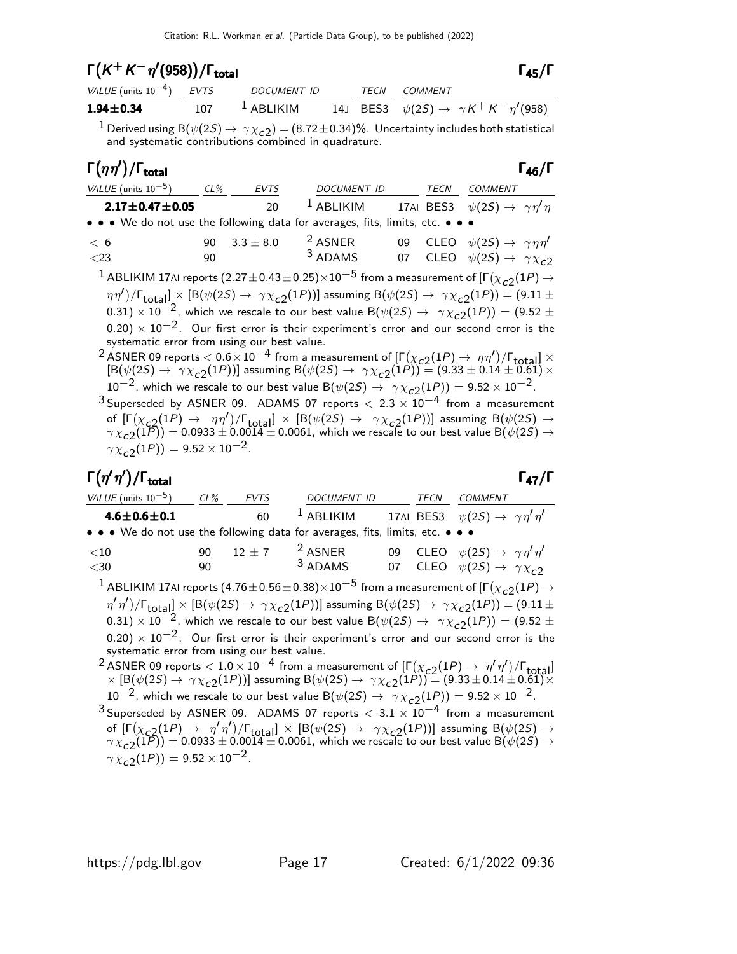# $\Gamma(K^+ K^- \eta' (958)) / \Gamma_{\text{total}}$  Γ<sub>45</sub>/Γ

| VALUE (units $10^{-4}$ ) EVTS | DOCUMENT ID                |  | <i>TECN COMMENT</i>                               |
|-------------------------------|----------------------------|--|---------------------------------------------------|
| $1.94 \!\pm\! 0.34$           | $107$ <sup>1</sup> ABLIKIM |  | 14J BES3 $\psi(2S) \to \gamma K^+ K^- \eta'(958)$ |

 $^1$  Derived using B $(\psi(2S) \to \, \gamma \chi_{\texttt{c2}})$   $=$   $(8.72 \pm 0.34)\%$  . Uncertainty includes both statistical and systematic contributions combined in quadrature.

# $\Gamma(\eta \eta') / \Gamma_{\text{total}}$  Γ<sub>46</sub>/Γ

 $\Gamma_{45}/\Gamma$ 

| <i>VALUE</i> (units $10^{-5}$ )                                                                                       | $CL\%$ | <i>EVTS</i> | DOCUMENT ID                                                             | TECN | COMMENT |  |
|-----------------------------------------------------------------------------------------------------------------------|--------|-------------|-------------------------------------------------------------------------|------|---------|--|
| $2.17 \pm 0.47 \pm 0.05$                                                                                              |        | 20          | <sup>1</sup> ABLIKIM 17AI BES3 $\psi(2S) \rightarrow \gamma \eta' \eta$ |      |         |  |
| $\bullet \bullet \bullet$ We do not use the following data for averages, fits, limits, etc. $\bullet \bullet \bullet$ |        |             |                                                                         |      |         |  |
|                                                                                                                       |        |             | $20.22122$ $2150$ $2150$ $22150$ $100$                                  |      |         |  |

| < 6    | 90 $3.3 \pm 8.0$ | <sup>2</sup> ASNER |  | 09 CLEO $\psi(2S) \rightarrow \gamma \eta \eta'$ |
|--------|------------------|--------------------|--|--------------------------------------------------|
| $<$ 23 | 90.              | $3$ ADAMS          |  | 07 CLEO $\psi(2S) \rightarrow \gamma \chi_{c2}$  |
|        |                  |                    |  |                                                  |

 $^1$  ABLIKIM 17AI reports  $(2.27\pm 0.43\pm 0.25) \times 10^{-5}$  from a measurement of [Г $(\chi_{c2}(1P) \rightarrow$  $(\eta \eta')/\Gamma_{\rm total} \propto [B(\psi(2S) \to \gamma \chi_{c2}(1P))]$  assuming  $B(\psi(2S) \to \gamma \chi_{c2}(1P)) = (9.11 \pm 10^{-4})$ 0.31)  $\times$  10<sup>-2</sup>, which we rescale to our best value B( $\psi(2S) \rightarrow \gamma \chi_{c2}(1P)$ ) = (9.52 ±  $(0.20) \times 10^{-2}$ . Our first error is their experiment's error and our second error is the systematic error from using our best value.

2 ASNER 09 reports  $< 0.6 \times 10^{-4}$  from a measurement of  $\left[ \Gamma(\chi_{c2}(1P) \to \eta \eta') / \Gamma_{\text{total}} \right] \times$  $[\mathsf{B}(\psi(2S) \to \gamma \chi_{c2}(1P))]$  assuming  $\mathsf{B}(\psi(2S) \to \gamma \chi_{c2}(1P)) = (9.33 \pm 0.14 \pm 0.61) \times$  $10^{-2}$ , which we rescale to our best value B( $\psi(2S) \rightarrow \gamma \chi_{c2}(1P) = 9.52 \times 10^{-2}$ .

3 Superseded by ASNER 09. ADAMS 07 reports  $< 2.3 \times 10^{-4}$  from a measurement of  $[\Gamma(\chi_{c2}(1P) \to \eta\eta')/\Gamma_{\text{total}}] \times [B(\psi(2S) \to \gamma\chi_{c2}(1P))]$  assuming  $B(\psi(2S) \to$  $\gamma\chi_{\bf C2}(1P))=$  0.0933  $\pm$  0.0014  $\pm$  0.0061, which we rescale to our best value B( $\psi(2S)\rightarrow$  $\gamma \chi_{c2}^{-}(1P)$ ) = 9.52 × 10<sup>-2</sup>.

## $\Gamma(\eta'\eta')/\Gamma_{\rm total}$

/Γ $_{\rm total}$ Γ $_{\rm 47}/$ Γ

| VALUE (units $10^{-5}$ )                                                                                                                            | $CL\%$   | <i>EVTS</i> | <b>DOCUMENT ID</b>     |  | TECN | COMMENT                                                                                                                                                                              |  |  |
|-----------------------------------------------------------------------------------------------------------------------------------------------------|----------|-------------|------------------------|--|------|--------------------------------------------------------------------------------------------------------------------------------------------------------------------------------------|--|--|
| $4.6 \pm 0.6 \pm 0.1$                                                                                                                               |          | 60          |                        |  |      | <sup>1</sup> ABLIKIM 17AI BES3 $\psi(2S) \rightarrow \gamma \eta' \eta'$                                                                                                             |  |  |
| • • • We do not use the following data for averages, fits, limits, etc. • • •                                                                       |          |             |                        |  |      |                                                                                                                                                                                      |  |  |
| ${<}10$<br>$<$ 30                                                                                                                                   | 90<br>90 | $12 \pm 7$  | $2$ ASNER<br>$3$ ADAMS |  |      | 09 CLEO $\psi(2S) \rightarrow \gamma \eta' \eta'$<br>07 CLEO $\psi(2S) \rightarrow \gamma \chi_{c2}$                                                                                 |  |  |
| <sup>1</sup> ABLIKIM 17AI reports (4.76 $\pm$ 0.56 $\pm$ 0.38) $\times$ 10 <sup>-5</sup> from a measurement of [ $\Gamma(\chi_{c2}(1P) \rightarrow$ |          |             |                        |  |      |                                                                                                                                                                                      |  |  |
|                                                                                                                                                     |          |             |                        |  |      | $\eta'$ $\eta'$ )/ $\Gamma_{\text{total}}$ $\times$ [B( $\psi$ (2S) $\rightarrow \gamma \chi_{c2}(1P)$ )] assuming B( $\psi$ (2S) $\rightarrow \gamma \chi_{c2}(1P)$ ) = (9.11 $\pm$ |  |  |

0.31)  $\times$  10<sup>-2</sup>, which we rescale to our best value B( $\psi(2S) \rightarrow \gamma \chi_{c2}(1P)$ ) = (9.52 ±  $(0.20) \times 10^{-2}$ . Our first error is their experiment's error and our second error is the systematic error from using our best value.

2 ASNER 09 reports  $< 1.0 \times 10^{-4}$  from a measurement of  $[\Gamma(\chi_{c2}(1P) \to \eta' \eta')] / [\Gamma_{total}]$  $\times$  [B( $\psi$ (2S)  $\to \gamma \chi_{c2}(1P)$ ] assuming B( $\psi$ (2S)  $\to \gamma \chi_{c2}(1P)$ ) = (9.33  $\pm$  0.14  $\pm$  0.61)  $\times$ 10<sup>-2</sup>, which we rescale to our best value B( $\psi(2S) \rightarrow \gamma \chi_{c2}(1P)$ ) = 9.52 × 10<sup>-2</sup>.

 $3$  Superseded by ASNER 09. ADAMS 07 reports  $< 3.1 \times 10^{-4}$  from a measurement of  $[\Gamma(\chi_{c2}(1P) \to \eta' \eta') / \Gamma_{\text{total}}] \times [B(\psi(2S) \to \gamma \chi_{c2}(1P))]$  assuming  $B(\psi(2S) \to \gamma \chi_{c2}(1P))$  $\gamma\chi_{\bf C2}(1\overline{P}))=0.0933\pm0.0014\pm0.0061,$  which we rescale to our best value B $(\psi(2S)\rightarrow0.0933\pm0.0014\pm0.0061)$  $\gamma \chi_{c2}^{-}(1P)$ ) = 9.52 × 10<sup>-2</sup>.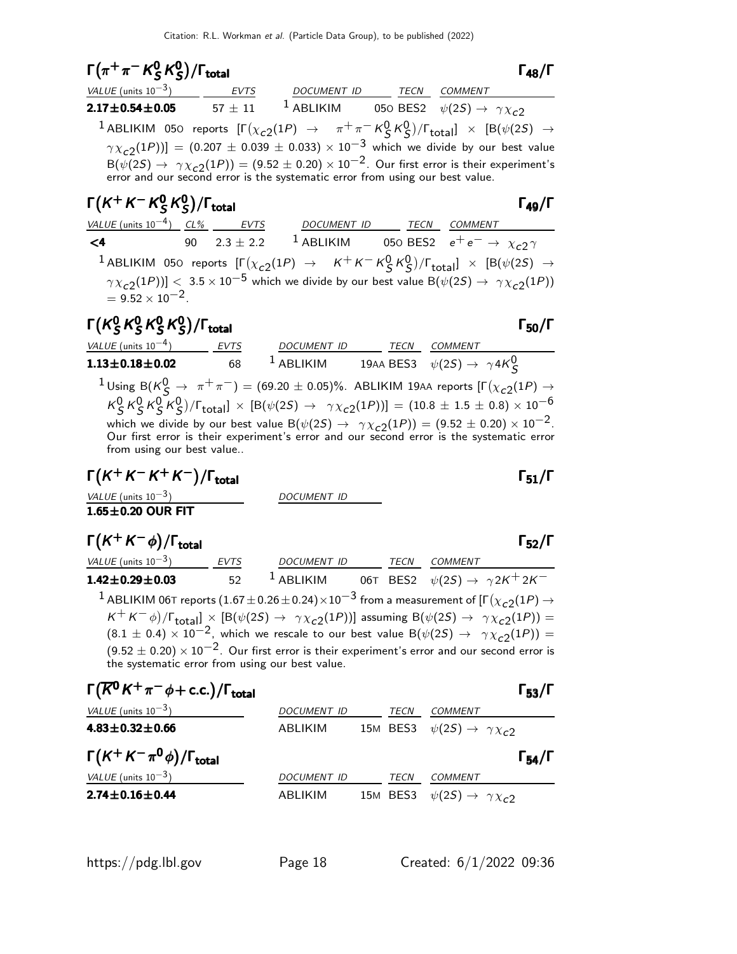$$
\Gamma(\pi^+\pi^-K_S^0K_S^0)/\Gamma_{\text{total}}
$$

total and the set of the set of the set of the set of the set of the set of the set of the set of the set of t

| VALUE (units $10^{-3}$ )                                                      | EVTS        | DOCUMENT ID  | TECN COMMENT                                                                                                                                      |
|-------------------------------------------------------------------------------|-------------|--------------|---------------------------------------------------------------------------------------------------------------------------------------------------|
| $2.17 \pm 0.54 \pm 0.05$                                                      | $57 \pm 11$ | $^1$ ABLIKIM | 050 BES2 $\psi(2S) \rightarrow \gamma \chi_{c2}$                                                                                                  |
|                                                                               |             |              | <sup>1</sup> ABLIKIM 050 reports $[\Gamma(\chi_{c2}(1P) \rightarrow \pi^+\pi^-K^0_S K^0_S)/\Gamma_{\text{total}}] \times [B(\psi(2S) \rightarrow$ |
|                                                                               |             |              | $\gamma \chi_{c2}(1P))$ ] = (0.207 ± 0.039 ± 0.033) × 10 <sup>-3</sup> which we divide by our best value                                          |
| error and our second error is the systematic error from using our best value. |             |              | $B(\psi(2S) \rightarrow \gamma \chi_{c2}(1P)) = (9.52 \pm 0.20) \times 10^{-2}$ . Our first error is their experiment's                           |
|                                                                               |             |              |                                                                                                                                                   |

#### Γ $(K^+ K^- K^0_S)$  $^0_S\,\mathsf{K}^0_S$  $\Gamma(K^+K^-K^0_S\,K^0_S)/\Gamma_{\rm total}$  Γ<sub>49</sub>/Γ

VALUE (units 10<sup>-4</sup>) CL% EVTS DOCUMENT ID TECN COMMENT <4 90  $2.3 \pm 2.2$  <sup>1</sup> ABLIKIM 050 BES2  $e^+e^-$  →  $\chi_{c2} \gamma$  $^1$ ABLIKIM 050 reports  $\left[\Gamma(\chi_{c2}(1P) \rightarrow K^+K^-K^0_SK^0_S)/\Gamma_{\rm total}\right] \times \left[ B(\psi(2S) \rightarrow$  $\gamma\chi_{\rm c2}(1P))]\leqslant 3.5\times 10^{-5}$  which we divide by our best value B $(\psi(2S)\to~\gamma\chi_{\rm c2}(1P))$  $= 9.52 \times 10^{-2}$ .

#### Γ $(\kappa_s^0)$  $^0_S$ K $^0_S$  $^{\mathsf{0}}$  K $^{\mathsf{0}}$  $^{\mathsf{0}}$  K $^{\mathsf{0}}$  $\Gamma(K_S^0 K_S^0 K_S^0)/\Gamma_{\rm total}$  Γ<sub>50</sub>/Γ s n 0 s n 0 s n Γ(K<sup>0</sup>S K<sup>0</sup>S K<sup>0</sup>S)/Γ<sub>total</sub> Σεντρική Καταστική Καταστική Γ<sub>50</sub>/Γ  $\binom{0}{5}$ /Γ<sub>total</sub> Γ<sub>50</sub>/Γ

<u>VALUE (units 10<sup>-4</sup>)</u> EVTS<br>1.13±0.18±0.02 68 ) EVTS DOCUMENT ID TECN COMMENT **1.13** $\pm$ **0.18** $\pm$ **0.02** 68 <sup>1</sup> ABLIKIM 19AA BES3  $\psi(2S) \rightarrow \gamma 4K_S^0$ <sup>1</sup>Using B(K $^0S$  → π<sup>+</sup>π<sup>-</sup>) = (69.20 ± 0.05)%. ABLIKIM 19AA reports [Γ( $\chi$ <sub>C2</sub>(1P) →  $K_S^0 K_S^0 K_S^0 K_S^0$ )/ $\Gamma_{\text{total}}$ ] × [B( $\psi$ (2S) →  $\gamma \chi_{c2}$ (1P))] = (10.8 ± 1.5 ± 0.8) × 10<sup>-6</sup> which we divide by our best value  $B(\psi(2S) \to \gamma \chi_{c2}(1P)) = (9.52 \pm 0.20) \times 10^{-2}$ . Our first error is their experiment's error and our second error is the systematic error from using our best value..

 $\Gamma(K^+ K^- K^+ K^-)/\Gamma_{\text{total}}$  Γ<sub>51</sub>/Γ

VALUE (units  $10^{-3}$ ) DOCUMENT ID

 $1.65\pm0.20$  OUR FIT

#### $\Gamma(K^+K^-\phi)/\Gamma_{\text{total}}$  Γ<sub>52</sub>/Γ /Γ<sub>total</sub> Γ<sub>52</sub>/Γ

| VALUE (units $10^{-3}$ )                        | <b>EVTS</b> | <b>DOCUMENT ID</b> | TECN | COMMENT                                                                                                                                                            |
|-------------------------------------------------|-------------|--------------------|------|--------------------------------------------------------------------------------------------------------------------------------------------------------------------|
| $1.42 \pm 0.29 \pm 0.03$                        | 52          | $1$ ABLIKIM        |      | 06T BES2 $\psi(2S) \rightarrow \gamma 2K^+ 2K^-$                                                                                                                   |
|                                                 |             |                    |      | $^{-1}$ ABLIKIM 06T reports (1.67 $\pm$ 0.26 $\pm$ 0.24) $\times10^{-3}$ from a measurement of [F( $\chi_{c2}(1P) \rightarrow$                                     |
|                                                 |             |                    |      | $K^+ K^- \phi$ )/ $\Gamma_{\text{total}}$ ] × [B( $\psi$ (2S) $\rightarrow \gamma \chi_{c2}(1P)$ )] assuming B( $\psi$ (2S) $\rightarrow \gamma \chi_{c2}(1P)$ ) = |
|                                                 |             |                    |      | $(8.1 \pm 0.4) \times 10^{-2}$ , which we rescale to our best value B( $\psi(2S) \rightarrow \gamma \chi_{c2}(1P)$ ) =                                             |
|                                                 |             |                    |      | $(9.52 \pm 0.20) \times 10^{-2}$ . Our first error is their experiment's error and our second error is                                                             |
| the systematic error from using our best value. |             |                    |      |                                                                                                                                                                    |

$$
\Gamma(\overline{K}^0 K^+\pi^-\phi + \text{c.c.})/\Gamma_{\text{total}}
$$

| VALUE (units $10^{-3}$ )                     | <i>DOCUMENT ID</i> | TECN | COMMENT                                          |
|----------------------------------------------|--------------------|------|--------------------------------------------------|
| $4.83 \pm 0.32 \pm 0.66$                     | ABLIKIM            |      | 15M BES3 $\psi(2S) \rightarrow \gamma \chi_{c2}$ |
| $\Gamma(K^+K^-\pi^0\phi)/\Gamma_{\rm total}$ |                    |      | $\Gamma_{54}/\Gamma$                             |
| VALUE (units $10^{-3}$ )                     | DOCUMENT ID        | TECN | COMMENT                                          |
| $2.74 \pm 0.16 \pm 0.44$                     | ABLIKIM            |      | 15M BES3 $\psi(2S) \rightarrow \gamma \chi_{c2}$ |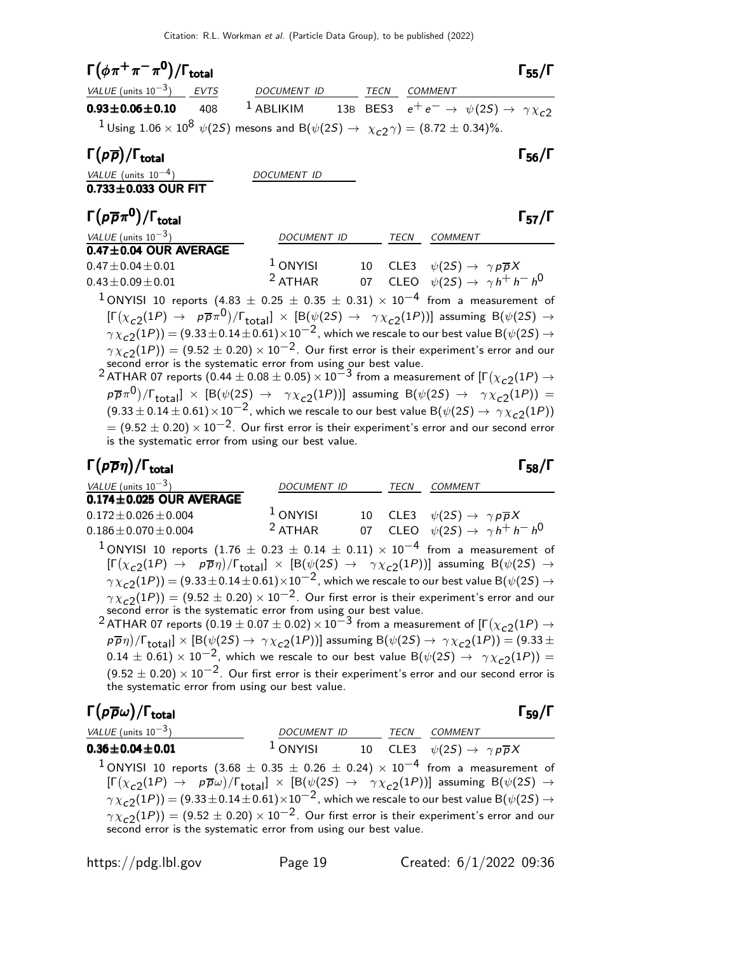| $\Gamma(\phi \pi^+ \pi^- \pi^0)/\Gamma_{\text{total}}$                                                                                                             |             |                     |             |                        |                                                                     | $\Gamma_{55}/\Gamma$ |
|--------------------------------------------------------------------------------------------------------------------------------------------------------------------|-------------|---------------------|-------------|------------------------|---------------------------------------------------------------------|----------------------|
| VALUE (units $10^{-3}$ )                                                                                                                                           | <b>EVTS</b> | DOCUMENT ID         | <b>TECN</b> | <b>COMMENT</b>         |                                                                     |                      |
| $0.93 \pm 0.06 \pm 0.10$                                                                                                                                           | 408         | $1$ ABLIKIM         |             |                        | 13B BES3 $e^+e^- \rightarrow \psi(2S) \rightarrow \gamma \chi_{c2}$ |                      |
| <sup>1</sup> Using 1.06 × 10 <sup>8</sup> $\psi$ (2 <i>S</i> ) mesons and B( $\psi$ (2 <i>S</i> ) $\rightarrow \chi_{c}$ <sub>2</sub> $\gamma$ ) = (8.72 ± 0.34)%. |             |                     |             |                        |                                                                     |                      |
| $\Gamma(p\overline{p})/\Gamma_{\rm total}$                                                                                                                         |             |                     |             |                        |                                                                     | $\Gamma_{56}/\Gamma$ |
| VALUE (units $10^{-4}$ )                                                                                                                                           |             | <i>DOCUMENT ID</i>  |             |                        |                                                                     |                      |
| $0.733 \pm 0.033$ OUR FIT                                                                                                                                          |             |                     |             |                        |                                                                     |                      |
| $\Gamma(p\overline{p}\pi^0)/\Gamma_{\rm total}$                                                                                                                    |             |                     |             |                        |                                                                     | $\Gamma_{57}/\Gamma$ |
| VALUE (units $10^{-3}$ )                                                                                                                                           |             | <b>DOCUMENT ID</b>  |             | TECN<br><b>COMMENT</b> |                                                                     |                      |
| $0.47 \pm 0.04$ OUR AVERAGE                                                                                                                                        |             |                     |             |                        |                                                                     |                      |
| $0.47 \pm 0.04 \pm 0.01$                                                                                                                                           |             | <sup>1</sup> ONYISI | 10          | CLE3                   | $\psi(2S) \rightarrow \gamma p \overline{p} X$                      |                      |
| $0.43 \pm 0.09 \pm 0.01$                                                                                                                                           |             | <sup>2</sup> ATHAR  | 07          |                        | CLEO $\psi(2S) \rightarrow \gamma h^+ h^- h^0$                      |                      |

<sup>1</sup> ONYISI 10 reports (4.83  $\pm$  0.25  $\pm$  0.35  $\pm$  0.31)  $\times$  10<sup>-4</sup> from a measurement of  $[\Gamma(\chi_{c2}(1P) \to \; \; \rho \overline{\rho} \pi^0)/\Gamma_{\rm total}] \; \times \; [\mathrm{B}(\psi(2S) \to \; \; \gamma \chi_{c2}(1P))]$  assuming  $\mathrm{B}(\psi(2S) \to \; \; \rho \overline{\rho} \pi^0)$  $\gamma \chi_{c2}(1P)) = (9.33 \pm 0.14 \pm 0.61) \times 10^{-2}$ , which we rescale to our best value B $(\psi(2S) \rightarrow$  $\gamma \chi_{c2}(1P)) = (9.52 \pm 0.20) \times 10^{-2}$ . Our first error is their experiment's error and our

second error is the systematic error from using our best value.<br><sup>2</sup> ATHAR 07 reports (0.44  $\pm$  0.08  $\pm$  0.05) × 10<sup>−3</sup> from a measurement of [Г( $\chi_{c2}(1P) \rightarrow$  $p\overline{p}\pi^{\overline{0}})/\Gamma_{\rm total}$ ]  $\times$   $[{\rm B}(\psi(2S) \rightarrow \gamma\chi_{c2}(1P))]$  assuming  ${\rm B}(\psi(2S) \rightarrow \gamma\chi_{c2}(1P))=$  $(9.33 \pm 0.14 \pm 0.61) \times 10^{-2}$ , which we rescale to our best value B $(\psi(2S) \rightarrow \gamma \chi_{c2}(1P))$  $= (9.52 \pm 0.20) \times 10^{-2}$ . Our first error is their experiment's error and our second error is the systematic error from using our best value.

#### Γ $(p\overline{p}\eta)/\Gamma_{\rm total}$  Γ $_{58}/\Gamma$

| $\Gamma(p\overline{p}\eta)/\Gamma_{\rm total}$                                                                                              |                    |      |                                                        | $\Gamma_{58}/\Gamma$ |
|---------------------------------------------------------------------------------------------------------------------------------------------|--------------------|------|--------------------------------------------------------|----------------------|
| VALUE (units $10^{-3}$ )                                                                                                                    | <b>DOCUMENT ID</b> | TECN | COMMENT                                                |                      |
| $0.174 \pm 0.025$ OUR AVERAGE                                                                                                               |                    |      |                                                        |                      |
| $0.172 \pm 0.026 \pm 0.004$                                                                                                                 | $1$ ONYISI         |      | 10 CLE3 $\psi(2S) \rightarrow \gamma p \overline{p} X$ |                      |
| $0.186 \pm 0.070 \pm 0.004$                                                                                                                 | $2$ ATHAR          |      | 07 CLEO $\psi(2S) \rightarrow \gamma h^+ h^- h^0$      |                      |
| <sup>1</sup> ONYISI 10 reports (1.76 $\pm$ 0.23 $\pm$ 0.14 $\pm$ 0.11) $\times$ 10 <sup>-4</sup> from a measurement of                      |                    |      |                                                        |                      |
| $[\Gamma(x,(1D) \rightarrow n\overline{a}x)/\Gamma \quad 1 \vee [\Gamma(x/(2S) \rightarrow a)x/(1D))]$ assuming $\Gamma(x/(2S) \rightarrow$ |                    |      |                                                        |                      |

 $[\Gamma(\chi_{c2}(1P) \to \bar{p} \bar{\eta})/\Gamma_{\rm total}] \times [\mathrm{B}(\psi(2S) \to \gamma \chi_{c2}(1P))]$  assuming  $\mathrm{B}(\psi(2S) \to \bar{\eta} \bar{\eta})$  $\gamma \chi_{c2}(1P)) = (9.33 \pm 0.14 \pm 0.61) \times 10^{-2}$ , which we rescale to our best value B $(\psi(2S) \rightarrow \psi_S(1P))$  $\gamma \chi_{\tt c2}^{\tt} (1P)) = (9.52 \pm 0.20) \times 10^{-2}$ . Our first error is their experiment's error and our

second error is the systematic error from using our best value.<br><sup>2</sup> ATHAR 07 reports (0.19  $\pm$  0.07  $\pm$  0.02)  $\times$  10<sup>−3</sup> from a measurement of [Г $(\chi_{c2}(1P) \rightarrow$  $p\overline{p}\eta)/\Gamma_{\rm total}]\times [ {\rm B}(\psi(2S)\to\,\gamma\chi_{c2}(1P))]$  assuming  ${\rm B}(\psi(2S)\to\,\gamma\chi_{c2}(1P))=(9.33\pm 1)$  $(0.14 \pm 0.61) \times 10^{-2}$ , which we rescale to our best value B( $\psi(2S) \rightarrow \gamma \chi_{c2}(1P)$ ) =  $(9.52 \pm 0.20) \times 10^{-2}$ . Our first error is their experiment's error and our second error is the systematic error from using our best value.

#### Γ $(p\overline{p}\omega)/\Gamma_{\rm total}$ /Γ $\Gamma_{\rm total}$ Γ<sub>59</sub>/Γ

| <i>VALUE</i> (units $10^{-3}$ )                                                                                                                                                                                                                                                                                                                                                                                                                                                                                                                                                          | DOCUMENT ID TECN COMMENT |  |                                                                            |
|------------------------------------------------------------------------------------------------------------------------------------------------------------------------------------------------------------------------------------------------------------------------------------------------------------------------------------------------------------------------------------------------------------------------------------------------------------------------------------------------------------------------------------------------------------------------------------------|--------------------------|--|----------------------------------------------------------------------------|
| $0.36 \pm 0.04 \pm 0.01$                                                                                                                                                                                                                                                                                                                                                                                                                                                                                                                                                                 |                          |  | <sup>1</sup> ONYISI 10 CLE3 $\psi(2S) \rightarrow \gamma p \overline{p} X$ |
| <sup>1</sup> ONYISI 10 reports $(3.68 \pm 0.35 \pm 0.26 \pm 0.24) \times 10^{-4}$ from a measurement of<br>$[\Gamma(\chi_{c2}(1P) \to p\overline{p}\omega)/\Gamma_{\text{total}}] \times [B(\psi(2S) \to \gamma\chi_{c2}(1P))]$ assuming $B(\psi(2S) \to$<br>$\gamma \chi_{c2}(1P)$ = (9.33 ± 0.14 ± 0.61) $\times 10^{-2}$ , which we rescale to our best value B( $\psi(2S) \rightarrow$<br>$\gamma \chi_{c2}(1P)$ = (9.52 $\pm$ 0.20) $\times$ 10 <sup>-2</sup> . Our first error is their experiment's error and our second error is the systematic error from using our best value. |                          |  |                                                                            |
|                                                                                                                                                                                                                                                                                                                                                                                                                                                                                                                                                                                          |                          |  |                                                                            |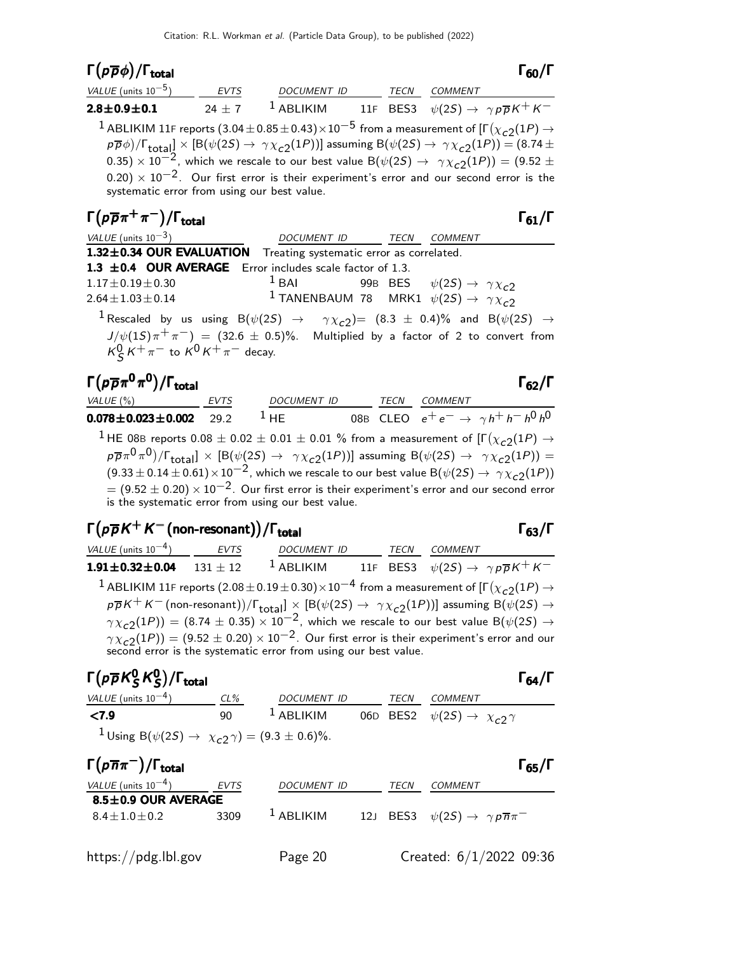## Γ $(p\overline{p}\phi)/\Gamma_{\rm total}$  Γ<sub>60</sub>/Γ

| total |  | $\Gamma_{60}/\Gamma$ |  |
|-------|--|----------------------|--|
|       |  |                      |  |

| VALUE (units $10^{-5}$ )                             | <b>EVTS</b> | DOCUMENT ID | TECN | <i>COMMENT</i>                                                                                                                                                                                                                                                                                                                                                                                                                                                                                                                                                         |
|------------------------------------------------------|-------------|-------------|------|------------------------------------------------------------------------------------------------------------------------------------------------------------------------------------------------------------------------------------------------------------------------------------------------------------------------------------------------------------------------------------------------------------------------------------------------------------------------------------------------------------------------------------------------------------------------|
| $2.8 \pm 0.9 \pm 0.1$                                |             |             |      | 24 ± 7 <sup>1</sup> ABLIKIM 11F BES3 $\psi(2S) \rightarrow \gamma p \overline{p} K^+ K^-$                                                                                                                                                                                                                                                                                                                                                                                                                                                                              |
| systematic error from using our best value.          |             |             |      | <sup>1</sup> ABLIKIM 11F reports $(3.04 \pm 0.85 \pm 0.43) \times 10^{-5}$ from a measurement of $[\Gamma(\chi_{c2}(1P) \rightarrow$<br>$p\overline{p}\phi$ )/ $\Gamma_{\text{total}}$ ] × [B( $\psi$ (2S) $\rightarrow \gamma \chi_{c2}(1P)$ )] assuming B( $\psi$ (2S) $\rightarrow \gamma \chi_{c2}(1P)$ ) = (8.74 ±<br>0.35) $\times$ 10 <sup>-2</sup> , which we rescale to our best value B( $\psi$ (2S) $\rightarrow \gamma \chi_{c2}(1P)$ ) = (9.52 $\pm$<br>$(0.20) \times 10^{-2}$ . Our first error is their experiment's error and our second error is the |
| $\Gamma(p\overline{p}\pi^+\pi^-)/\Gamma_{\rm total}$ |             |             |      | $\Gamma_{61}/\Gamma$                                                                                                                                                                                                                                                                                                                                                                                                                                                                                                                                                   |

| VALUE (units $10^{-3}$ )                    | DOCUMENT ID TECN COMMENT                                                                                                        |  |  |
|---------------------------------------------|---------------------------------------------------------------------------------------------------------------------------------|--|--|
|                                             | 1.32±0.34 OUR EVALUATION Treating systematic error as correlated.                                                               |  |  |
|                                             | 1.3 $\pm$ 0.4 OUR AVERAGE Error includes scale factor of 1.3.                                                                   |  |  |
| $1.17 \pm 0.19 \pm 0.30$                    | <sup>1</sup> BAI 99B BES $\psi(2S) \rightarrow \gamma \chi_{c2}$                                                                |  |  |
| $2.64 \pm 1.03 \pm 0.14$                    | <sup>1</sup> TANENBAUM 78 MRK1 $\psi(2S) \rightarrow \gamma \chi_{c2}$                                                          |  |  |
|                                             | <sup>1</sup> Rescaled by us using B( $\psi(2S) \rightarrow \gamma \chi_{c2}$ ) = (8.3 $\pm$ 0.4)% and B( $\psi(2S) \rightarrow$ |  |  |
|                                             | $J/\psi(15)\pi^{+}\pi^{-})$ = (32.6 $\pm$ 0.5)%. Multiplied by a factor of 2 to convert from                                    |  |  |
| $K_S^0 K^+ \pi^-$ to $K^0 K^+ \pi^-$ decay. |                                                                                                                                 |  |  |

| $\Gamma(p\overline{p}\pi^0\pi^0)/\Gamma_{\rm total}$                                                                                                                        |             |             |  |      |                | $\Gamma_{62}/\Gamma$                      |  |
|-----------------------------------------------------------------------------------------------------------------------------------------------------------------------------|-------------|-------------|--|------|----------------|-------------------------------------------|--|
| VALUE $(\% )$                                                                                                                                                               | <b>FVTS</b> | DOCUMENT ID |  | TECN | <b>COMMENT</b> |                                           |  |
| $0.078 \pm 0.023 \pm 0.002$                                                                                                                                                 | 292         | $1$ HF      |  |      |                | 08B CLEO $e^+e^- \to \gamma h^+h^-h^0h^0$ |  |
| <sup>1</sup> HE 08B reports 0.08 $\pm$ 0.02 $\pm$ 0.01 $\pm$ 0.01 % from a measurement of [ $\Gamma(\chi_{c2}(1P) \rightarrow$                                              |             |             |  |      |                |                                           |  |
| $p\overline{p}\pi^0\pi^0$ / $\Gamma_{\text{total}}$ $\times$ [B( $\psi(2S) \rightarrow \gamma \chi_{c2}(1P)$ )] assuming B( $\psi(2S) \rightarrow \gamma \chi_{c2}(1P)$ ) = |             |             |  |      |                |                                           |  |
| $(9.33 \pm 0.14 \pm 0.61) \times 10^{-2}$ , which we rescale to our best value B( $\psi(2S) \rightarrow \gamma \chi_{c2}(1P)$ )                                             |             |             |  |      |                |                                           |  |
| $= (9.52 \pm 0.20) \times 10^{-2}$ . Our first error is their experiment's error and our second error<br>is the systematic error from using our best value.                 |             |             |  |      |                |                                           |  |

## $\Gamma(p\overline{p}K^+K^-$ (non-resonant))/ $\Gamma_{\rm total}$  computed for  $\Gamma_{63}/\Gamma$

VALUE (units  $10^{-4}$ ) EVTS DOCUMENT ID TECN COMMENT 1.91±0.32±0.04 131 ± 12 <sup>1</sup> ABLIKIM 11F BES3  $\psi(2S) \to \gamma p \overline{p} K^+ K^ ^1$  ABLIKIM 11F reports  $(2.08\pm0.19\pm0.30)\times10^{-4}$  from a measurement of [Г $(\chi_{c2}(1P) \rightarrow$  $p\overline{p}K^+K^-$  (non-resonant)) $/\Gamma_{\rm total}]\times[{\rm B}(\psi(2S)\to~\gamma\chi_{\rm C2}(1P))]$  assuming  ${\rm B}(\psi(2S)\to0)$  $\gamma \chi_{c2}(1P)) = (8.74 \pm 0.35) \times 10^{-2}$ , which we rescale to our best value B( $\psi(2S) \rightarrow$  $\gamma \chi_{\tt c2}(1P)) = (9.52 \pm 0.20) \times 10^{-2}$ . Our first error is their experiment's error and our second error is the systematic error from using our best value.

#### Γ $(\rho \overline{\rho}$ Κ $_{\mathcal{S}}^{0}$ Κ $_{\mathcal{S}}^{0}$ 0 0 0 S

| $\Gamma(p\overline{p}K^0_S K^0_S)/\Gamma_{\rm total}$                   |        |                       |      | $\Gamma_{64}/\Gamma$                             |
|-------------------------------------------------------------------------|--------|-----------------------|------|--------------------------------------------------|
| VALUE (units $10^{-4}$ )                                                | $CL\%$ | DOCUMENT ID           | TECN | COMMENT                                          |
| $\langle 7.9$                                                           | 90     | $\frac{1}{2}$ ABLIKIM |      | 06D BES2 $\psi(2S) \rightarrow \chi_{c2} \gamma$ |
| <sup>1</sup> Using B( $\psi(2S) \to \chi_{c2} \gamma$ ) = (9.3 ± 0.6)%. |        |                       |      |                                                  |

| $\Gamma(p\overline{n}\pi^{-})/\Gamma_{\rm total}$ |             |                    |             | $\Gamma_{65}/\Gamma$                                        |
|---------------------------------------------------|-------------|--------------------|-------------|-------------------------------------------------------------|
| VALUE (units $10^{-4}$ )                          | <b>EVTS</b> | <b>DOCUMENT ID</b> | <i>TECN</i> | COMMENT                                                     |
| $8.5 \pm 0.9$ OUR AVERAGE                         |             |                    |             |                                                             |
| $8.4 + 1.0 + 0.2$                                 | 3309        | $1$ ABLIKIM        |             | 12J BES3 $\psi(2S) \rightarrow \gamma p \overline{n} \pi^-$ |
|                                                   |             |                    |             | Created: $6/1/2022$ 09:36                                   |
| https://pdg.lbl.gov                               |             | Page 20            |             |                                                             |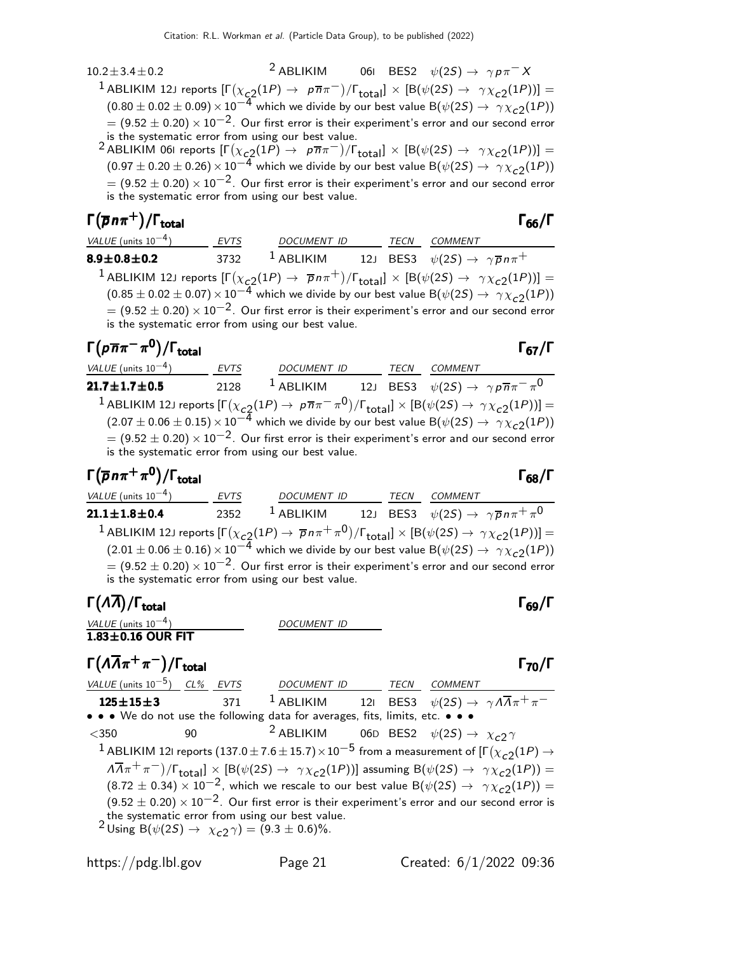$10.2 \pm 3.4 \pm 0.2$ <sup>2</sup> ABLIKIM 06I BES2  $\psi(2S) \rightarrow \gamma p \pi^- X$  $^1$ ABLIKIM 12J reports  $[\Gamma(\chi_{\bf C2}(1P) \to~\rho \overline{n} \pi^-)/\Gamma_{\bf total}]\times [B(\psi(2S) \to~\gamma \chi_{\bf C2}(1P))] =$  $(0.80 \pm 0.02 \pm 0.09) \times 10^{-4}$  which we divide by our best value B( $\psi(2S) \rightarrow \gamma \chi_{c2}(1P)$ )  $\dot{=} = (9.52 \pm 0.20) \times 10^{-2}$ . Our first error is their experiment's error and our second error is the systematic error from using our best value.

 $^2$ ABLIKIM 061 reports  $[\Gamma(\chi_{\bf C2}(1P) \to~\rho \overline{n} \pi^-)/\Gamma_{\bf total}]\times [B(\psi(2S) \to~\gamma \chi_{\bf C2}(1P))] =$  $(0.97 \pm 0.20 \pm 0.26) \times 10^{-4}$  which we divide by our best value B( $\psi(2S) \rightarrow \gamma \chi_{c2}(1P)$ )  $= (9.52 \pm 0.20) \times 10^{-2}$ . Our first error is their experiment's error and our second error is the systematic error from using our best value.

#### $\Gamma(\overline{\rho} n \pi^+) / \Gamma_{\text{total}}$  Γ<sub>66</sub>/Γ )/Γ<sub>total</sub>Γ66/Γ

| VALUE (units $10^{-4}$ )                                                                                                     | EVTS | <b>DOCUMENT ID</b> |  | TECN | COMMENT                                                                                                                                                 |  |
|------------------------------------------------------------------------------------------------------------------------------|------|--------------------|--|------|---------------------------------------------------------------------------------------------------------------------------------------------------------|--|
| $8.9 \pm 0.8 \pm 0.2$                                                                                                        | 3732 | $1$ ABLIKIM        |  |      | 12J BES3 $\psi(2S) \rightarrow \gamma \overline{p} n \pi^+$                                                                                             |  |
|                                                                                                                              |      |                    |  |      | <sup>1</sup> ABLIKIM 12J reports $[\Gamma(\chi_{c2}(1P) \to \overline{p}n\pi^+)/\Gamma_{\text{total}}] \times [B(\psi(2S) \to \gamma \chi_{c2}(1P))] =$ |  |
| $(0.85 \pm 0.02 \pm 0.07) \times 10^{-4}$ which we divide by our best value B( $\psi(2S) \rightarrow \gamma \chi_{c2}(1P)$ ) |      |                    |  |      |                                                                                                                                                         |  |
| is the systematic error from using our best value.                                                                           |      |                    |  |      | $= (9.52 \pm 0.20) \times 10^{-2}$ . Our first error is their experiment's error and our second error                                                   |  |

#### $\Gamma(p\overline{n}\pi^-\pi^0)/\Gamma_{\rm total}$ )/Γ<sub>total</sub>Γ67/Γ

VALUE (units 10<sup>-4</sup>) EVTS DOCUMENT ID TECN COMMENT **21.7** $\pm$ **1.7** $\pm$ **0.5** 2128  $^1$  ABLIKIM 12J BES3  $\psi(2S) \to \gamma \rho \overline{n} \pi^- \pi^0$  $^1$  ABLIKIM 12J reports  $[\Gamma(\chi_{\bf C2^(1P) \to \bar{p} \pi \pi^- \pi^0})/\Gamma_{\bf total}] \times [B(\psi(2S) \to \gamma \chi_{\bf C2^(1P))] =$  $(2.07 \pm 0.06 \pm 0.15) \times 10^{-4}$  which we divide by our best value B( $\psi(2S) \rightarrow \gamma \chi_{c2}(1P)$ )  $= (9.52 \pm 0.20) \times 10^{-2}$ . Our first error is their experiment's error and our second error is the systematic error from using our best value.

#### $\Gamma(\overline{\rho} n \pi^+ \pi^0)/\Gamma_{\rm total}$

VALUE (units 10<sup>-4</sup>) EVTS DOCUMENT ID TECN COMMENT **21.1** $\pm$ **1.8** $\pm$ **0.4** 2352  $^1$  ABLIKIM 12J BES3  $\psi(2S) \rightarrow\ \gamma \overline{\rho}\, n \pi^+\, \pi$ 12J BES3  $\psi(2S) \rightarrow \gamma \overline{p} n \pi^+ \pi^0$  $^1$  ABLIKIM 12J reports  $[\Gamma(\chi_{\bf C2}(1P) \to \overline{p} n \pi^+ \pi^0)/\Gamma_{\bf total}]\times [ \mathsf{B}(\psi(2S) \to \gamma \chi_{\bf C2}(1P))] =$  $(2.01 \pm 0.06 \pm 0.16) \times 10^{-4}$  which we divide by our best value B $(\psi(2S) \rightarrow \gamma \chi_{c2}(1P))$  $= (9.52 \pm 0.20) \times 10^{-2}$ . Our first error is their experiment's error and our second error is the systematic error from using our best value.

## Γ(Λ $\overline{\Lambda}$ )/Γ<sub>total</sub> Γ<sub>69</sub>/Γ

| VALUE (units $10^{-4}$ ) | DOCUMENT ID |
|--------------------------|-------------|
| $1.83 \pm 0.16$ OUR FIT  |             |

)/Γ<sub>total</sub> Γ<sub>70</sub>/Γ

 $\Gamma(\Lambda\overline{\Lambda}\pi^+\pi^-)/\Gamma_{\rm total}$ VALUE (units  $10^{-5}$ ) CL% EVTS DOCUMENT ID TECN COMMENT **125±15±3** 371 <sup>1</sup> ABLIKIM 12I BES3  $\psi(2S) \to \gamma A \overline{A} \pi^+ \pi^-$ • • • We do not use the following data for averages, fits, limits, etc. • • •  $\langle 350$  90  $\qquad$   $\qquad$   $\qquad$   $\qquad$   $\qquad$   $\qquad$   $\qquad$   $\qquad$   $\qquad$   $\qquad$   $\qquad$   $\qquad$   $\qquad$   $\qquad$   $\qquad$   $\qquad$   $\qquad$   $\qquad$   $\qquad$   $\qquad$   $\qquad$   $\qquad$   $\qquad$   $\qquad$   $\qquad$   $\qquad$   $\qquad$   $\qquad$   $\qquad$   $\qquad$   $\qquad$   $\qquad$   $\qquad$   $\qquad$   $\qquad$  $^1$  ABLIKIM 121 reports  $(137.0\pm7.6\pm15.7)\times10^{-5}$  from a measurement of [Г $(\chi_{c2}(1P) \rightarrow$  $\sqrt{A\pi} + \pi^{-}$ )/ $\Gamma_{\text{total}}$ ]  $\times$  [B( $\psi(2S) \rightarrow \gamma \chi_{c2}(1P)$ )] assuming B( $\psi(2S) \rightarrow \gamma \chi_{c2}(1P)$ ) =  $(8.72 \pm 0.34) \times 10^{-2}$ , which we rescale to our best value B( $\psi(2S) \rightarrow \gamma \chi_{c2}(1P)$ ) =  $(9.52 \pm 0.20) \times 10^{-2}$ . Our first error is their experiment's error and our second error is the systematic error from using our best value.  $2 \text{ Using } B(\psi(2S) \to \chi_{c2} \gamma) = (9.3 \pm 0.6)\%.$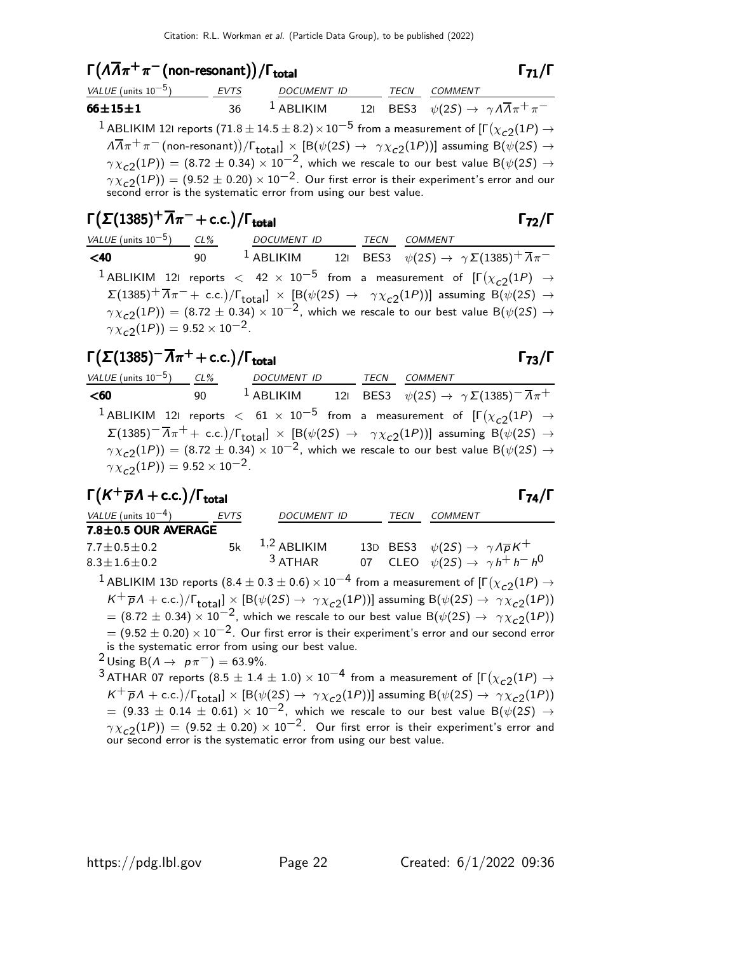#### $\Gamma(\Lambda\overline{\Lambda}\pi^+\pi^-)$  (non-resonant)) / Γ<sub>total</sub> Γ<sub>71</sub>/Γ

| <i>VALUE</i> (units $10^{-5}$ )                                                                                                                                                            | EVTS | DOCUMENT ID TECN COMMENT |  |  |                                                                                                                                                                      |  |
|--------------------------------------------------------------------------------------------------------------------------------------------------------------------------------------------|------|--------------------------|--|--|----------------------------------------------------------------------------------------------------------------------------------------------------------------------|--|
| $66 \pm 15 \pm 1$                                                                                                                                                                          | 36   |                          |  |  | <sup>1</sup> ABLIKIM 121 BES3 $\psi(2S) \rightarrow \gamma A \overline{A} \pi^+ \pi^-$                                                                               |  |
|                                                                                                                                                                                            |      |                          |  |  | <sup>1</sup> ABLIKIM 12I reports (71.8 $\pm$ 14.5 $\pm$ 8.2) $\times$ 10 <sup>-5</sup> from a measurement of [ $\Gamma(\chi_{c2}(1P) \rightarrow$                    |  |
|                                                                                                                                                                                            |      |                          |  |  | $\sqrt{A\pi}+\pi^{-}$ (non-resonant))/ $\Gamma_{\text{total}} \times [\text{B}(\psi(2S) \rightarrow \gamma \chi_{c2}(1P))]$ assuming $\text{B}(\psi(2S) \rightarrow$ |  |
|                                                                                                                                                                                            |      |                          |  |  | $\gamma \chi_{c2}(1P)$ = (8.72 $\pm$ 0.34) $\times$ 10 <sup>-2</sup> , which we rescale to our best value B( $\psi$ (2S) $\rightarrow$                               |  |
| $\gamma \chi_{c2}(1P)$ = (9.52 $\pm$ 0.20) $\times$ 10 <sup>-2</sup> . Our first error is their experiment's error and our second error is the systematic error from using our best value. |      |                          |  |  |                                                                                                                                                                      |  |
|                                                                                                                                                                                            |      |                          |  |  |                                                                                                                                                                      |  |
|                                                                                                                                                                                            |      |                          |  |  |                                                                                                                                                                      |  |

## $\Gamma(\Sigma(1385)^+\overline{A}\pi^-+$  c.c.) / Γ<sub>total</sub> Γ<sub>72</sub>/Γ

| VALUE (units $10^{-5}$ ) CL%                   | DOCUMENT ID TECN COMMENT |  |                                                                                                                                                                                         |
|------------------------------------------------|--------------------------|--|-----------------------------------------------------------------------------------------------------------------------------------------------------------------------------------------|
| $<$ 40                                         |                          |  | <sup>1</sup> ABLIKIM 121 BES3 $\psi(2S) \rightarrow \gamma \Sigma(1385)^{+} \overline{\Lambda} \pi^{-}$                                                                                 |
|                                                |                          |  | <sup>1</sup> ABLIKIM 121 reports $<$ 42 $\times$ 10 <sup>-5</sup> from a measurement of $[\Gamma(\chi_{c2}(1P) \rightarrow$                                                             |
|                                                |                          |  | $\Sigma(1385)^{+}\overline{\Lambda}\pi^{-}+$ c.c.)/ $\Gamma_{\text{total}} \times [\mathcal{B}(\psi(2S) \rightarrow \gamma \chi_{c2}(1P))]$ assuming $\mathcal{B}(\psi(2S) \rightarrow$ |
|                                                |                          |  | $\gamma \chi_{c2}(1P)$ = (8.72 ± 0.34) × 10 <sup>-2</sup> , which we rescale to our best value B( $\psi(2S) \rightarrow$                                                                |
| $\gamma \chi_{c2}(1P) = 9.52 \times 10^{-2}$ . |                          |  |                                                                                                                                                                                         |

## Γ( $\Sigma(1385)$ <sup>-</sup>  $\overline{\Lambda}\pi^+$  + c.c.)/Γ<sub>total</sub> Γ<sub>73</sub>/Γ

#### VALUE (units  $10^{-5}$ ) CL% DOCUMENT ID TECN COMMENT **<60** 90 <sup>1</sup> ABLIKIM 12I BES3  $\psi(2S) \rightarrow \gamma \Sigma(1385)$ <sup>-</sup> $\overline{\Lambda}_{\pi}$ <sup>+</sup>  $^1$  ABLIKIM  $12$ I reports  $<$   $61$   $\times$   $10^{-5}$  from a measurement of  $[\Gamma(\chi_{c2}(1P)$   $\rightarrow$  $\Sigma(1385)^{-1}\overline{\Lambda}\pi^{+}+$  c.c.)/ $\Gamma_{\rm total}$ ]  $\times$  [B( $\psi(2S)$   $\rightarrow$   $\gamma\chi_{c2}(1P)$ )] assuming B( $\psi(2S)$   $\rightarrow$  $\gamma \chi_{c2}(1P)) = (8.72 \pm 0.34) \times 10^{-2}$ , which we rescale to our best value B $(\psi(2S) \rightarrow$  $\gamma \chi_{c2}^{-}(1P)$ ) = 9.52 × 10<sup>-2</sup>.

#### $\Gamma(K^+\overline{p}A + c.c.)/\Gamma_{\text{total}}$  Γ<sub>74</sub>/Γ

VALUE (units 10<sup>-4</sup>) EVTS DOCUMENT ID TECN COMMENT  $7.8 \pm 0.5$  OUR AVERAGE 7.7 $\pm$ 0.5 $\pm$ 0.2 5k  $^{1,2}$  ABLIKIM 13D BES3  $\psi(2S) \rightarrow \ \gamma \Lambda \overline{\rho} K^{+}$  $8.3 \pm 1.6 \pm 0.2$ <sup>3</sup> ATHAR 07 CLEO  $\psi(2S) \rightarrow \gamma h^+ h^- h^0$  $^1$  ABLIKIM 13D reports  $(8.4\pm0.3\pm0.6)\times10^{-4}$  from a measurement of [Г $(\chi_{c2}(1P)\rightarrow$  $K^+ \overline{p}A + \text{c.c.})/\Gamma_{\text{total}}$ ]  $\times$  [B( $\psi(2S) \rightarrow \gamma \chi_{c2}(1P)$ )] assuming B( $\psi(2S) \rightarrow \gamma \chi_{c2}(1P)$ )  $= (8.72 \pm 0.34) \times 10^{-2}$ , which we rescale to our best value B( $\psi(2S) \rightarrow \gamma \chi_{c2}(1P)$ )  $= (9.52 \pm 0.20) \times 10^{-2}$ . Our first error is their experiment's error and our second error is the systematic error from using our best value.  $2 \text{ Using } B(A \rightarrow p\pi^{-}) = 63.9\%.$  $^3$  ATHAR 07 reports  $(8.5 \pm 1.4 \pm 1.0) \times 10^{-4}$  from a measurement of [Г $(\chi_{c2}(1P) \rightarrow$ 

 $K^+ \overline{p} \Lambda + \text{c.c.})/\Gamma_{\text{total}}] \times [B(\psi(2S) \rightarrow \gamma \chi_{c2}(1P))]$  assuming  $B(\psi(2S) \rightarrow \gamma \chi_{c2}(1P))$  $=$  (9.33  $\pm$  0.14  $\pm$  0.61)  $\times$  10<sup>-2</sup>, which we rescale to our best value B( $\psi$ (2S)  $\rightarrow$  $\gamma \chi_{\tt C2}(1P))\,=\,(9.52\,\pm\,0.20)\times 10^{-2}$  . Our first error is their experiment's error and our second error is the systematic error from using our best value.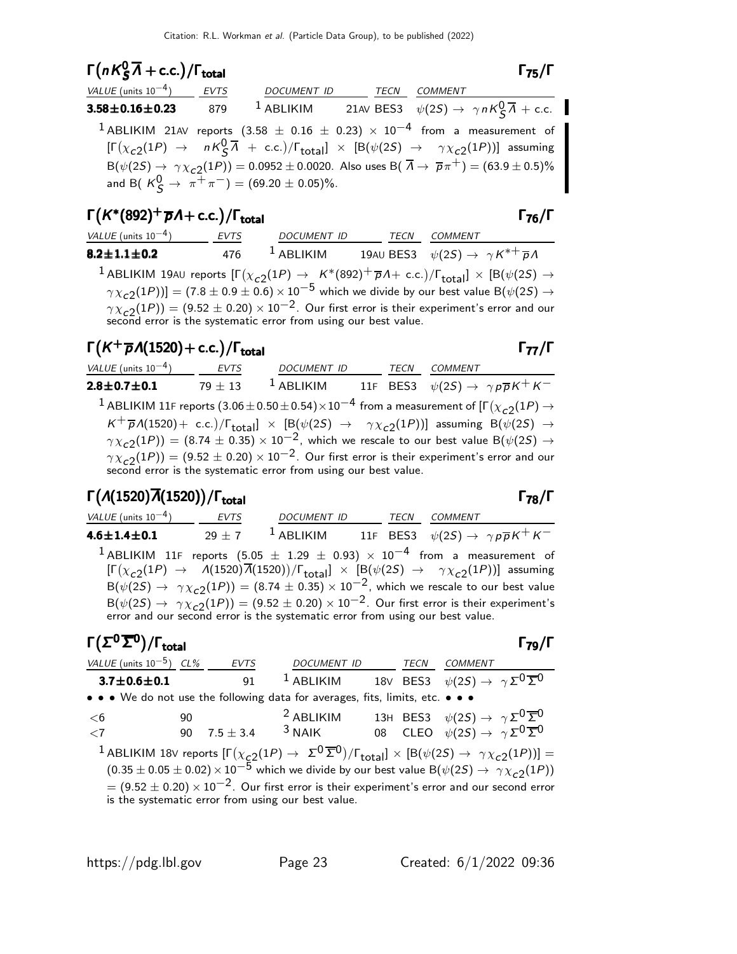# $\Gamma(nK^0_S\overline{\Lambda}+c.c.)/\Gamma_{\text{total}}$  Γ<sub>75</sub>/Γ

| VALUE (units $10^{-4}$ ) EVTS |     | DOCUMENT ID TECN                                            |  | COMMENT                                                                                                                                                                                                                                                                                                                                                                                                                           |
|-------------------------------|-----|-------------------------------------------------------------|--|-----------------------------------------------------------------------------------------------------------------------------------------------------------------------------------------------------------------------------------------------------------------------------------------------------------------------------------------------------------------------------------------------------------------------------------|
| $3.58\!\pm\!0.16\!\pm\!0.23$  | 879 |                                                             |  | <sup>1</sup> ABLIKIM 21AV BES3 $\psi(2S) \rightarrow \gamma n K_S^0 \overline{\Lambda} + \text{c.c.}$                                                                                                                                                                                                                                                                                                                             |
|                               |     | and B( $K^0_S \rightarrow \pi^+ \pi^-$ ) = (69.20 ± 0.05)%. |  | <sup>1</sup> ABLIKIM 21AV reports (3.58 $\pm$ 0.16 $\pm$ 0.23) $\times$ 10 <sup>-4</sup> from a measurement of<br>$[\Gamma(\chi_{c2}(1P) \rightarrow nK\sqrt{3}\overline{\lambda} + \text{c.c.})/\Gamma_{\text{total}}] \times [B(\psi(2S) \rightarrow \gamma\chi_{c2}(1P))]$ assuming<br>$B(\psi(2S) \to \gamma \chi_{c2}(1P)) = 0.0952 \pm 0.0020$ . Also uses $B(\overline{\Lambda} \to \overline{p}\pi^+) = (63.9 \pm 0.5)\%$ |

## $\Gamma(K^*(892)^+\overline{p}A + c.c.)/\Gamma_{\text{total}}$  Γ<sub>76</sub>/Γ

| VALUE (units $10^{-4}$ ) | EVTS | DOCUMENT ID  | TECN | COMMENT                                                                                                                                                                                                                                                                                                                                                                                                                                                        |
|--------------------------|------|--------------|------|----------------------------------------------------------------------------------------------------------------------------------------------------------------------------------------------------------------------------------------------------------------------------------------------------------------------------------------------------------------------------------------------------------------------------------------------------------------|
| $8.2 \pm 1.1 \pm 0.2$    | 476  | $^1$ ABLIKIM |      | 19AU BES3 $\psi(2S) \rightarrow \gamma K^{*+} \overline{p} \Lambda$                                                                                                                                                                                                                                                                                                                                                                                            |
|                          |      |              |      | <sup>1</sup> ABLIKIM 19AU reports $[\Gamma(\chi_{c2}(1P) \to K^*(892)^+ \overline{p}A + c.c.)/\Gamma_{\text{total}}] \times [B(\psi(2S) \to$<br>$\gamma \chi_{c2}(1P)$ ] = (7.8 ± 0.9 ± 0.6) × 10 <sup>-5</sup> which we divide by our best value B( $\psi(2S) \rightarrow$<br>$\gamma \chi_{c2}(1P)$ = (9.52 ± 0.20) × 10 <sup>-2</sup> . Our first error is their experiment's error and our second error is the systematic error from using our best value. |

#### Γ $(K^+\overline{p}A(1520) + c.c.)/\Gamma_{\text{total}}$

 $VALUE$  (units  $10^{-4}$ ) EVTS DOCUMENT ID TECN COMMENT **2.8±0.7±0.1** 79 ± 13 <sup>1</sup> ABLIKIM 11F BES3  $\psi(2S) \to \gamma p \overline{p} K^+ K^-$ 

 $^1$  ABLIKIM 11F reports  $(3.06\pm0.50\pm0.54)\times10^{-4}$  from a measurement of [Г $(\chi_{c2}(1P) \rightarrow$  $K^+ \overline{p}A(1520)+$  c.c.)/ $\Gamma_{\rm total}$ ]  $\times$  [B( $\psi(2S)$   $\rightarrow$   $\gamma \chi_{c2}(1P)$ )] assuming B( $\psi(2S)$   $\rightarrow$  $\gamma \chi_{c2}(1P)$ ) = (8.74  $\pm$  0.35)  $\times$  10<sup>-2</sup>, which we rescale to our best value B( $\psi(2S) \rightarrow$  $\gamma \chi_{\tt c2}^{\tt} (1P)) = (9.52 \pm 0.20) \times 10^{-2}$ . Our first error is their experiment's error and our second error is the systematic error from using our best value.

### Γ $(\Lambda(1520)\overline{\Lambda}(1520))/\Gamma_{\text{total}}$ Γ

| 4.6 $\pm$ 1.4 $\pm$ 0.1 |                                                                                                                                                      | 29 + 7 $1$ ABLIKIM | 11F BES3 $\psi(2S) \rightarrow \gamma p \overline{p} K^+ K^-$ |  |
|-------------------------|------------------------------------------------------------------------------------------------------------------------------------------------------|--------------------|---------------------------------------------------------------|--|
|                         | <sup>1</sup> ABLIKIM 11F reports $(5.05 \pm 1.29 \pm 0.93) \times 10^{-4}$ from a measurement of                                                     |                    |                                                               |  |
|                         | $[\Gamma(\chi_{c2}(1P) \rightarrow A(1520)\overline{A}(1520))/\Gamma_{\text{total}}] \times [B(\psi(2S) \rightarrow \gamma \chi_{c2}(1P))]$ assuming |                    |                                                               |  |
|                         | $B(\psi(2S) \rightarrow \gamma \chi_{c2}(1P)) = (8.74 \pm 0.35) \times 10^{-2}$ , which we rescale to our best value                                 |                    |                                                               |  |
|                         | $B(\psi(2S) \rightarrow \gamma \chi_{c2}(1P)) = (9.52 \pm 0.20) \times 10^{-2}$ . Our first error is their experiment's                              |                    |                                                               |  |
|                         | error and our second error is the systematic error from using our best value.                                                                        |                    |                                                               |  |

VALUE (units 10<sup>-4</sup>) EVTS DOCUMENT ID TECN COMMENT

# Γ $(\Sigma^0 \overline{\Sigma}^0)/\Gamma_{\text{total}}$

| VALUE (units $10^{-5}$ ) CL% |    | <b>EVTS</b> | DOCUMENT ID TECN                                                              |  | <b>COMMENT</b>                                                                                                                                                    |  |
|------------------------------|----|-------------|-------------------------------------------------------------------------------|--|-------------------------------------------------------------------------------------------------------------------------------------------------------------------|--|
| $3.7 \pm 0.6 \pm 0.1$        |    | 91          | $1$ ABLIKIM                                                                   |  | 18V BES3 $\psi(2S) \rightarrow \gamma \Sigma^0 \overline{\Sigma}^0$                                                                                               |  |
|                              |    |             | • • • We do not use the following data for averages, fits, limits, etc. • • • |  |                                                                                                                                                                   |  |
| <6                           | 90 |             | <sup>2</sup> ABLIKIM                                                          |  | 13H BES3 $\psi(2S) \rightarrow \gamma \Sigma^0 \overline{\Sigma}^0$                                                                                               |  |
| < 7                          | 90 |             |                                                                               |  | 7.5 ± 3.4 <sup>3</sup> NAIK 08 CLEO $\psi(2S) \rightarrow \gamma \Sigma^{0} \overline{\Sigma}^{0}$                                                                |  |
|                              |    |             |                                                                               |  | <sup>1</sup> ABLIKIM 18V reports $[\Gamma(\chi_{c2}(1P) \to \Sigma^0 \overline{\Sigma}^0)/\Gamma_{\text{total}}] \times [B(\psi(2S) \to \gamma \chi_{c2}(1P))] =$ |  |
|                              |    |             |                                                                               |  | $(0.35 \pm 0.05 \pm 0.02) \times 10^{-5}$ which we divide by our best value B( $\psi(2S) \rightarrow \gamma \chi_{c2}(1P)$ )                                      |  |
|                              |    |             |                                                                               |  | $= (9.52 \pm 0.20) \times 10^{-2}$ . Our first error is their experiment's error and our second error                                                             |  |
|                              |    |             | is the systematic error from using our best value.                            |  |                                                                                                                                                                   |  |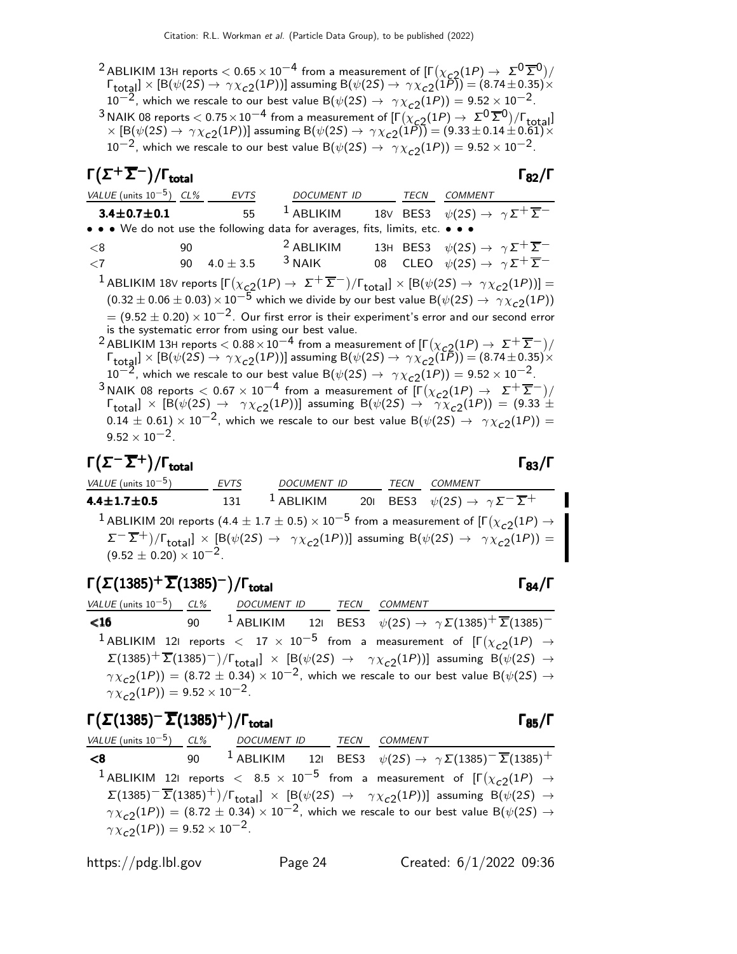<sup>2</sup> ABLIKIM 13H reports  $< 0.65 \times 10^{-4}$  from a measurement of  $[\Gamma(\chi_{c2}(1P) \to \Sigma^0 \overline{\Sigma}^0)/$  $\Gamma_{\rm total} \propto [{\rm B}(\psi(2S) \to \gamma \chi_{c2}(1P))]$  assuming  ${\rm B}(\psi(2S) \to \gamma \chi_{c2}(1P)) = (8.74 \pm 0.35) \times 10^{-4}$  $10^{-2}$ , which we rescale to our best value B( $\psi(2S) \rightarrow \gamma \chi_{c2}(1P)$ ) = 9.52  $\times$  10<sup>-2</sup>. 3 NAIK 08 reports  $< 0.75 \times 10^{-4}$  from a measurement of  $[\Gamma(\chi_{\rm C2}^{-}(1P) \to \Sigma^{0} \overline{\Sigma}^{0})/\Gamma_{\rm total}]$  $\times$  [B( $\psi$ (2S)  $\to \gamma \chi_{c2}(1P)$ ] assuming B( $\psi$ (2S)  $\to \gamma \chi_{c2}(1P)$ ] = (9.33  $\pm$  0.14  $\pm$  0.61) $\times$  $10^{-2}$ , which we rescale to our best value B $(\psi(2S) \rightarrow \gamma \chi_{c2}(1P)) = 9.52 \times 10^{-2}$ .

# $\Gamma(\Sigma^+\overline{\Sigma}^-)/\Gamma_{\rm total}$  Γ<sub>82</sub>/Γ

| VALUE (units $10^{-5}$ ) CL%                                                  | EVTS          | DOCUMENT ID                                                                                                                                                                  | TECN | <b>COMMENT</b>                                                                                                                                                                                                                                                                                                                                                                                                                                                                                                                                                                                                                                                                                                           |
|-------------------------------------------------------------------------------|---------------|------------------------------------------------------------------------------------------------------------------------------------------------------------------------------|------|--------------------------------------------------------------------------------------------------------------------------------------------------------------------------------------------------------------------------------------------------------------------------------------------------------------------------------------------------------------------------------------------------------------------------------------------------------------------------------------------------------------------------------------------------------------------------------------------------------------------------------------------------------------------------------------------------------------------------|
| $3.4 \pm 0.7 \pm 0.1$                                                         | 55            | $1$ ABLIKIM                                                                                                                                                                  |      | 18V BES3 $\psi(2S) \rightarrow \gamma \Sigma^+ \overline{\Sigma}^-$                                                                                                                                                                                                                                                                                                                                                                                                                                                                                                                                                                                                                                                      |
| • • • We do not use the following data for averages, fits, limits, etc. • • • |               |                                                                                                                                                                              |      |                                                                                                                                                                                                                                                                                                                                                                                                                                                                                                                                                                                                                                                                                                                          |
| <8<br>90                                                                      |               | <sup>2</sup> ABLIKIM                                                                                                                                                         |      | 13H BES3 $\psi(2S) \rightarrow \gamma \Sigma^+ \overline{\Sigma}^-$                                                                                                                                                                                                                                                                                                                                                                                                                                                                                                                                                                                                                                                      |
| 90<br>$\leq 7$                                                                | $4.0 \pm 3.5$ | $3$ NAIK                                                                                                                                                                     |      | 08 CLEO $\psi(2S) \rightarrow \gamma \Sigma^+ \overline{\Sigma}^-$                                                                                                                                                                                                                                                                                                                                                                                                                                                                                                                                                                                                                                                       |
|                                                                               |               | is the systematic error from using our best value.<br>$10^{-2}$ , which we rescale to our best value B $(\psi(2S) \rightarrow \gamma \chi_{c2}(1P)) = 9.52 \times 10^{-2}$ . |      | <sup>1</sup> ABLIKIM 18V reports $[\Gamma(\chi_{c2}(1P) \to \Sigma^+ \overline{\Sigma}^-)/\Gamma_{\text{total}}] \times [B(\psi(2S) \to \gamma \chi_{c2}(1P))] =$<br>$(0.32 \pm 0.06 \pm 0.03) \times 10^{-5}$ which we divide by our best value B( $\psi(2S) \rightarrow \gamma \chi_{c2}(1P)$ )<br>$=$ (9.52 $\pm$ 0.20) $\times$ 10 <sup>-2</sup> . Our first error is their experiment's error and our second error<br><sup>2</sup> ABLIKIM 13H reports $< 0.88 \times 10^{-4}$ from a measurement of $[\Gamma(\chi_{c2}(1P) \to \Sigma^+ \overline{\Sigma}^-)]/$<br>$\Gamma_{\text{total}} \propto [B(\psi(2S) \to \gamma \chi_{c2}(1P))]$ assuming $B(\psi(2S) \to \gamma \chi_{c2}(1P)) = (8.74 \pm 0.35) \times$ |
|                                                                               |               |                                                                                                                                                                              |      | <sup>3</sup> NAIK 08 reports $< 0.67 \times 10^{-4}$ from a measurement of $[\Gamma(\chi_{c2}(1P) \rightarrow \Sigma^{+} \overline{\Sigma}^{-})/$<br>$\Gamma_{\text{total}}$ $\times$ [B( $\psi(2S) \rightarrow \gamma \chi_{c2}(1P)$ )] assuming B( $\psi(2S) \rightarrow \gamma \chi_{c2}(1P)$ ) = (9.33 $\pm$<br>$(0.14 \pm 0.61) \times 10^{-2}$ , which we rescale to our best value B( $\psi(2S) \rightarrow \gamma \chi_{c2}(1P)$ ) =                                                                                                                                                                                                                                                                             |

 $\Gamma(\Sigma^-\overline{\Sigma}^+)$ /Γ<sub>total</sub> Γ<sub>83</sub>/Γ

9.52  $\times$  10<sup>-2</sup>.

VALUE (units 10<sup>-5</sup>) EVTS DOCUMENT ID TECN COMMENT **4.4±1.7±0.5** 131 1 ABLIKIM 20I BES3  $\psi(2S) \to \gamma \Sigma^{-} \overline{\Sigma^{+}}$  $^1$  ABLIKIM 201 reports  $(4.4 \pm 1.7 \pm 0.5) \times 10^{-5}$  from a measurement of [Г $(\chi_{c2}(1P) \rightarrow$  $\Sigma^{-}(\overline{\Sigma}^{+})/\Gamma_{\text{total}}] \times [\text{B}(\psi(2S) \rightarrow \gamma \chi_{c2}(1P))]$  assuming  $\text{B}(\psi(2S) \rightarrow \gamma \chi_{c2}(1P)) =$  $(9.52 \pm 0.20) \times 10^{-2}$ .

# Γ $(\Sigma(1385)^+ \overline{\Sigma}(1385)^-) /$ Γ<sub>total</sub> Γ<sub>84</sub>/Γ

| VALUE (units $10^{-5}$ ) CL% DOCUMENT ID TECN COMMENT |  |                                                                                                                                                                      |
|-------------------------------------------------------|--|----------------------------------------------------------------------------------------------------------------------------------------------------------------------|
| $\leq 16$                                             |  | 90 <sup>1</sup> ABLIKIM 121 BES3 $\psi(2S) \rightarrow \gamma \Sigma(1385)^{+} \overline{\Sigma}(1385)^{-}$                                                          |
|                                                       |  | <sup>1</sup> ABLIKIM 121 reports $<$ 17 $\times$ 10 <sup>-5</sup> from a measurement of $[\Gamma(\chi_{c2}(1P) \rightarrow$                                          |
|                                                       |  | $\Sigma(1385)^{+} \overline{\Sigma}(1385)^{-})/\Gamma_{\text{total}}$ $\times$ [B( $\psi(2S) \rightarrow \gamma \chi_{c2}(1P)$ )] assuming B( $\psi(2S) \rightarrow$ |
|                                                       |  | $\gamma \chi_{c2}(1P)$ = (8.72 ± 0.34) × 10 <sup>-2</sup> , which we rescale to our best value B( $\psi(2S) \rightarrow$                                             |
| $\gamma \chi_{c2}(1P) = 9.52 \times 10^{-2}$ .        |  |                                                                                                                                                                      |

# Γ $(\Sigma(1385)^-\overline{\Sigma}(1385)^+)$ /Γ<sub>total</sub> Γ<sub>85</sub>/Γ

| VALUE (units $10^{-5}$ ) CL% DOCUMENT ID TECN COMMENT |  |                                                                                                                                                               |
|-------------------------------------------------------|--|---------------------------------------------------------------------------------------------------------------------------------------------------------------|
| 6>                                                    |  | 90 <sup>1</sup> ABLIKIM 121 BES3 $\psi(2S) \rightarrow \gamma \Sigma(1385)$ <sup>-</sup> $\Sigma(1385)^+$                                                     |
|                                                       |  | <sup>1</sup> ABLIKIM 121 reports $<$ 8.5 $\times$ 10 <sup>-5</sup> from a measurement of $[\Gamma(\chi_{c2}(1P) \rightarrow$                                  |
|                                                       |  | $\Sigma(1385)^{-} \overline{\Sigma}(1385)^{+})/\Gamma_{\text{total}}$ × [B( $\psi(2S) \rightarrow \gamma \chi_{c2}(1P)$ )] assuming B( $\psi(2S) \rightarrow$ |
|                                                       |  | $\gamma \chi_{c2}(1P)$ = (8.72 ± 0.34) × 10 <sup>-2</sup> , which we rescale to our best value B( $\psi(2S) \rightarrow$                                      |
| $\gamma \chi_{c2}(1P) = 9.52 \times 10^{-2}$ .        |  |                                                                                                                                                               |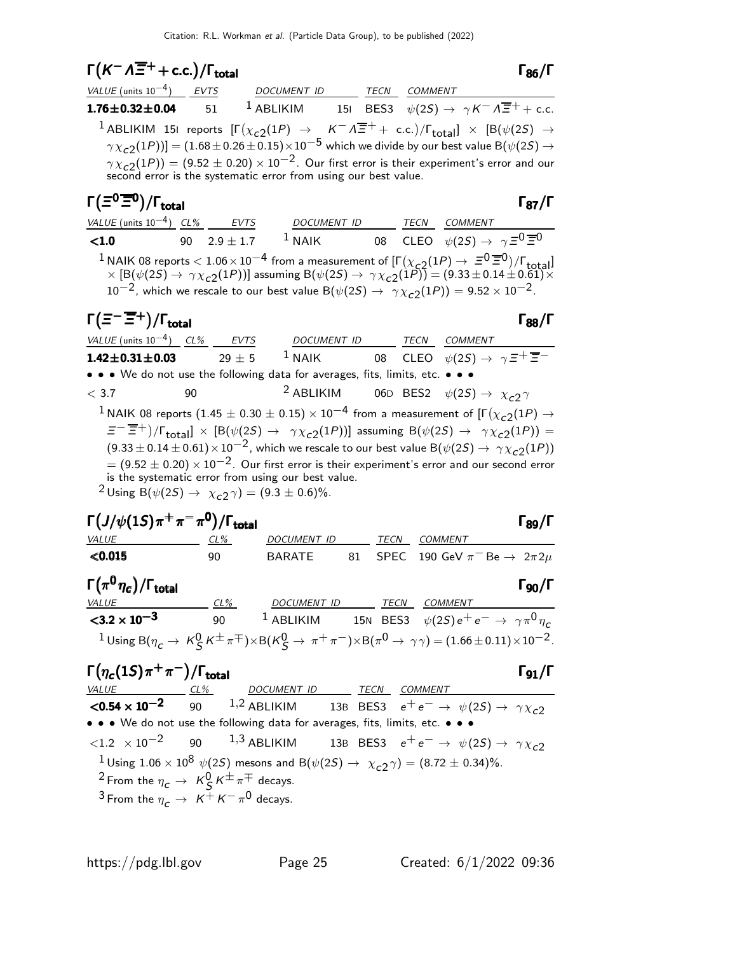$$
\Gamma(K^{-} \Lambda \overline{\Xi}^{+} + c.c.)/\Gamma_{total}
$$
\nVALUE (units 10<sup>-4</sup>)<sub>2</sub> EVT5  
\n1.76±0.32±0.04 51 1 ABLIKIM 15I BES3  $\psi(2S) \rightarrow \gamma K^{-} \Lambda \overline{\Xi}^{+} + c.c.$   
\n1.76±0.32±0.04 51 1 ABLIKIM 15I BES3  $\psi(2S) \rightarrow \gamma K^{-} \Lambda \overline{\Xi}^{+} + c.c.$   
\n1.76±0.32±0.04 51 1 ABLIKIM 15I (χ<sub>c2</sub>(1P) ) →  $K^{-} \Lambda \overline{\Xi}^{+} + c.c.$ )/ $\Gamma_{total}$  | × [B(ψ(2S) →  
\n $\gamma \chi_{c2}$ (1P)) = (1.68 ± 0.26 ± 0.15) × 10<sup>-5</sup> which we divide by our best value B(ψ(2S) →  
\n $\gamma \chi_{c2}$ (1P)) = (9.52 ± 0.20) × 10<sup>-2</sup>. Our first error is their experiment's error and our  
\nsecond error is the systematic error from using our best value.  
\n
$$
\Gamma(\overline{\Xi}^{0} \overline{\Xi}^{0})/\Gamma_{total}
$$
\n
$$
\frac{VALUE (units 10-4)}{90} \frac{CV}{2.9 \pm 1.7}
$$
\n1 NAIK 08 represents  $\langle$  1.06 × 10<sup>-4</sup> from a measurement of  $[\Gamma(\chi_{c2}$ (1P)) = (9.33 ± 0.14 ± 0.61) ×  
\n10<sup>-2</sup>, which we rescale to our best value B(ψ(2S) → γχ<sub>c2</sub>(1P)) = 9.52 × 10<sup>-2</sup>.  
\n
$$
\Gamma(\overline{\Xi}^{-} \overline{\Xi}^{+})/\Gamma_{total}
$$
\n
$$
\Gamma_{total}
$$
\n1.42±0.31±0.03 29 ± 5 1 NAIK 08 CLEO ψ(2S) → γ<sub>c2</sub>(1P)) = 9.52 × 10<sup>-2</sup>.  
\n1.42±0.31±0.03 29 ± 5 1 NAIK 08 C

 $=(9.52\pm0.20)\times10^{-2}$ . Our first error is their experiment's error and our second error is the systematic error from using our best value.  $2 \text{ Using } B(\psi(2S) \to \chi_{c2} \gamma) = (9.3 \pm 0.6)\%.$ 



 $\Gamma(\eta_c(1S)\pi^+\pi^-)$ Γ $(\eta_c(1S)\pi^+\pi^-)/\Gamma_{\text{total}}$  Γg<sub>1</sub>/Γ VALUE CL% DOCUMENT ID TECN COMMENT  $1,2$  ABLIKIM 13B BES3  $e^+e^-$  →  $\psi(25)$  →  $\gamma \chi_{c2}$ • • • We do not use the following data for averages, fits, limits, etc. • • •  $\langle 1.2 \times 10^{-2}$  90  $1.3$  ABLIKIM 13B BES3  $e^+e^- \rightarrow \psi(2S) \rightarrow \gamma \chi_{c2}$  $\frac{1}{2}$ Using  $1.06 \times 10^8 \psi(25)$  mesons and B $(\psi(25) \rightarrow \chi_{c2} \gamma) = (8.72 \pm 0.34)\%.$ <sup>2</sup> From the  $\eta_c \to K_S^0 K^{\pm} \pi^{\mp}$  decays.  $^3$  From the  $\eta_c \rightarrow K^+ K^- \pi^0$  decays.

 $\sqrt{1 + 9} = 0$ 

 $\gamma = + \frac{1}{2} -$ 

 $\chi_{c2} \gamma$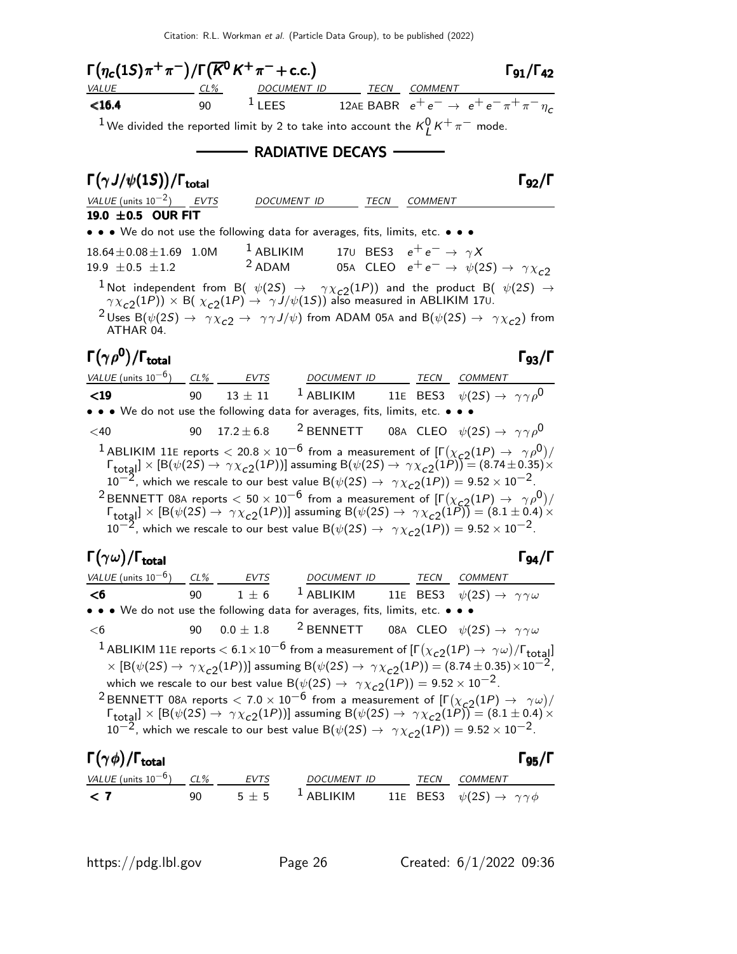| $\Gamma(\eta_c(1S)\pi^+\pi^-)/\Gamma(\overline{K}^0K^+\pi^-+c.c.)$<br>VALUE |         | <u>CL% DOCUMENT ID TECN COMMENT</u>                                           |      |                                                                                                                                                                                                                                                                                                                                                                                                  | $\Gamma_{91}/\Gamma_{42}$ |
|-----------------------------------------------------------------------------|---------|-------------------------------------------------------------------------------|------|--------------------------------------------------------------------------------------------------------------------------------------------------------------------------------------------------------------------------------------------------------------------------------------------------------------------------------------------------------------------------------------------------|---------------------------|
| $16.4$                                                                      | 90 — 10 |                                                                               |      | 1 LEES 12AE BABR $e^+e^- \rightarrow e^+e^-\pi^+\pi^-\eta_c$                                                                                                                                                                                                                                                                                                                                     |                           |
|                                                                             |         |                                                                               |      | <sup>1</sup> We divided the reported limit by 2 to take into account the $K_I^0 K^+ \pi^-$ mode.                                                                                                                                                                                                                                                                                                 |                           |
|                                                                             |         |                                                                               |      |                                                                                                                                                                                                                                                                                                                                                                                                  |                           |
|                                                                             |         | — RADIATIVE DECAYS -                                                          |      |                                                                                                                                                                                                                                                                                                                                                                                                  |                           |
| $\Gamma(\gamma J/\psi(1S))/\Gamma_{\rm total}$                              |         |                                                                               |      |                                                                                                                                                                                                                                                                                                                                                                                                  | $\Gamma$ <sub>92</sub> /Г |
| VALUE (units $10^{-2}$ ) __ EVTS                                            |         | DOCUMENT ID                                                                   | TECN | COMMENT                                                                                                                                                                                                                                                                                                                                                                                          |                           |
| 19.0 ±0.5 OUR FIT                                                           |         |                                                                               |      |                                                                                                                                                                                                                                                                                                                                                                                                  |                           |
|                                                                             |         | • • • We do not use the following data for averages, fits, limits, etc. • • • |      |                                                                                                                                                                                                                                                                                                                                                                                                  |                           |
| $18.64 \pm 0.08 \pm 1.69$ 1.0M                                              |         |                                                                               |      | <sup>1</sup> ABLIKIM 170 BES3 $e^+e^- \rightarrow \gamma X$                                                                                                                                                                                                                                                                                                                                      |                           |
| 19.9 $\pm 0.5 \pm 1.2$                                                      |         |                                                                               |      | <sup>2</sup> ADAM 05A CLEO $e^+e^- \rightarrow \psi(2S) \rightarrow \gamma \chi_{c2}$                                                                                                                                                                                                                                                                                                            |                           |
|                                                                             |         |                                                                               |      | <sup>1</sup> Not independent from B( $\psi(2S) \rightarrow \gamma \chi_{c2}(1P)$ ) and the product B( $\psi(2S) \rightarrow \gamma \chi_{c2}(1P)$ ) × B( $\chi_{c2}(1P) \rightarrow \gamma J/\psi(1S)$ ) also measured in ABLIKIM 170.                                                                                                                                                           |                           |
| ATHAR 04.                                                                   |         |                                                                               |      | $^2$ Uses B $(\psi(2S) \to \gamma \chi_{c2} \to \gamma \gamma J/\psi)$ from ADAM 05A and B $(\psi(2S) \to \gamma \chi_{c2})$ from                                                                                                                                                                                                                                                                |                           |
| $\Gamma(\gamma \rho^0)/\Gamma_{\rm total}$                                  |         |                                                                               |      |                                                                                                                                                                                                                                                                                                                                                                                                  | $\Gamma_{93}/\Gamma$      |
|                                                                             |         |                                                                               |      | $VALUE$ (units $10^{-6}$ ) $CL\%$ EVTS DOCUMENT ID TECN COMMENT                                                                                                                                                                                                                                                                                                                                  |                           |
| $19$                                                                        | 90      |                                                                               |      | 13 ± 11 <sup>1</sup> ABLIKIM 11E BES3 $\psi(2S) \rightarrow \gamma \gamma \rho^0$                                                                                                                                                                                                                                                                                                                |                           |
|                                                                             |         | • • • We do not use the following data for averages, fits, limits, etc. • •   |      |                                                                                                                                                                                                                                                                                                                                                                                                  |                           |
| $<$ 40                                                                      | 90      |                                                                               |      | 17.2 ± 6.8 <sup>2</sup> BENNETT 08A CLEO $\psi(2S) \rightarrow \gamma \gamma \rho^0$                                                                                                                                                                                                                                                                                                             |                           |
|                                                                             |         |                                                                               |      |                                                                                                                                                                                                                                                                                                                                                                                                  |                           |
|                                                                             |         |                                                                               |      | <sup>1</sup> ABLIKIM 11E reports $<$ 20.8 $\times$ 10 <sup>-6</sup> from a measurement of $[\Gamma(\chi_{c2}(1P) \to \gamma \rho^0)/\Gamma_{\text{total}}] \times [B(\psi(2S) \to \gamma \chi_{c2}(1P))]$ assuming $B(\psi(2S) \to \gamma \chi_{c2}(1P)) = (8.74 \pm 0.35) \times$                                                                                                               |                           |
|                                                                             |         |                                                                               |      | $10^{-2}$ , which we rescale to our best value B $(\psi(2S) \rightarrow \gamma \chi_{c2}(1P)) = 9.52 \times 10^{-2}$ .                                                                                                                                                                                                                                                                           |                           |
|                                                                             |         |                                                                               |      | <sup>2</sup> BENNETT 08A reports $< 50 \times 10^{-6}$ from a measurement of $[\Gamma(\chi_{c2}(1P) \to \gamma \rho^0)/\Gamma_{\text{total}}] \times [B(\psi(2S) \to \gamma \chi_{c2}(1P))]$ assuming $B(\psi(2S) \to \gamma \chi_{c2}(1P)) = (8.1 \pm 0.4) \times$                                                                                                                              |                           |
|                                                                             |         |                                                                               |      | $10^{-2}$ , which we rescale to our best value B $(\psi(2S) \rightarrow \gamma \chi_{c2}(1P)) = 9.52 \times 10^{-2}$ .                                                                                                                                                                                                                                                                           |                           |
|                                                                             |         |                                                                               |      |                                                                                                                                                                                                                                                                                                                                                                                                  |                           |
| $\Gamma(\gamma\omega)/\Gamma_{\rm total}$                                   |         |                                                                               |      |                                                                                                                                                                                                                                                                                                                                                                                                  | $\Gamma_{94}/\Gamma$      |
| <u>VALUE</u> (units $10^{-6}$ ) CL% EVTS                                    |         |                                                                               |      | DOCUMENT ID TECN COMMENT                                                                                                                                                                                                                                                                                                                                                                         |                           |
| $\leq 6$ 90 1 $\pm$ 6                                                       |         |                                                                               |      | <sup>1</sup> ABLIKIM 11E BES3 $\psi(2S) \rightarrow \gamma \gamma \omega$                                                                                                                                                                                                                                                                                                                        |                           |
|                                                                             |         | • • • We do not use the following data for averages, fits, limits, etc. • • • |      |                                                                                                                                                                                                                                                                                                                                                                                                  |                           |
| $<$ 6                                                                       | 90      | $0.0 \pm 1.8$                                                                 |      | <sup>2</sup> BENNETT 08A CLEO $\psi(2S) \rightarrow \gamma \gamma \omega$                                                                                                                                                                                                                                                                                                                        |                           |
|                                                                             |         |                                                                               |      | $^1$ ABLIKIM 11E reports $<$ 6.1 $\times$ 10 $^{-6}$ from a measurement of [F $(\chi_{c2}(1P) \rightarrow \ \gamma \omega)/$ Ftotal]                                                                                                                                                                                                                                                             |                           |
|                                                                             |         |                                                                               |      | $\times$ [B( $\psi(2S) \rightarrow \ \gamma \chi_{c2}(1P))$ ] assuming B( $\psi(2S) \rightarrow \ \gamma \chi_{c2}(1P))$ = (8.74 $\pm$ 0.35) $\times 10^{-2}$ ,                                                                                                                                                                                                                                  |                           |
|                                                                             |         |                                                                               |      | which we rescale to our best value B $(\psi(2S) \rightarrow \gamma \chi_{c2}(1P)) = 9.52 \times 10^{-2}$ .                                                                                                                                                                                                                                                                                       |                           |
|                                                                             |         |                                                                               |      | <sup>2</sup> BENNETT 08A reports < 7.0 × 10 <sup>-6</sup> from a measurement of $[\Gamma(\chi_{c2}(1P) \to \gamma \omega)/\Gamma_{\text{total}}] \times [B(\psi(2S) \to \gamma \chi_{c2}(1P))]$ assuming $B(\psi(2S) \to \gamma \chi_{c2}(1P)) = (8.1 \pm 0.4) \times$<br>$10^{-2}$ , which we rescale to our best value B $(\psi(2S) \rightarrow \gamma \chi_{c2}(1P)) = 9.52 \times 10^{-2}$ . |                           |

| $\Gamma(\gamma\phi)/\Gamma_{\rm total}$ |    |         |                        |      | $\Gamma_{95}/\Gamma$                               |
|-----------------------------------------|----|---------|------------------------|------|----------------------------------------------------|
| VALUE (units $10^{-6}$ ) CL%            |    | EVTS    | DOCUMENT ID            | TECN | <i>COMMENT</i>                                     |
| $\langle 7$                             | ۹N | $5 + 5$ | $\overline{1}$ ABLIKIM |      | 11E BES3 $\psi(2S) \rightarrow \gamma \gamma \phi$ |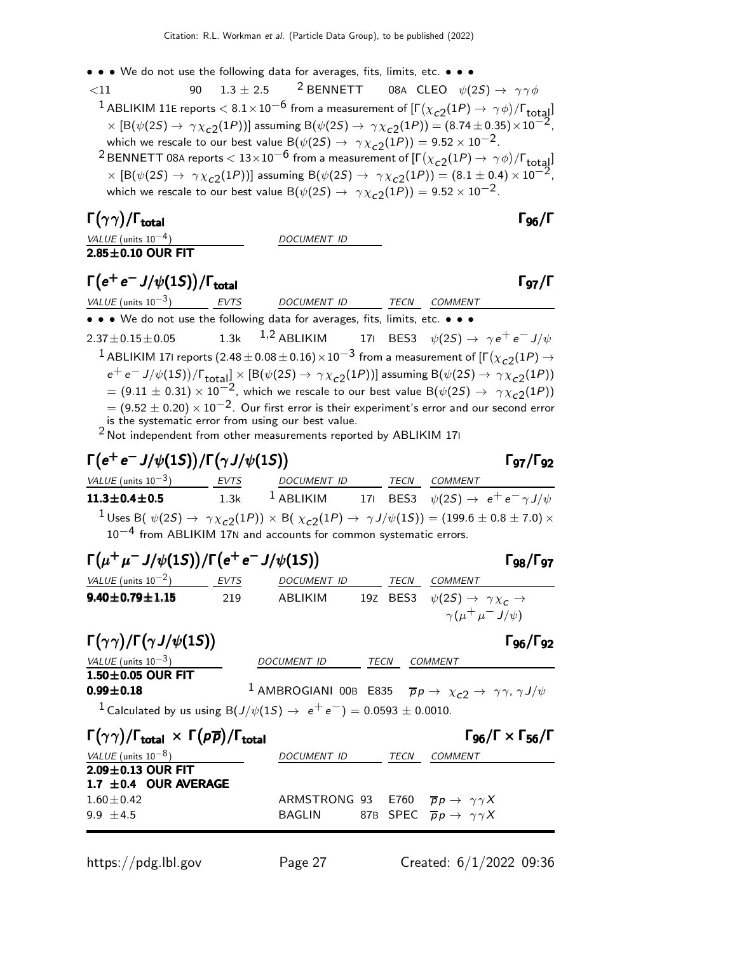• • • We do not use the following data for averages, fits, limits, etc. • • •

 $< 11$  90  $1.3 \pm 2.5$ <sup>2</sup> BENNETT 08A CLEO  $\psi(2S) \rightarrow \gamma \gamma \phi$  $^1$  ABLIKIM 11E reports  $<$   $8.1\times10^{-6}$  from a measurement of [Г $(\chi_{\tt C2}(1P) \to\ \gamma\phi)/$ Г $_{\tt total}]$ ]  $\times$  [B( $\psi(2S) \rightarrow \gamma \chi_{c2}(1P)$ )] assuming B( $\psi(2S) \rightarrow \gamma \chi_{c2}(1P)$ ) = (8.74 ± 0.35)  $\times 10^{-2}$ , which we rescale to our best value  $B(\psi(2S) \rightarrow \gamma \chi_{c2}(1P)) = 9.52 \times 10^{-2}$ .  $^2$ BENNETT 08A reports  $< 13 \times 10^{-6}$  from a measurement of  $[\Gamma(\chi_{c2}(1P) \to \gamma \phi)/\Gamma_{\rm total}]$  $\times$  [B( $\psi(2S) \rightarrow \gamma \chi_{c2}(1P)$ ] assuming B( $\psi(2S) \rightarrow \gamma \chi_{c2}(1P)$ ) = (8.1 ± 0.4) × 10<sup>-2</sup>,

which we rescale to our best value B $(\psi(2S) \rightarrow \gamma \chi_{c2}(1P)) = 9.52 \times 10^{-2}$ .

Γ $(γγ)/\Gamma$ <sub>total</sub> Γ $_{96}/\Gamma$ 

 $2.85\pm0.10$  OUR FIT

VALUE (units  $10^{-4}$ ) DOCUMENT ID

 $\Gamma(e^+e^-J/\psi(1S))/\Gamma_{\text{total}}$  Γ97/Γ

VALUE (units  $10^{-3}$ ) EVTS DOCUMENT ID TECN COMMENT • • • We do not use the following data for averages, fits, limits, etc. • • •  $2.37 \pm 0.15 \pm 0.05$  1.3k  $1,2$  ABLIKIM 17I BES3  $\psi(2S) \rightarrow \gamma e^+ e^- J/\psi$  $^1$  ABLIKIM 171 reports  $(2.48\pm0.08\pm0.16)\times10^{-3}$  from a measurement of [Г $(\chi_{c2}(1P) \rightarrow$  $e^+e^- J/\psi(1S))/\Gamma_{\rm total}$   $\times$   $[{\rm B}(\psi(2S) \to \gamma \chi_{c2}(1P))]$  assuming  ${\rm B}(\psi(2S) \to \gamma \chi_{c2}(1P))$  $= (9.11 \pm 0.31) \times 10^{-2}$ , which we rescale to our best value B( $\psi(2S) \rightarrow \gamma \chi_{c2}(1P)$ )  $= (9.52 \pm 0.20) \times 10^{-2}$ . Our first error is their experiment's error and our second error is the systematic error from using our best value. 2 Not independent from other measurements reported by ABLIKIM 17<sup>I</sup>

# $\Gamma(e^+e^-J/\psi(1S))/\Gamma(\gamma J/\psi(1S))$  Γg7/Γg2

VALUE (units  $10^{-3}$ ) EVTS DOCUMENT ID TECN COMMENT **11.3±0.4±0.5** 1.3k <sup>1</sup> ABLIKIM 17I BES3  $\psi(2S) \to e^+e^- \gamma J/\psi$  $1$ Uses B(  $\psi(2S) \rightarrow \gamma \chi_{c2}(1P)) \times$  B(  $\chi_{c2}(1P) \rightarrow \gamma J/\psi(1S)) = (199.6 \pm 0.8 \pm 7.0) \times$  $10^{-4}$  from ABLIKIM 17N and accounts for common systematic errors.

| $\Gamma(\mu^+\mu^-J/\psi(1S))/\Gamma(e^+e^-J/\psi(1S))$ | $\Gamma_{98}/\Gamma_{97}$ |                    |      |                                                           |
|---------------------------------------------------------|---------------------------|--------------------|------|-----------------------------------------------------------|
| <i>VALUE</i> (units $10^{-2}$ )                         | <i>EVTS</i>               | <i>DOCUMENT ID</i> | TECN | COMMENT                                                   |
| $9.40 \pm 0.79 \pm 1.15$                                | 219                       | ABI IKIM           |      | 197 BES3 $\psi(2S) \rightarrow \gamma \chi_c \rightarrow$ |
|                                                         |                           |                    |      | $\gamma(\mu^+\mu^-J/\psi)$                                |

| $\Gamma(\gamma\gamma)/\Gamma(\gamma J/\psi(1S))$ |             |             | $\Gamma_{96}/\Gamma_{92}$                                                                                       |
|--------------------------------------------------|-------------|-------------|-----------------------------------------------------------------------------------------------------------------|
| <i>VALUE</i> (units $10^{-3}$ )                  | DOCUMENT ID | <b>TECN</b> | COMMENT                                                                                                         |
| $1.50\pm0.05$ OUR FIT                            |             |             |                                                                                                                 |
| $0.99 \pm 0.18$                                  |             |             | <sup>1</sup> AMBROGIANI 00B E835 $\overline{p}p \rightarrow \chi_{c2} \rightarrow \gamma \gamma, \gamma J/\psi$ |

<sup>1</sup> Calculated by us using B(J/ $\psi$ (1S) →  $e^+e^-$ ) = 0.0593 ± 0.0010.

| $\Gamma(\gamma\gamma)/\Gamma_{\text{total}} \times \Gamma(p\overline{p})/\Gamma_{\text{total}}$ |                                                               |      | $\Gamma_{96}/\Gamma \times \Gamma_{56}/\Gamma$ |
|-------------------------------------------------------------------------------------------------|---------------------------------------------------------------|------|------------------------------------------------|
| VALUE (units $10^{-8}$ )                                                                        | DOCUMENT ID                                                   | TECN | <i>COMMENT</i>                                 |
| $2.09 \pm 0.13$ OUR FIT                                                                         |                                                               |      |                                                |
| 1.7 $\pm$ 0.4 OUR AVERAGE                                                                       |                                                               |      |                                                |
| $1.60\pm0.42$                                                                                   | ARMSTRONG 93 E760 $\overline{p}p \rightarrow \gamma \gamma X$ |      |                                                |
| $9.9 + 4.5$                                                                                     | BAGLIN 87B SPEC $\overline{p}p \rightarrow \gamma \gamma X$   |      |                                                |
|                                                                                                 |                                                               |      |                                                |

 $\Gamma$ <sub>Q7</sub>/ $\Gamma$ <sub>Q2</sub>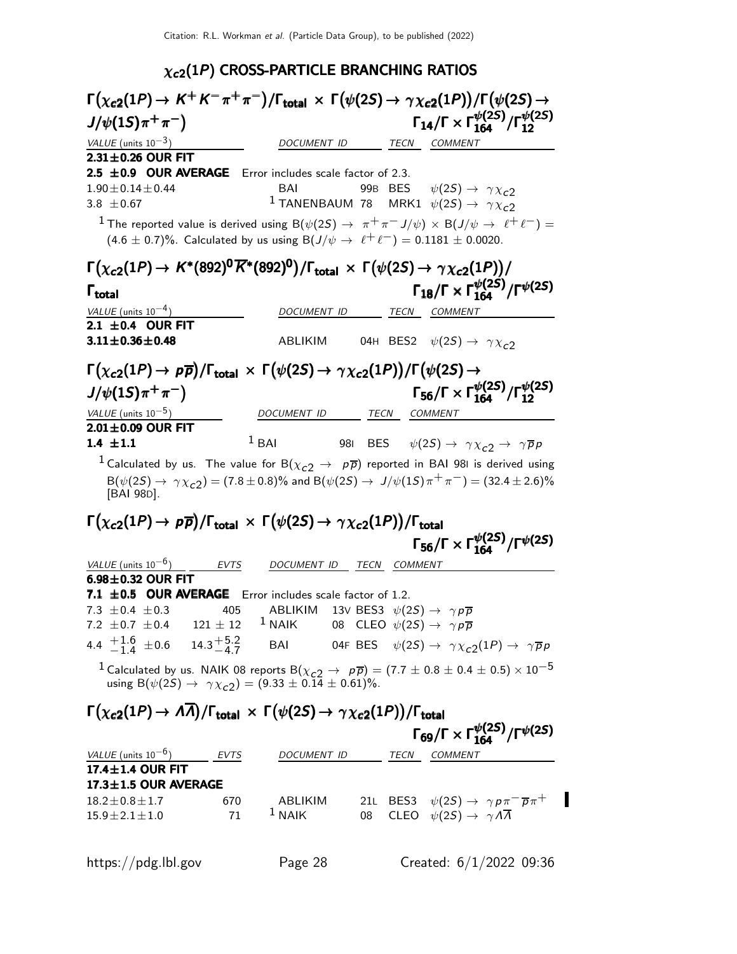# $\chi_{c2}(1P)$  CROSS-PARTICLE BRANCHING RATIOS

| $\Gamma(\chi_{c2}(1P) \to K^+K^-\pi^+\pi^-)/\Gamma_{\rm total} \times \Gamma(\psi(2S) \to \gamma\chi_{c2}(1P))/\Gamma(\psi(2S) \to$                                                                                            |             |                                                               |      |                |                                                                                                                    |  |
|--------------------------------------------------------------------------------------------------------------------------------------------------------------------------------------------------------------------------------|-------------|---------------------------------------------------------------|------|----------------|--------------------------------------------------------------------------------------------------------------------|--|
| $J/\psi(15)\pi^{+}\pi^{-}$                                                                                                                                                                                                     |             |                                                               |      |                | $\Gamma_{14}/\Gamma \times \Gamma_{164}^{\psi(25)}/\Gamma_{12}^{\psi(25)}$                                         |  |
| VALUE (units $10^{-3}$ )                                                                                                                                                                                                       |             | DOCUMENT ID                                                   |      |                | TECN COMMENT                                                                                                       |  |
| $2.31\pm0.26$ OUR FIT                                                                                                                                                                                                          |             |                                                               |      |                |                                                                                                                    |  |
| 2.5 $\pm$ 0.9 OUR AVERAGE                                                                                                                                                                                                      |             | Error includes scale factor of 2.3.                           |      |                |                                                                                                                    |  |
| $1.90 \pm 0.14 \pm 0.44$                                                                                                                                                                                                       |             | BAI                                                           |      |                | 99B BES $\psi(2S) \rightarrow \gamma \chi_{c2}$                                                                    |  |
| 3.8 $\pm$ 0.67                                                                                                                                                                                                                 |             |                                                               |      |                | <sup>1</sup> TANENBAUM 78 MRK1 $\psi(2S) \rightarrow \gamma \chi_C^2$                                              |  |
| $^{-1}$ The reported value is derived using B( $\psi(2S) \to \pi^+ \pi^- J/\psi) \times$ B( $J/\psi \to \ell^+ \ell^-) = 0$<br>$(4.6 \pm 0.7)\%$ . Calculated by us using B $(J/\psi \to \ell^+ \ell^-) = 0.1181 \pm 0.0020$ . |             |                                                               |      |                |                                                                                                                    |  |
| $\Gamma(\chi_{c2}(1P) \to K^*(892)^0 \overline{K}^*(892)^0)/\Gamma_{\text{total}} \times \Gamma(\psi(2S) \to \gamma \chi_{c2}(1P))/$                                                                                           |             |                                                               |      |                |                                                                                                                    |  |
| $\Gamma_{\text{total}}$                                                                                                                                                                                                        |             |                                                               |      |                | $\Gamma_{18}/\Gamma \times \Gamma_{164}^{\psi(25)}/\Gamma^{\psi(25)}$                                              |  |
| VALUE (units $10^{-4}$ )                                                                                                                                                                                                       |             | DOCUMENT ID                                                   |      | TECN           | COMMENT                                                                                                            |  |
| 2.1 $\pm$ 0.4 OUR FIT                                                                                                                                                                                                          |             |                                                               |      |                |                                                                                                                    |  |
| $3.11 \pm 0.36 \pm 0.48$                                                                                                                                                                                                       |             | ABLIKIM                                                       |      |                | 04H BES2 $\psi(2S) \rightarrow \gamma \chi_{c2}$                                                                   |  |
| $\Gamma(\chi_{c2}(1P) \to p\overline{p})/\Gamma_{\rm total} \times \Gamma(\psi(2S) \to \gamma \chi_{c2}(1P))/\Gamma(\psi(2S) \to$                                                                                              |             |                                                               |      |                |                                                                                                                    |  |
| $J/\psi(15)\pi^{+}\pi^{-}$                                                                                                                                                                                                     |             |                                                               |      |                | $\Gamma_{56}/\Gamma \times \Gamma_{164}^{\psi(25)}/\Gamma_{12}^{\psi(25)}$                                         |  |
| VALUE (units $10^{-5}$ )                                                                                                                                                                                                       |             | DOCUMENT ID                                                   |      | TECN           | <b>COMMENT</b>                                                                                                     |  |
| $2.01 \pm 0.09$ OUR FIT                                                                                                                                                                                                        |             |                                                               |      |                |                                                                                                                    |  |
| 1.4 $\pm 1.1$                                                                                                                                                                                                                  |             | $1$ BAI                                                       |      |                | 981 BES $\psi(2S) \rightarrow \gamma \chi_{c2} \rightarrow \gamma \overline{p} p$                                  |  |
| <sup>1</sup> Calculated by us. The value for B $(\chi_{c2} \rightarrow p\overline{p})$ reported in BAI 981 is derived using                                                                                                    |             |                                                               |      |                |                                                                                                                    |  |
| [BAI 98D].                                                                                                                                                                                                                     |             |                                                               |      |                | $B(\psi(2S) \to \gamma \chi_{c2}) = (7.8 \pm 0.8)\%$ and $B(\psi(2S) \to J/\psi(1S)\pi^+\pi^-) = (32.4 \pm 2.6)\%$ |  |
| $\Gamma(\chi_{c2}(1P) \to p\overline{p})/\Gamma_{\text{total}} \times \Gamma(\psi(2S) \to \gamma \chi_{c2}(1P))/\Gamma_{\text{total}}$                                                                                         |             |                                                               |      |                |                                                                                                                    |  |
|                                                                                                                                                                                                                                |             |                                                               |      |                | $\Gamma_{56}/\Gamma \times \Gamma_{164}^{\psi(25)}/\Gamma^{\psi(25)}$                                              |  |
|                                                                                                                                                                                                                                |             |                                                               |      |                |                                                                                                                    |  |
| VALUE (units $10^{-6}$ )<br>$6.98\pm0.32$ OUR FIT                                                                                                                                                                              | <b>EVTS</b> | DOCUMENT ID                                                   | TECN | <b>COMMENT</b> |                                                                                                                    |  |
| 7.1 ±0.5 OUR AVERAGE Error includes scale factor of 1.2.                                                                                                                                                                       |             |                                                               |      |                |                                                                                                                    |  |
| 7.3 $\pm$ 0.4 $\pm$ 0.3                                                                                                                                                                                                        | 405         | ABLIKIM 13V BES3 $\psi(2S) \rightarrow \gamma p \overline{p}$ |      |                |                                                                                                                    |  |
| 7.2 $\pm$ 0.7 $\pm$ 0.4 121 $\pm$ 12                                                                                                                                                                                           |             | $1$ NAIK                                                      |      |                | 08 CLEO $\psi(2S) \rightarrow \gamma p \overline{p}$                                                               |  |
| 4.4 $\frac{+1.6}{-1.4}$ $\pm 0.6$ 14.3 $\frac{+5.2}{-4.7}$ BAI 04F BES $\psi(2S) \rightarrow \gamma \chi_{c2}(1P) \rightarrow \gamma \overline{p}p$                                                                            |             |                                                               |      |                |                                                                                                                    |  |
|                                                                                                                                                                                                                                |             |                                                               |      |                |                                                                                                                    |  |
| <sup>1</sup> Calculated by us. NAIK 08 reports B( $\chi_{c2} \to p\overline{p}$ ) = (7.7 ± 0.8 ± 0.4 ± 0.5) × 10 <sup>-5</sup> using B( $\psi(2S) \to \gamma \chi_{c2}$ ) = (9.33 ± 0.14 ± 0.61)%.                             |             |                                                               |      |                |                                                                                                                    |  |
| $\Gamma(\chi_{c2}(1P) \to A\overline{A})/\Gamma_{\text{total}} \times \Gamma(\psi(2S) \to \gamma \chi_{c2}(1P))/\Gamma_{\text{total}}$                                                                                         |             |                                                               |      |                |                                                                                                                    |  |
|                                                                                                                                                                                                                                |             |                                                               |      |                | $\Gamma_{69}/\Gamma \times \Gamma_{164}^{\psi(25)}/\Gamma^{\psi(25)}$                                              |  |
| VALUE (units $10^{-6}$ ) EVTS                                                                                                                                                                                                  |             |                                                               |      |                | DOCUMENT ID TECN COMMENT                                                                                           |  |
| $17.4 \pm 1.4$ OUR FIT                                                                                                                                                                                                         |             |                                                               |      |                |                                                                                                                    |  |
| 17.3±1.5 OUR AVERAGE                                                                                                                                                                                                           |             |                                                               |      |                |                                                                                                                    |  |
| $18.2 \pm 0.8 \pm 1.7$                                                                                                                                                                                                         | 670         | ABLIKIM                                                       |      |                | 21L BES3 $\psi(2S) \rightarrow \gamma p \pi^- \overline{p} \pi^+$                                                  |  |
| $15.9 \pm 2.1 \pm 1.0$                                                                                                                                                                                                         | 71          | $1$ NAIK                                                      | 08   |                | CLEO $\psi(2S) \rightarrow \gamma A \overline{A}$                                                                  |  |
|                                                                                                                                                                                                                                |             |                                                               |      |                |                                                                                                                    |  |
| https://pdg.lbl.gov                                                                                                                                                                                                            |             | Page 28                                                       |      |                | Created: $6/1/2022$ 09:36                                                                                          |  |
|                                                                                                                                                                                                                                |             |                                                               |      |                |                                                                                                                    |  |

 $\blacksquare$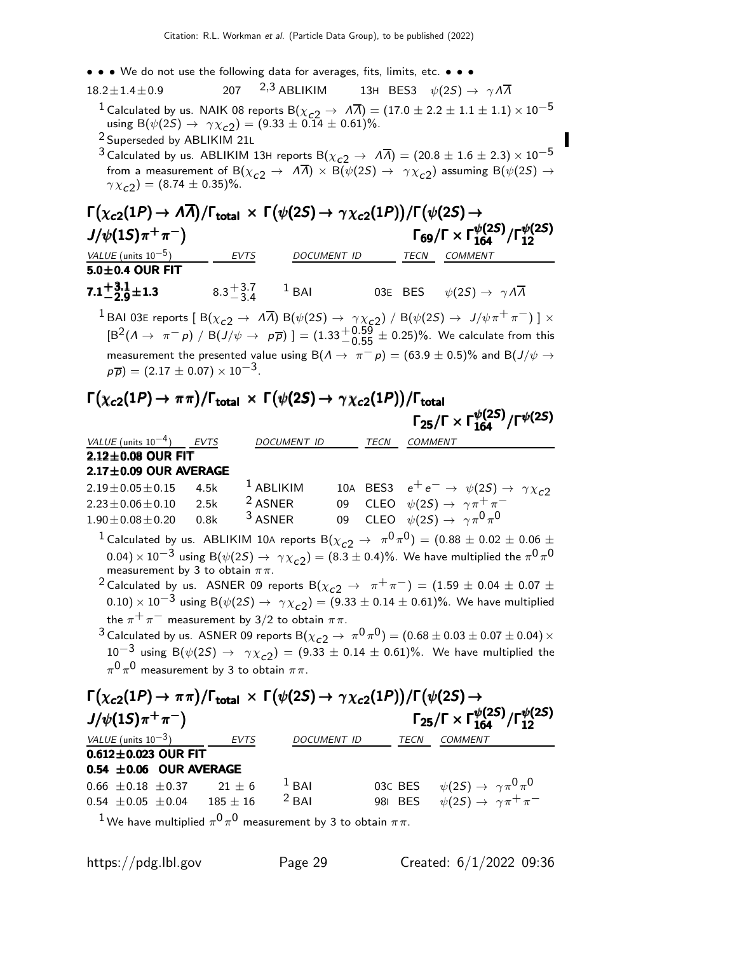- • We do not use the following data for averages, fits, limits, etc. • •
- 18.2 $\pm$ 1.4 $\pm$ 0.9 207 <sup>2,3</sup> ABLIKIM 13H BES3  $\psi(2S) \rightarrow \gamma \Lambda \overline{\Lambda}$ <sup>1</sup> Calculated by us. NAIK 08 reports B( $\chi_{c2} \to \bar{A} \bar{A}$ ) = (17.0 ± 2.2 ± 1.1 ± 1.1) × 10<sup>-5</sup> using  $B(\psi(2S) \to \gamma \chi_{c2}) = (9.33 \pm 0.14 \pm 0.61)\%.$ 2 Superseded by ABLIKIM 21<sup>L</sup>
	- 3 Calculated by us. ABLIKIM 13H reports B( $\chi_{c2} \to \overline{A} \overline{A}$ ) = (20.8 ± 1.6 ± 2.3)  $\times$  10<sup>-5</sup> from a measurement of B( $\chi_{c2} \to \bar{A} \bar{A}$ )  $\times$  B( $\psi(2S) \to \gamma \chi_{c2}$ ) assuming B( $\psi(2S) \to \bar{A}$  $\gamma \chi_{c2}^{\prime}$ ) = (8.74  $\pm$  0.35)%.

#### $\Gamma(\chi_{\bf c2}(1P) \rightarrow A\overline{A})/\Gamma_{\bf total} \times \Gamma(\psi(2S) \rightarrow \gamma \chi_{\bf c2}(1P))/\Gamma(\psi(2S) \rightarrow$ <br>J/ψ(1S)π<sup>+</sup>π<sup>−</sup>) Γ<sub>69</sub>/Γ × Γμ  $J/\psi(1S)\pi^{+}\pi^{-}$ Γ<sub>69</sub>/Γ  $\times$  Γ $_{164}^{\psi(2S)}/$ Γ $_{12}^{\psi(2S)}$ 12 <u>EVTS DOCUMENT ID TECN COMMENT</u>  $\frac{VALUE}{10^{-5}}$ <br>5.0±0.4 OUR FIT

 $7.1 + 3.1$ **7.1** $+3.1$ <sub> $-2.9$ </sub> $\pm 1.3$  8.3  $+3.7$  $-3.4$ 03E BES  $\psi(2S) \to \gamma \Lambda \overline{\Lambda}$ 

 $^1$  BAI 03E reports [ B( $\chi_{c2} \to \ A \overline{A}$ ) B( $\psi(2S) \to \ \gamma \chi_{c2}$ ) / B( $\psi(2S) \to \ J/\psi \pi^+ \pi^-)$  ]  $\times$  $\text{[B}^2(\Lambda \to \pi^- p) / \text{B}(J/\psi \to p\overline{p})] = (1.33^{+0.59}_{-0.55} \pm 0.25)\%$ . We calculate from this measurement the presented value using B( $\Lambda \to \pi^- p$ ) = (63.9 ± 0.5)% and B( $J/\psi \to$  $p\overline{p}$ ) = (2.17  $\pm$  0.07) × 10<sup>-3</sup>.

# $\Gamma(\chi_{c2}(1P) \rightarrow \pi \pi)/\Gamma_{\rm total} \times$  Γ  $(\psi(2S) \rightarrow \gamma \chi_{c2}(1P))/\Gamma_{\rm total}$ <br> $\Gamma_{25}/\Gamma \times \Gamma_{164}^{\psi(2S)}/\Gamma^{\psi(2S)}$

|                                                                                                                            |      |                                                                                                                                                                                                                                                                                                                                                                                                                                                                                                                                                                                                                                                                                                                                                                                                                            |             |      |                                                   | $\Gamma_{25}/\Gamma \times \Gamma_{164}^{\psi(25)}/\Gamma^{\psi(25)}$      |
|----------------------------------------------------------------------------------------------------------------------------|------|----------------------------------------------------------------------------------------------------------------------------------------------------------------------------------------------------------------------------------------------------------------------------------------------------------------------------------------------------------------------------------------------------------------------------------------------------------------------------------------------------------------------------------------------------------------------------------------------------------------------------------------------------------------------------------------------------------------------------------------------------------------------------------------------------------------------------|-------------|------|---------------------------------------------------|----------------------------------------------------------------------------|
| VALUE (units $10^{-4}$ ) EVTS                                                                                              |      | DOCUMENT ID                                                                                                                                                                                                                                                                                                                                                                                                                                                                                                                                                                                                                                                                                                                                                                                                                |             | TECN | <b>COMMENT</b>                                    |                                                                            |
| $2.12\pm0.08$ OUR FIT                                                                                                      |      |                                                                                                                                                                                                                                                                                                                                                                                                                                                                                                                                                                                                                                                                                                                                                                                                                            |             |      |                                                   |                                                                            |
| $2.17 \pm 0.09$ OUR AVERAGE                                                                                                |      |                                                                                                                                                                                                                                                                                                                                                                                                                                                                                                                                                                                                                                                                                                                                                                                                                            |             |      |                                                   |                                                                            |
| $2.19 \pm 0.05 \pm 0.15$                                                                                                   | 4.5k | $1$ ABLIKIM                                                                                                                                                                                                                                                                                                                                                                                                                                                                                                                                                                                                                                                                                                                                                                                                                |             |      |                                                   | 10A BES3 $e^+e^- \rightarrow \psi(2S) \rightarrow \gamma \chi_{c2}$        |
| $2.23 \pm 0.06 \pm 0.10$ 2.5k                                                                                              |      | <sup>2</sup> ASNER                                                                                                                                                                                                                                                                                                                                                                                                                                                                                                                                                                                                                                                                                                                                                                                                         |             |      | 09 CLEO $\psi(2S) \rightarrow \gamma \pi^+ \pi^-$ |                                                                            |
| $1.90 \pm 0.08 \pm 0.20$ 0.8k                                                                                              |      | <sup>3</sup> ASNER                                                                                                                                                                                                                                                                                                                                                                                                                                                                                                                                                                                                                                                                                                                                                                                                         |             |      | 09 CLEO $\psi(2S) \rightarrow \gamma \pi^0 \pi^0$ |                                                                            |
| measurement by 3 to obtain $\pi\pi$ .<br>$\pi^{0}\pi^{0}$ measurement by 3 to obtain $\pi\pi$ .                            |      | <sup>1</sup> Calculated by us. ABLIKIM 10A reports B( $\chi_{c2} \rightarrow \pi^0 \pi^0$ ) = (0.88 $\pm$ 0.02 $\pm$ 0.06 $\pm$<br>0.04) $\times$ 10 <sup>-3</sup> using B( $\psi$ (2S) $\rightarrow \gamma \chi_{c2}$ ) = (8.3 ± 0.4)%. We have multiplied the $\pi^{0} \pi^{0}$<br><sup>2</sup> Calculated by us. ASNER 09 reports B( $\chi_{c2} \rightarrow \pi^+\pi^-$ ) = (1.59 $\pm$ 0.04 $\pm$ 0.07 $\pm$<br>$(0.10) \times 10^{-3}$ using B( $\psi(2S) \to \gamma \chi_{c2}$ ) = (9.33 ± 0.14 ± 0.61)%. We have multiplied<br>the $\pi^+\pi^-$ measurement by 3/2 to obtain $\pi\pi$ .<br><sup>3</sup> Calculated by us. ASNER 09 reports B( $\chi_{c2} \to \pi^0 \pi^0$ ) = (0.68 ± 0.03 ± 0.07 ± 0.04) ×<br>$10^{-3}$ using B( $\psi(2S) \to \gamma \chi_{c2}$ ) = (9.33 ± 0.14 ± 0.61)%. We have multiplied the |             |      |                                                   |                                                                            |
| $\Gamma(\chi_{c2}(1P) \to \pi\pi)/\Gamma_{\rm total} \times \Gamma(\psi(2S) \to \gamma \chi_{c2}(1P))/\Gamma(\psi(2S) \to$ |      |                                                                                                                                                                                                                                                                                                                                                                                                                                                                                                                                                                                                                                                                                                                                                                                                                            |             |      |                                                   |                                                                            |
| $J/\psi(1S)\pi^{+}\pi^{-}$                                                                                                 |      |                                                                                                                                                                                                                                                                                                                                                                                                                                                                                                                                                                                                                                                                                                                                                                                                                            |             |      |                                                   | $\Gamma_{25}/\Gamma \times \Gamma_{164}^{\psi(25)}/\Gamma_{12}^{\psi(25)}$ |
| VALUE (units $10^{-3}$ )                                                                                                   |      | EVTS                                                                                                                                                                                                                                                                                                                                                                                                                                                                                                                                                                                                                                                                                                                                                                                                                       | DOCUMENT ID |      | TECN<br>COMMENT                                   |                                                                            |
| $0.612 \pm 0.023$ OUR FIT                                                                                                  |      |                                                                                                                                                                                                                                                                                                                                                                                                                                                                                                                                                                                                                                                                                                                                                                                                                            |             |      |                                                   |                                                                            |

|  | $0.54 \pm 0.06$ OUR AVERAGE |                                                          |  |                                                   |
|--|-----------------------------|----------------------------------------------------------|--|---------------------------------------------------|
|  |                             | $0.66 \pm 0.18 \pm 0.37$ $21 \pm 6$ $1 \text{ BAI}$      |  | 03C BES $\psi(2S) \rightarrow \gamma \pi^0 \pi^0$ |
|  |                             | 0.54 $\pm$ 0.05 $\pm$ 0.04 185 $\pm$ 16 <sup>2</sup> BAI |  | 981 BES $\psi(2S) \rightarrow \gamma \pi^+ \pi^-$ |

 $^1$ We have multiplied  $\pi^0\,\pi^0$  measurement by 3 to obtain  $\pi\pi.$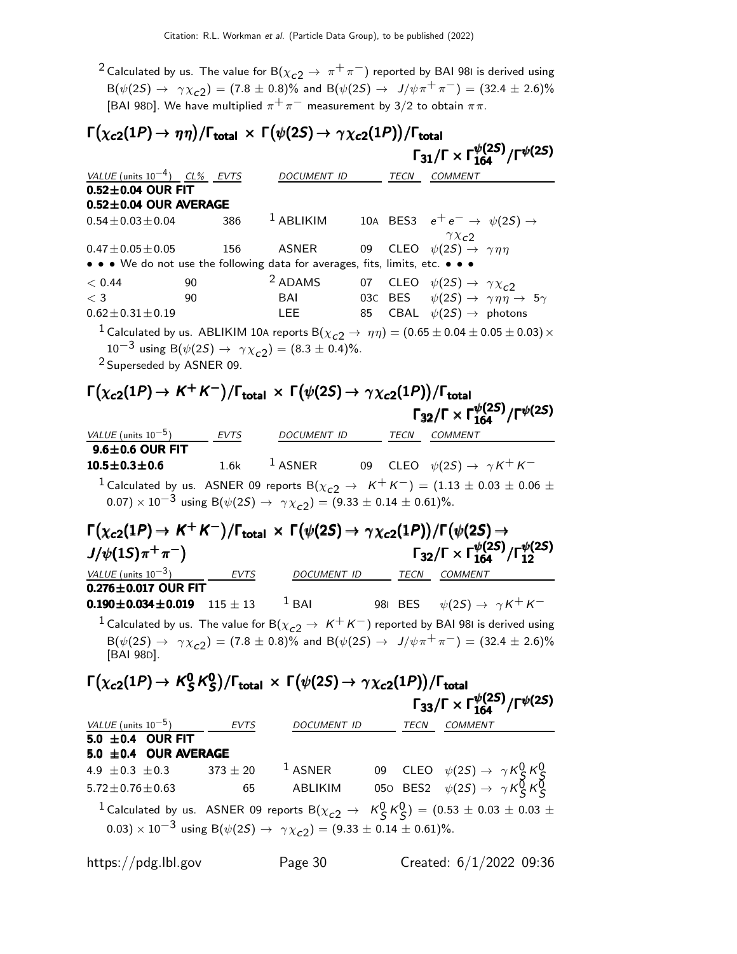<sup>2</sup> Calculated by us. The value for B( $\chi_{c2} \rightarrow \pi^+ \pi^-$ ) reported by BAI 981 is derived using  ${\mathsf B}(\psi(2{\mathsf S})\to \gamma\chi_{\text{\tt c}2})= (7.8\pm0.8)\%$  and  ${\mathsf B}(\psi(2{\mathsf S})\to \;\;{\text{\it J}}/\psi\pi^+\pi^-)=(32.4\pm2.6)\%$ [BAI 98D]. We have multiplied  $\pi^+ \pi^-$  measurement by 3/2 to obtain  $\pi \pi$ .

#### $\Gamma(\chi_{\bf c2}(1P) \to \eta\eta)/\Gamma_{\bf total} \, \times \, \Gamma(\psi(2S) \to \gamma \chi_{\bf c2}(1P))/\Gamma_{\bf total} \ \Gamma_{\bf 31}/\Gamma \times \Gamma_{\bf 164}^{\psi(2S)}/\Gamma^{\psi(2S)}$ /Γ<sub>total</sub><br>Γ<sub>31</sub>/Γ × Γ $_{164}^{\psi(2S)}$ /Γ<sup> $\psi(2S)$ </sup> VALUE (units  $10^{-4}$ ) CL% EVTS DOCUMENT ID TECN COMMENT  $0.52 \pm 0.04$  OUR FIT  $0.52\pm0.04$  OUR AVERAGE  $0.54 \pm 0.03 \pm 0.04$  386 <sup>1</sup> ABLIKIM 10A BES3  $e^+ e^-$  →  $\psi(2S)$  →  $\gamma \chi_{c2}$  $0.47\pm0.05\pm0.05$  156 ASNER 09 CLEO  $\psi(2S) \rightarrow \gamma \eta \eta$ • • • We do not use the following data for averages, fits, limits, etc. • • •  $< 0.44$  90  $<sup>2</sup>$  ADAMS 07 CLEO  $\psi(2S) \rightarrow \gamma \chi_{c2}$ <br> $< 3$  90 BAI 03C BES  $\psi(2S) \rightarrow \gamma \eta \eta$ </sup>  $\psi(2S) \rightarrow \gamma \eta \eta \rightarrow 5\gamma$  $0.62 \pm 0.31 \pm 0.19$  LEE 85 CBAL  $\psi(2S) \rightarrow$  photons <sup>1</sup> Calculated by us. ABLIKIM 10A reports B $(\chi_{c2} \rightarrow \eta \eta) = (0.65 \pm 0.04 \pm 0.05 \pm 0.03) \times$ 10<sup>-3</sup> using B( $\psi(2S) \to \gamma \chi_{c2}$ ) = (8.3 ± 0.4)%. 2 Superseded by ASNER 09.  $\Gamma\big(\chi_{\bf c2}(1P)\to \, \mathsf{K}^+\,\mathsf{K}^-\big)/\Gamma_{\bf total}\,\times\,\Gamma\big(\psi(2S)\to \gamma\,\chi_{\bf c2}(1P)\big)/\Gamma_{\bf total}$ Γ $_{32}/$ Γ $\times$  Γ $_{164}^{\psi(2S)}/$ Γ $^{\psi(2S)}$  $(\chi_{c2}(1P) \to K^+K^-)/\Gamma_{\rm total} \, \times \, \Gamma(\psi(2S) \to \, \gamma \chi_{c2}(1P))/\Gamma_{\rm total}$  $\Gamma(\chi_{c2}(1P) \to K^+K^-)/\Gamma_{\rm total} \times \Gamma(\psi(2S) \to \gamma \chi_{c2}(1P))/\Gamma_{\rm total}$ <br>Γ<sub>32</sub>/Γ × Γ $\frac{\psi(2S)}{164}/\Gamma^{\psi(2S)}$  $\chi_{\rm c2}(1P)$  → K<sup>+</sup> K<sup>--</sup>)/Γ<sub>total</sub> × Γ(ψ(2S) →  $\gamma \chi_{\rm c2}(1P))$ /Γ<sub>total</sub><br>Γ<sub>32</sub>/Γ × Γ $_{164}^{\psi(2S)}$ /Γ<sup>ψ(2S)</sup> Γ $_{32}/$ Γ $\times$  Γ $_{164}^{\psi(2S)}/$ Γ $^{\psi(2S)}$ VALUE (units  $10^{-5}$ ) EVTS DOCUMENT ID TECN COMMENT  $9.6 \pm 0.6$  OUR FIT **10.5±0.3±0.6** 1.6k <sup>1</sup> ASNER 09 CLEO  $\psi(2S) \to \gamma K^+ K^-$ <sup>1</sup> Calculated by us. ASNER 09 reports B( $\chi_{c2} \rightarrow K^+ K^-$ ) = (1.13  $\pm$  0.03  $\pm$  0.06  $\pm$ 0.07)  $\times$  10<sup>-3</sup> using B( $\psi$ (2S)  $\rightarrow \gamma \chi_{c2}$ ) = (9.33  $\pm$  0.14  $\pm$  0.61)%.  $\Gamma(\chi_{c2}(1P) \to K^+K^-)/\Gamma_{\rm total} \, \times \, \Gamma(\psi(2S) \to \, \gamma \chi_{c2}(1P))/\Gamma(\psi(2S) \to$  $J/\psi(1S)\pi^{+}\pi^{-}$ Γ $_{32}/$ Γ $\times$  Γ $_{164}^{\psi(2S)}/$ Γ $_{12}^{\psi(2S)}$ VALUE (units 10<sup>-3</sup>) \_\_\_ EVTS DOCUMENT ID TECN COMMENT  $0.276 \pm 0.017$  OUR FIT **0.190±0.034±0.019** 115 ± 13 <sup>1</sup> BAI 98I BES  $\psi(2S) \to \gamma K^+ K^-$ <sup>1</sup> Calculated by us. The value for B( $\chi_{c2} \rightarrow K^+ K^-$ ) reported by BAI 98I is derived using  $B(\psi(2S) \to \gamma \chi_{c2}) = (7.8 \pm 0.8)\%$  and  $B(\psi(2S) \to J/\psi \pi^+ \pi^-) = (32.4 \pm 2.6)\%$ [BAI 98D].  $\mathsf{\Gamma}(\chi_{\bm{c} \bm{2}}(1P) \bm{\rightarrow} \mathcal{K}^0_S$  $^0_S\,$ K $^0_S$  $\Gamma(\chi_{c2}(1P) \rightarrow K_S^0 \, K_S^0)/\Gamma_{\rm total} \times \Gamma(\psi(2S) \rightarrow \gamma \chi_{c2}(1P))/\Gamma_{\rm total}$ <br>Γ<sub>33</sub>/Γ × Γ $_{164}^{\psi(2S)}/\Gamma^{\psi(2S)}$ Γ<sub>33</sub>/Γ  $\times \Gamma^{ \psi(2S)}_{164}/\Gamma^{ \psi(2S)}$ *VALUE* (units  $10^{-5}$ ) EVTS DOCUMENT ID TECN COMMENT  $5.0 \pm 0.4$  OUR FIT

| $5.0 \pm 0.4$ OUR AVERAGE                                                                                                       |    |           |                                                                                                         |  |
|---------------------------------------------------------------------------------------------------------------------------------|----|-----------|---------------------------------------------------------------------------------------------------------|--|
| 4.9 $\pm$ 0.3 $\pm$ 0.3 373 $\pm$ 20                                                                                            |    | $1$ ASNER | 09 CLEO $\psi(2S) \rightarrow \gamma K_S^0 K_S^0$<br>050 BES2 $\psi(2S) \rightarrow \gamma K_S^0 K_S^0$ |  |
| $5.72 \pm 0.76 \pm 0.63$                                                                                                        | 65 | ABLIKIM   |                                                                                                         |  |
| <sup>1</sup> Calculated by us. ASNER 09 reports $B(\chi_{c2} \to K^0_S K^0_S) = (0.53 \pm 0.03 \pm 0.03 \pm 0.03 \pm 0.03)$     |    |           |                                                                                                         |  |
| 0.03) $\times$ 10 <sup>-3</sup> using B( $\psi$ (2 <i>S</i> ) $\rightarrow \gamma \chi_{c2}$ ) = (9.33 $\pm$ 0.14 $\pm$ 0.61)%. |    |           |                                                                                                         |  |

https://pdg.lbl.gov Page 30 Created: 6/1/2022 09:36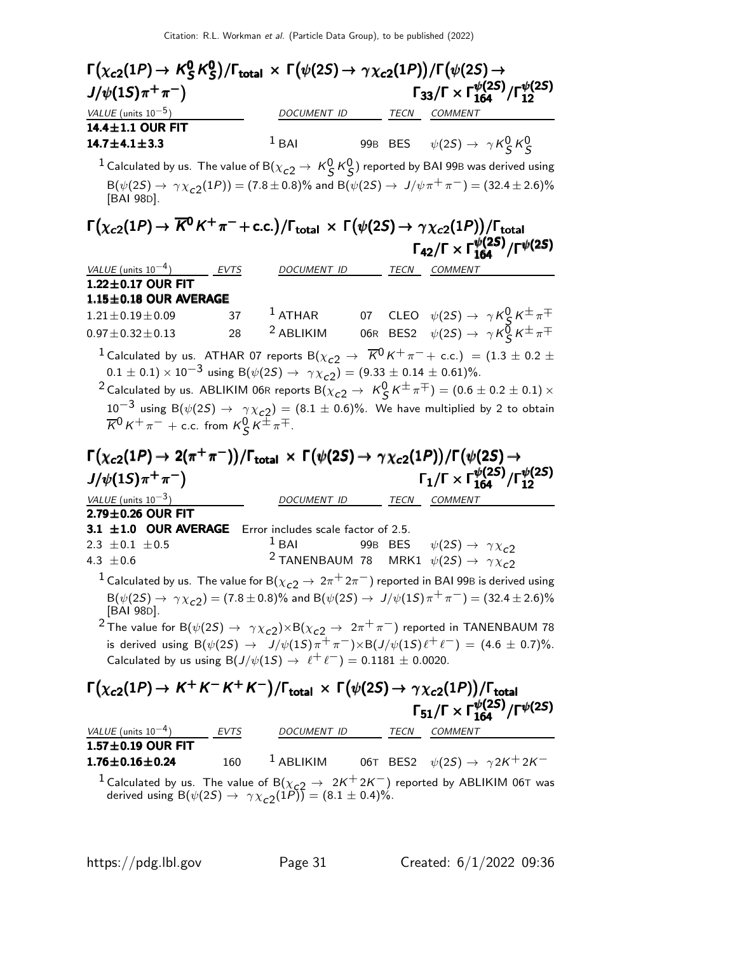| $\Gamma\big(\chi_{\rm c2}(1P)\to \,{\sf K}^{\bm 0}_{\bm S}\,{\sf K}^{\bm 0}_{\bm S}\big)/\Gamma_{\bm{\textsf{total}}} \,\times\, \Gamma\big(\psi(2S)\to \gamma\chi_{\rm c2}(1P)\big)/\Gamma\big(\psi(2S)\to$ |      |                          |  |                                                                                                                                     |
|--------------------------------------------------------------------------------------------------------------------------------------------------------------------------------------------------------------|------|--------------------------|--|-------------------------------------------------------------------------------------------------------------------------------------|
| $J/\psi(15)\pi^{+}\pi^{-}$                                                                                                                                                                                   |      |                          |  | $\Gamma_{33}/\Gamma \times \Gamma_{164}^{\psi(2S)}/\Gamma_{12}^{\psi(2S)}$                                                          |
| VALUE (units $10^{-5}$ )                                                                                                                                                                                     |      | DOCUMENT ID              |  | TECN COMMENT                                                                                                                        |
| 14.4±1.1 OUR FIT                                                                                                                                                                                             |      |                          |  |                                                                                                                                     |
| 14.7 $\pm$ 4.1 $\pm$ 3.3                                                                                                                                                                                     |      | $1$ BAI                  |  | 99B BES $\psi(2S) \rightarrow \gamma K_S^0 K_S^0$                                                                                   |
|                                                                                                                                                                                                              |      |                          |  | $^1$ Calculated by us. The value of B $(\chi_{c2} \to \, \mathcal{K}^0_S \, \mathcal{K}^0_S)$ reported by BAI 99B was derived using |
| [BAI 98D].                                                                                                                                                                                                   |      |                          |  | $B(\psi(2S) \to \gamma \chi_{c2}(1P)) = (7.8 \pm 0.8)\%$ and $B(\psi(2S) \to J/\psi \pi^+ \pi^-) = (32.4 \pm 2.6)\%$                |
| $\Gamma(\chi_{c2}(1P) \to \overline{K^0}K^+\pi^- + \text{c.c.})/\Gamma_{\text{total}} \times \Gamma(\psi(2S) \to \gamma \chi_{c2}(1P))/\Gamma_{\text{total}}$                                                |      |                          |  |                                                                                                                                     |
|                                                                                                                                                                                                              |      |                          |  | $\Gamma_{42}/\Gamma \times \Gamma_{164}^{\psi(25)}/\Gamma^{\psi(25)}$                                                               |
| VALUE (units $10^{-4}$ )                                                                                                                                                                                     | EVTS | DOCUMENT ID              |  | TECN COMMENT                                                                                                                        |
| 1.22±0.17 OUR FIT                                                                                                                                                                                            |      |                          |  |                                                                                                                                     |
| $1.15 \pm 0.18$ OUR AVERAGE                                                                                                                                                                                  |      |                          |  |                                                                                                                                     |
| $1.21 \pm 0.19 \pm 0.09$                                                                                                                                                                                     | 37   | $^1$ ATHAR               |  | 07 CLEO $\psi(2S) \rightarrow \gamma K_S^0 K^{\pm} \pi^{\mp}$                                                                       |
| $0.97 \pm 0.32 \pm 0.13$                                                                                                                                                                                     | 28   | <sup>2</sup> ABLIKIM     |  | 06R BES2 $\psi(2S) \rightarrow \gamma K_S^{\overline{0}} K^{\pm} \pi^{\mp}$                                                         |
|                                                                                                                                                                                                              |      |                          |  | <sup>1</sup> Calculated by us. ATHAR 07 reports B( $\chi_{c2} \rightarrow \overline{K}^0 K^+ \pi^- +$ c.c.) = (1.3 $\pm$ 0.2 $\pm$  |
| $0.1 \pm 0.1$ ) × 10 <sup>-3</sup> using B( $\psi(2S) \rightarrow \gamma \chi_{c2}$ ) = (9.33 $\pm$ 0.14 $\pm$ 0.61)%.                                                                                       |      |                          |  |                                                                                                                                     |
|                                                                                                                                                                                                              |      |                          |  | <sup>2</sup> Calculated by us. ABLIKIM 06R reports B( $\chi_{c2} \to K_S^0 K^\pm \pi^\mp) = (0.6 \pm 0.2 \pm 0.1) \times$           |
|                                                                                                                                                                                                              |      |                          |  | $10^{-3}$ using B( $\psi(25) \rightarrow \gamma \chi_{c2}$ ) = (8.1 ± 0.6)%. We have multiplied by 2 to obtain                      |
| $\overline{K}^0 K^+ \pi^-$ + c.c. from $K^0_S K^{\pm} \pi^{\mp}$ .                                                                                                                                           |      |                          |  |                                                                                                                                     |
|                                                                                                                                                                                                              |      |                          |  |                                                                                                                                     |
| $\Gamma(\chi_{c2}(1P) \to 2(\pi^+\pi^-))/\Gamma_{\rm total} \times \Gamma(\psi(2S) \to \gamma \chi_{c2}(1P))/\Gamma(\psi(2S) \to$                                                                            |      |                          |  |                                                                                                                                     |
| $J/\psi(1S)\pi^{+}\pi^{-}$                                                                                                                                                                                   |      |                          |  | $\Gamma_1/\Gamma \times \Gamma_{164}^{\psi(2S)}/\Gamma_{12}^{\psi(2S)}$                                                             |
| VALUE (units $10^{-3}$ )                                                                                                                                                                                     |      | DOCUMENT ID              |  | TECN COMMENT                                                                                                                        |
| 2.79±0.26 OUR FIT                                                                                                                                                                                            |      |                          |  |                                                                                                                                     |
| 3.1 ±1.0 OUR AVERAGE Error includes scale factor of 2.5.                                                                                                                                                     |      |                          |  |                                                                                                                                     |
| 2.3 $\pm$ 0.1 $\pm$ 0.5                                                                                                                                                                                      |      | $1$ BAI                  |  | 99B BES $\psi(2S) \rightarrow \gamma \chi_{c2}$                                                                                     |
| 4.3 $\pm 0.6$                                                                                                                                                                                                |      |                          |  | <sup>2</sup> TANENBAUM 78 MRK1 $\psi(2S) \rightarrow \gamma \chi_{c2}$                                                              |
|                                                                                                                                                                                                              |      |                          |  | <sup>1</sup> Calculated by us. The value for B $(\chi_{c2} \to 2\pi^+ 2\pi^-)$ reported in BAI 99B is derived using                 |
| [BAI 98D].                                                                                                                                                                                                   |      |                          |  | $B(\psi(2S) \to \gamma \chi_{c2}) = (7.8 \pm 0.8)\%$ and $B(\psi(2S) \to J/\psi(1S)\pi^{+}\pi^{-}) = (32.4 \pm 2.6)\%$              |
|                                                                                                                                                                                                              |      |                          |  | <sup>2</sup> The value for B( $\psi(2S) \to \gamma \chi_{c2}$ ) $\times$ B( $\chi_{c2} \to 2\pi^+\pi^-$ ) reported in TANENBAUM 78  |
|                                                                                                                                                                                                              |      |                          |  |                                                                                                                                     |
|                                                                                                                                                                                                              |      |                          |  | is derived using $B(\psi(2S) \to J/\psi(1S)\pi^+\pi^-)\times B(J/\psi(1S)\ell^+\ell^-) = (4.6 \pm 0.7)\%.$                          |
| Calculated by us using $B(J/\psi(1S) \rightarrow \ell^+ \ell^-) = 0.1181 \pm 0.0020$ .                                                                                                                       |      |                          |  |                                                                                                                                     |
|                                                                                                                                                                                                              |      |                          |  |                                                                                                                                     |
| $\Gamma(\chi_{c2}(1P) \to K^+K^-K^+K^-)/\Gamma_{\rm total} \times \Gamma(\psi(2S) \to \gamma \chi_{c2}(1P))/\Gamma_{\rm total}$                                                                              |      |                          |  |                                                                                                                                     |
|                                                                                                                                                                                                              |      |                          |  |                                                                                                                                     |
|                                                                                                                                                                                                              |      |                          |  | $\Gamma_{51}/\Gamma \times \Gamma_{164}^{\psi(2S)}/\Gamma^{\psi(2S)}$                                                               |
| VALUE (units $10^{-4}$ ) EVTS<br>1.57±0.19 OUR FIT                                                                                                                                                           |      | DOCUMENT ID TECN COMMENT |  |                                                                                                                                     |
| $1.76 \pm 0.16 \pm 0.24$                                                                                                                                                                                     | 160  | $1$ ABLIKIM              |  | 06T BES2 $\psi(2S) \rightarrow \gamma 2K^+ 2K^-$                                                                                    |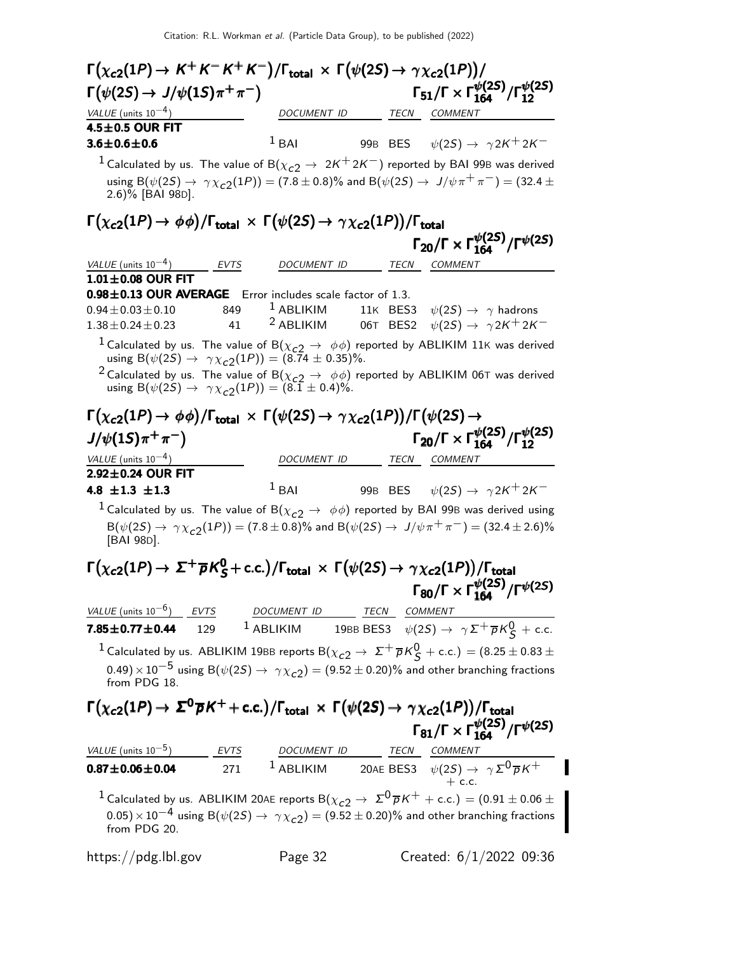| $\Gamma(\chi_{c2}(1P) \to K^+K^-K^+K^-)/\Gamma_{\text{total}} \times \Gamma(\psi(2S) \to \gamma \chi_{c2}(1P))/$                                                                                   |                      |                                                                       |                                                                            |  |
|----------------------------------------------------------------------------------------------------------------------------------------------------------------------------------------------------|----------------------|-----------------------------------------------------------------------|----------------------------------------------------------------------------|--|
| $\Gamma(\psi(2S) \to J/\psi(1S)\pi^+\pi^-)$                                                                                                                                                        |                      |                                                                       | $\Gamma_{51}/\Gamma \times \Gamma_{164}^{\psi(2S)}/\Gamma_{12}^{\psi(2S)}$ |  |
| $VALUE$ (units $10^{-4}$ )                                                                                                                                                                         | <u>and the state</u> |                                                                       | DOCUMENT ID TECN COMMENT                                                   |  |
| $4.5 \pm 0.5$ OUR FIT                                                                                                                                                                              |                      |                                                                       |                                                                            |  |
| $3.6 \pm 0.6 \pm 0.6$                                                                                                                                                                              |                      | $1$ BAI                                                               | 99B BES $\psi(2S) \rightarrow \gamma 2K^+ 2K^-$                            |  |
| <sup>1</sup> Calculated by us. The value of B( $\chi_{c2} \to 2K^+2K^-$ ) reported by BAI 99B was derived                                                                                          |                      |                                                                       |                                                                            |  |
| using B( $\psi(2S) \to \gamma \chi_{c2}(1P)$ ) = (7.8 ± 0.8)% and B( $\psi(2S) \to J/\psi \pi^+ \pi^-$ ) = (32.4 ±<br>2.6)% [BAI 98D].                                                             |                      |                                                                       |                                                                            |  |
| $\Gamma(\chi_{c2}(1P) \to \phi\phi)/\Gamma_{\text{total}} \times \Gamma(\psi(2S) \to \gamma \chi_{c2}(1P))/\Gamma_{\text{total}}$                                                                  |                      |                                                                       |                                                                            |  |
|                                                                                                                                                                                                    |                      |                                                                       | $\Gamma_{20}/\Gamma \times \Gamma^{ \psi(2S)}_{164}/\Gamma^{ \psi(2S)}$    |  |
| VALUE (units $10^{-4}$ ) EVTS                                                                                                                                                                      |                      | DOCUMENT ID                                                           | TECN COMMENT                                                               |  |
| $1.01 \pm 0.08$ OUR FIT                                                                                                                                                                            |                      |                                                                       |                                                                            |  |
| 0.98±0.13 OUR AVERAGE Error includes scale factor of 1.3.                                                                                                                                          |                      |                                                                       |                                                                            |  |
| $0.94\pm0.03\pm0.10$ 849 <sup>1</sup> ABLIKIM 11K BES3 $\psi(2S) \rightarrow \gamma$ hadrons                                                                                                       |                      |                                                                       |                                                                            |  |
| $1.38 \pm 0.24 \pm 0.23$                                                                                                                                                                           | 41                   | <sup>2</sup> ABLIKIM 06T BES2 $\psi(2S) \rightarrow \gamma 2K^+ 2K^-$ |                                                                            |  |
| <sup>1</sup> Calculated by us. The value of B( $\chi_{c2} \rightarrow \phi \phi$ ) reported by ABLIKIM 11K was derived<br>using B( $\psi(2S) \rightarrow \gamma \chi_{c2}(1P)$ ) = (8.74 ± 0.35)%. |                      |                                                                       |                                                                            |  |
| <sup>2</sup> Calculated by us. The value of B( $\chi_{c2} \rightarrow \phi \phi$ ) reported by ABLIKIM 06T was derived<br>using B( $\psi(2S) \to \gamma \chi_{c2}(1P)$ ) = (8.1 ± 0.4)%.           |                      |                                                                       |                                                                            |  |
| $\Gamma(\chi_{c2}(1P) \to \phi\phi)/\Gamma_{\text{total}} \times \Gamma(\psi(2S) \to \gamma \chi_{c2}(1P))/\Gamma(\psi(2S) \to$                                                                    |                      |                                                                       |                                                                            |  |
| $J/\psi(1S)\pi^{+}\pi^{-}$                                                                                                                                                                         |                      |                                                                       | $\Gamma_{20}/\Gamma \times \Gamma_{164}^{\psi(2S)}/\Gamma_{12}^{\psi(2S)}$ |  |
| VALUE (units $10^{-4}$ )                                                                                                                                                                           |                      | DOCUMENT ID                                                           | TECN COMMENT                                                               |  |
| 2.92±0.24 OUR FIT                                                                                                                                                                                  |                      |                                                                       |                                                                            |  |
| 4.8 $\pm 1.3$ $\pm 1.3$                                                                                                                                                                            |                      | $1$ BAI                                                               | 99B BES $\psi(2S) \rightarrow \gamma 2K^+ 2K^-$                            |  |
| <sup>1</sup> Calculated by us. The value of B( $\chi_{c2} \rightarrow \phi \phi$ ) reported by BAI 99B was derived using                                                                           |                      |                                                                       |                                                                            |  |
| $B(\psi(2S) \to \gamma \chi_{c2}(1P)) = (7.8 \pm 0.8)\%$ and $B(\psi(2S) \to J/\psi \pi^+ \pi^-) = (32.4 \pm 2.6)\%$<br>[BAI 98D].                                                                 |                      |                                                                       |                                                                            |  |
| $\Gamma(\chi_{c2}(1P) \to \Sigma^+ \overline{\rho} K_S^0$ + c.c.)/ $\Gamma_{\text{total}} \times \Gamma(\psi(2S) \to \gamma \chi_{c2}(1P))/\Gamma_{\text{total}}$                                  |                      |                                                                       |                                                                            |  |
|                                                                                                                                                                                                    |                      |                                                                       | $\Gamma_{80}/\Gamma \times \Gamma_{164}^{\psi(2S)}/\Gamma^{\psi(2S)}$      |  |
| $VALUE$ (units $10^{-6}$ ) EVTS DOCUMENT ID TECN COMMENT                                                                                                                                           |                      |                                                                       |                                                                            |  |
| <b>7.85±0.77±0.44</b> 129 <sup>1</sup> ABLIKIM 19BB BES3 $\psi(2S) \to \gamma \Sigma^+ \overline{p} K^0_S$ + c.c.                                                                                  |                      |                                                                       |                                                                            |  |
| $^1$ Calculated by us. ABLIKIM 19BB reports B $(\chi_{c2} \to \Sigma^+ \overline{\rho} K^0_S + \text{c.c.}) = (8.25 \pm 0.83 \pm 0.05)$                                                            |                      |                                                                       |                                                                            |  |
| $(0.49)\times 10^{-5}$ using B $(\psi(2S) \rightarrow \ \gamma \chi_{c2}) = (9.52 \pm 0.20)\%$ and other branching fractions<br>from PDG 18.                                                       |                      |                                                                       |                                                                            |  |
|                                                                                                                                                                                                    |                      |                                                                       |                                                                            |  |
| $\Gamma(\chi_{c2}(1P) \to \Sigma^0 \overline{p} K^+ + \text{c.c.})/\Gamma_{\text{total}} \times \Gamma(\psi(2S) \to \gamma \chi_{c2}(1P))/\Gamma_{\text{total}}$                                   |                      |                                                                       | $\Gamma_{81}/\Gamma \times \Gamma_{164}^{\psi(2S)}/\Gamma^{\psi(2S)}$      |  |
|                                                                                                                                                                                                    |                      |                                                                       |                                                                            |  |
| VALUE (units 10 <sup>-5</sup> ) EVTS DOCUMENT ID TECN COMMENT<br><b>0.87±0.06±0.04</b> 271 1 ABLIKIM 20AE BES3 $\psi(2S) \rightarrow \gamma \Sigma^{0} \overline{p} K^{+}$                         |                      |                                                                       |                                                                            |  |
| <sup>1</sup> Calculated by us. ABLIKIM 20AE reports B( $\chi_{c2} \to \ \Sigma^0 \overline{p} K^+ + \text{c.c.}) = (0.91 \pm 0.06 \pm 0.05)$                                                       |                      |                                                                       |                                                                            |  |
| $(0.05)\times 10^{-4}$ using B $(\psi(2S) \rightarrow \gamma \chi_{c2}) = (9.52 \pm 0.20)\%$ and other branching fractions                                                                         |                      |                                                                       |                                                                            |  |
| from PDG 20.                                                                                                                                                                                       |                      |                                                                       |                                                                            |  |

I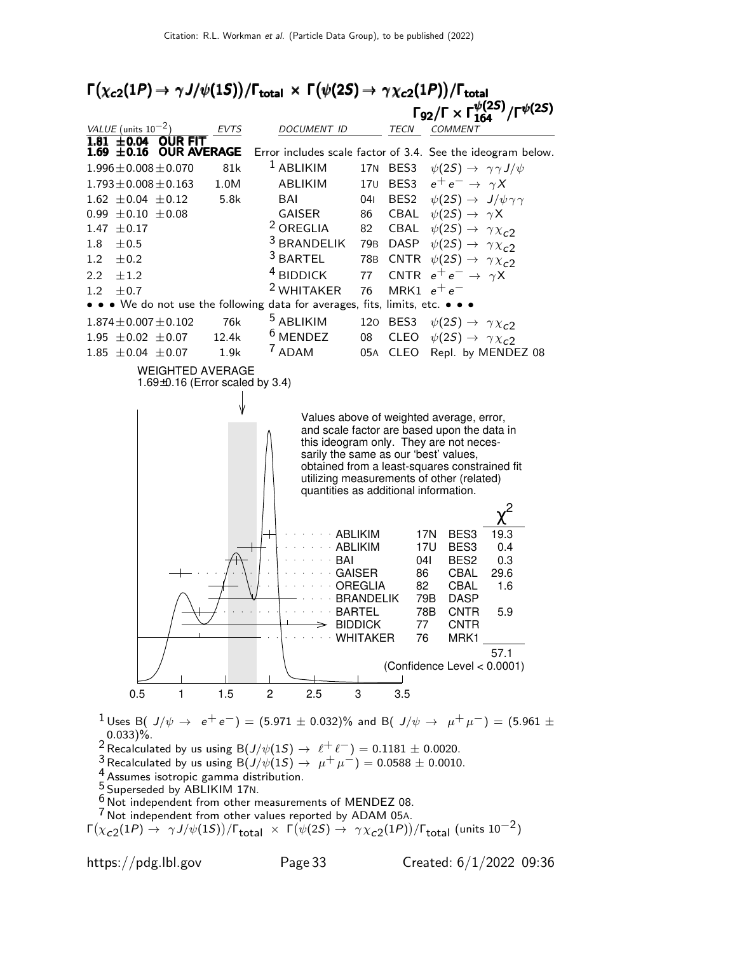



1 Uses B( J/ $\psi \rightarrow e^+e^-$ ) = (5.971 ± 0.032)% and B( J/ $\psi \rightarrow \mu^+\mu^-$ ) = (5.961 ±  $0.033$ )%.

<sup>2</sup> Recalculated by us using B( $J/\psi(1S) \rightarrow \ell^+ \ell^-$ ) = 0.1181  $\pm$  0.0020.

3 Recalculated by us using  $B(J/\psi(15) \to \mu^+ \mu^-) = 0.0588 \pm 0.0010$ .

4 Assumes isotropic gamma distribution.

5 Superseded by ABLIKIM 17N.

 $6$  Not independent from other measurements of MENDEZ 08.

<sup>7</sup> Not independent from other values reported by ADAM 05A.

 $Γ(\chi_{c2}(1P) → γJ/ψ(1S))/Γ_{total} × Γ(ψ(2S) → γ\chi_{c2}(1P))/Γ_{total}$  (units 10<sup>-2</sup>)

https://pdg.lbl.gov Page 33 Created: 6/1/2022 09:36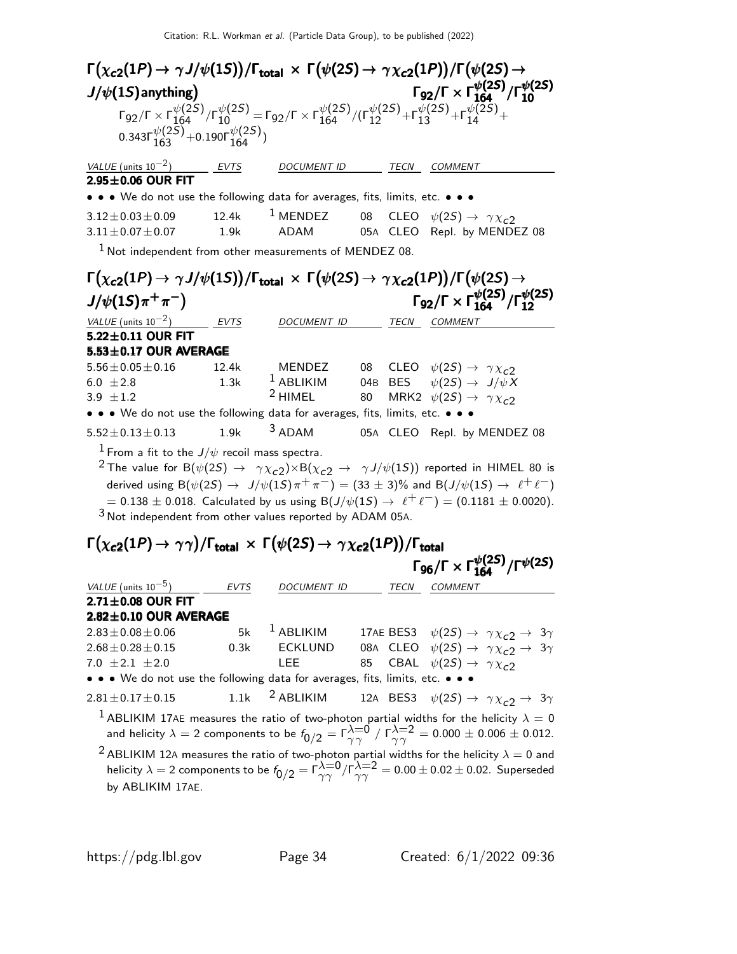| $\Gamma\big(\chi_{c2}(1P) \to \gamma J/\psi(1S)\big)/\Gamma_{\rm total} \, \times \, \Gamma\big(\psi(2S) \to \, \gamma \chi_{c2}(1P)\big)/\Gamma\big(\psi(2S) \to$             |       |                                                                                                                                                                                                                                   |      |                                                                            |
|--------------------------------------------------------------------------------------------------------------------------------------------------------------------------------|-------|-----------------------------------------------------------------------------------------------------------------------------------------------------------------------------------------------------------------------------------|------|----------------------------------------------------------------------------|
| $J/\psi(1S)$ anything)                                                                                                                                                         |       |                                                                                                                                                                                                                                   |      | $\Gamma_{92}/\Gamma \times \Gamma_{164}^{\psi(2S)}/\Gamma_{10}^{\psi(2S)}$ |
| 0.343 $\Gamma_{163}^{\psi(2\bar{S})}$ +0.190 $\Gamma_{164}^{\psi(2S)}$ )                                                                                                       |       | $\Gamma_{92}/\Gamma \times \Gamma_{164}^{\psi(2S)}/\Gamma_{10}^{\psi(2S)} = \Gamma_{92}/\Gamma \times \Gamma_{164}^{\psi(2S)}/(\Gamma_{12}^{\psi(2S)} + \Gamma_{13}^{\psi(2S)} + \Gamma_{14}^{\psi(2S)} + \Gamma_{15}^{\psi(2S)}$ |      |                                                                            |
| $VALUE$ (units $10^{-2}$ ) EVTS                                                                                                                                                |       | <b>DOCUMENT ID</b>                                                                                                                                                                                                                | TECN | <b>COMMENT</b>                                                             |
| $2.95 \pm 0.06$ OUR FIT                                                                                                                                                        |       |                                                                                                                                                                                                                                   |      |                                                                            |
| • • • We do not use the following data for averages, fits, limits, etc. • • •                                                                                                  |       |                                                                                                                                                                                                                                   |      |                                                                            |
| $3.12 \pm 0.03 \pm 0.09$                                                                                                                                                       | 12.4k |                                                                                                                                                                                                                                   |      | <sup>1</sup> MENDEZ 08 CLEO $\psi(2S) \rightarrow \gamma \chi_{c2}$        |
| $3.11 \pm 0.07 \pm 0.07$                                                                                                                                                       |       |                                                                                                                                                                                                                                   |      | 1.9k ADAM 05A CLEO Repl. by MENDEZ 08                                      |
| $1$ Not independent from other measurements of MENDEZ 08.                                                                                                                      |       |                                                                                                                                                                                                                                   |      |                                                                            |
| $\Gamma(\chi_{c2}(1P) \to \gamma J/\psi(1S)) / \Gamma_{\rm total} \, \times \, \Gamma(\psi(2S) \to \, \gamma \chi_{c2}(1P))/\Gamma(\psi(2S) \to$<br>$J/\psi(1S)\pi^{+}\pi^{-}$ |       |                                                                                                                                                                                                                                   |      | $\Gamma_{92}/\Gamma \times \Gamma_{164}^{\psi(25)}/\Gamma_{12}^{\psi(25)}$ |
| VALUE (units $10^{-2}$ )                                                                                                                                                       |       | EVTS DOCUMENT ID TECN                                                                                                                                                                                                             |      | COMMENT                                                                    |
| $5.22 \pm 0.11$ OUR FIT                                                                                                                                                        |       |                                                                                                                                                                                                                                   |      |                                                                            |
| 5.53±0.17 OUR AVERAGE                                                                                                                                                          |       |                                                                                                                                                                                                                                   |      |                                                                            |
| $5.56 \pm 0.05 \pm 0.16$                                                                                                                                                       | 12.4k |                                                                                                                                                                                                                                   |      | MENDEZ 08 CLEO $\psi(2S) \rightarrow \gamma \chi_{c2}$                     |
| 6.0 $\pm 2.8$<br>1.3k                                                                                                                                                          |       |                                                                                                                                                                                                                                   |      | $^{-1}$ ABLIKIM 04B BES $\psi(2S) \rightarrow J/\psi X$                    |
| 3.9 $\pm 1.2$                                                                                                                                                                  |       | $2$ HIMEL 80                                                                                                                                                                                                                      |      | MRK2 $\psi(2S) \rightarrow \gamma \chi_{c2}$                               |
| • • • We do not use the following data for averages, fits, limits, etc. • • •                                                                                                  |       |                                                                                                                                                                                                                                   |      |                                                                            |
| $5.52 \pm 0.13 \pm 0.13$                                                                                                                                                       |       | $3$ ADAM                                                                                                                                                                                                                          |      | 05A CLEO Repl. by MENDEZ 08                                                |
|                                                                                                                                                                                | 1.9k  |                                                                                                                                                                                                                                   |      |                                                                            |

 $= 0.138 \pm 0.018$ . Calculated by us using B( $J/\psi(1S) \rightarrow \ell^+ \ell^-) = (0.1181 \pm 0.0020)$ . 3 Not independent from other values reported by ADAM 05A.

# $\Gamma(\chi_{\bf c2}(1P) \to \gamma\gamma)/\Gamma_{\bf total} \, \times \, \Gamma(\psi(2S) \to \, \gamma\chi_{\bf c2}(1P))/\Gamma_{\bf total}$  $\Gamma(\chi_{c2}(1P) \rightarrow \gamma\gamma)/\Gamma_{\rm total} \times \Gamma(\psi(2S) \rightarrow \gamma\chi_{c2}(1P))/\Gamma_{\rm total}$ <br>Γ96/Γ × Γ $_{164}^{\psi(2S)}/\Gamma^{\psi(2S)}$

|                                                                                                                                                                                                                                                                                                    |             |                |      | $\Gamma_{96}/\Gamma \times \Gamma_{164}^{\psi(25)}/\Gamma^{\psi(25)}$ |  |
|----------------------------------------------------------------------------------------------------------------------------------------------------------------------------------------------------------------------------------------------------------------------------------------------------|-------------|----------------|------|-----------------------------------------------------------------------|--|
| VALUE (units $10^{-5}$ )                                                                                                                                                                                                                                                                           | <b>EVTS</b> | DOCUMENT ID    | TECN | <b>COMMENT</b>                                                        |  |
| $2.71 \pm 0.08$ OUR FIT                                                                                                                                                                                                                                                                            |             |                |      |                                                                       |  |
| $2.82 \pm 0.10$ OUR AVERAGE                                                                                                                                                                                                                                                                        |             |                |      |                                                                       |  |
| $2.83 \pm 0.08 \pm 0.06$                                                                                                                                                                                                                                                                           | 5k          | $1$ ABLIKIM    |      | 17AE BES3 $\psi(2S) \rightarrow \gamma \chi_{c2} \rightarrow 3\gamma$ |  |
| $2.68 \pm 0.28 \pm 0.15$                                                                                                                                                                                                                                                                           | 0.3k        | <b>ECKLUND</b> |      | 08A CLEO $\psi(2S) \rightarrow \gamma \chi_{c2} \rightarrow 3\gamma$  |  |
| 7.0 $\pm 2.1 \pm 2.0$                                                                                                                                                                                                                                                                              |             | LEE            |      | 85 CBAL $\psi(2S) \rightarrow \gamma \chi_{c2}$                       |  |
| • • • We do not use the following data for averages, fits, limits, etc. • • •                                                                                                                                                                                                                      |             |                |      |                                                                       |  |
| 2.81±0.17±0.15 1.1k <sup>2</sup> ABLIKIM 12A BES3 $\psi(2S) \to \gamma \chi_{c2} \to 3\gamma$                                                                                                                                                                                                      |             |                |      |                                                                       |  |
| <sup>1</sup> ABLIKIM 17AE measures the ratio of two-photon partial widths for the helicity $\lambda = 0$<br>and helicity $\lambda = 2$ components to be $f_{0/2} = \Gamma_{\gamma\gamma}^{\lambda=0} / \Gamma_{\gamma\gamma}^{\lambda=2} = 0.000 \pm 0.006 \pm 0.012$ .                            |             |                |      |                                                                       |  |
| <sup>2</sup> ABLIKIM 12A measures the ratio of two-photon partial widths for the helicity $\lambda = 0$ and<br>helicity $\lambda = 2$ components to be $f_{0/2} = \Gamma_{\gamma\gamma}^{\lambda=0} / \Gamma_{\gamma\gamma}^{\lambda=2} = 0.00 \pm 0.02 \pm 0.02$ . Superseded<br>by ABLIKIM 17AE. |             |                |      |                                                                       |  |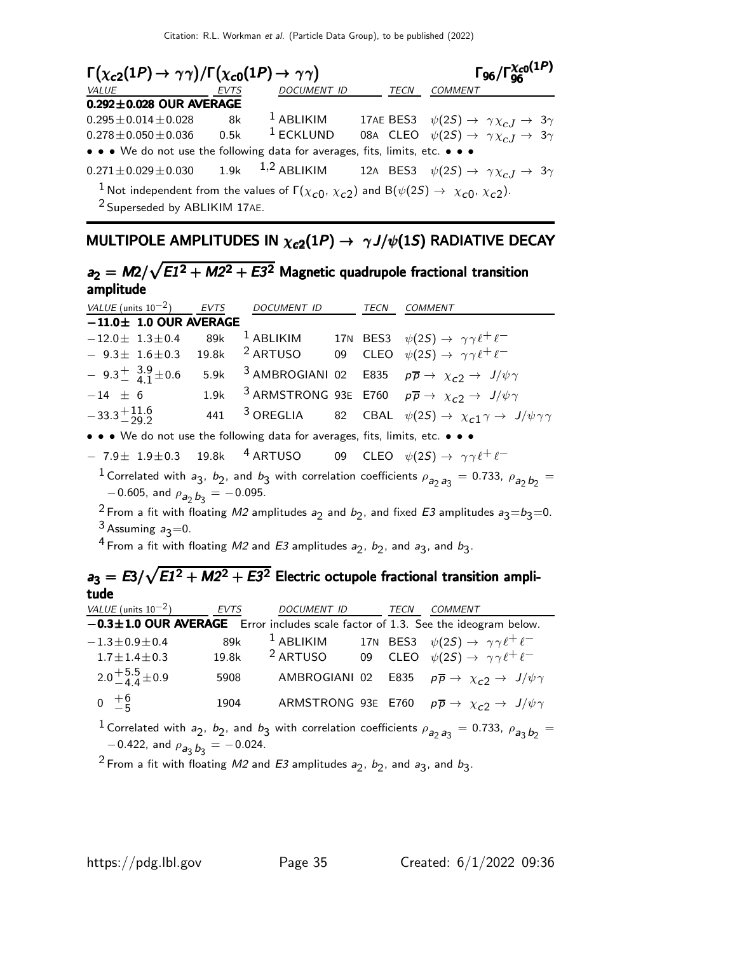| $\Gamma(\chi_{c2}(1P) \to \gamma\gamma)/\Gamma(\chi_{c0}(1P) \to \gamma\gamma)$                                                                                                  | $\Gamma_{96}/\Gamma_{96}^{\chi_{c0}(1P)}$ |                    |             |                                                                                  |  |
|----------------------------------------------------------------------------------------------------------------------------------------------------------------------------------|-------------------------------------------|--------------------|-------------|----------------------------------------------------------------------------------|--|
| <b>VALUE</b>                                                                                                                                                                     | <b>EVTS</b>                               | <b>DOCUMENT ID</b> | <b>TECN</b> | <b>COMMENT</b>                                                                   |  |
| $0.292 \pm 0.028$ OUR AVERAGE                                                                                                                                                    |                                           |                    |             |                                                                                  |  |
| $0.295 \pm 0.014 \pm 0.028$                                                                                                                                                      | 8k                                        | $1$ ABLIKIM        |             | 17AE BES3 $\psi(2S) \rightarrow \gamma \chi_{cJ} \rightarrow 3\gamma$            |  |
| $0.278 \pm 0.050 \pm 0.036$                                                                                                                                                      | 0.5k                                      | $1$ ECKLUND        |             | 08A CLEO $\psi(2S) \rightarrow \gamma \chi_{c,I} \rightarrow 3\gamma$            |  |
| • • • We do not use the following data for averages, fits, limits, etc. • • •                                                                                                    |                                           |                    |             |                                                                                  |  |
| $0.271 \pm 0.029 \pm 0.030$ 1.9k                                                                                                                                                 |                                           |                    |             | 1,2 ABLIKIM 12A BES3 $\psi(2S) \rightarrow \gamma \chi_{cJ} \rightarrow 3\gamma$ |  |
| <sup>1</sup> Not independent from the values of $\Gamma(\chi_{c0}, \chi_{c2})$ and B( $\psi(2S) \rightarrow \chi_{c0}, \chi_{c2}$ ).<br><sup>2</sup> Superseded by ABLIKIM 17AE. |                                           |                    |             |                                                                                  |  |

# MULTIPOLE AMPLITUDES IN  $\chi_{c2}(1P) \rightarrow \gamma J/\psi(1S)$  RADIATIVE DECAY

#### $a_2 = M2/\sqrt{E1^2 + M2^2 + E3^2}$  Magnetic quadrupole fractional transition amplitude amplitude

| VALUE (units $10^{-2}$ )            | <b>EVTS</b>                                  | DOCUMENT ID                                                                                        | TECN       | COMMENT                                                                                                                                                                                                                                                                                                                                      |
|-------------------------------------|----------------------------------------------|----------------------------------------------------------------------------------------------------|------------|----------------------------------------------------------------------------------------------------------------------------------------------------------------------------------------------------------------------------------------------------------------------------------------------------------------------------------------------|
| $-11.0 \pm 1.0$ OUR AVERAGE         |                                              |                                                                                                    |            |                                                                                                                                                                                                                                                                                                                                              |
| $-12.0 \pm 1.3 \pm 0.4$             | 89k                                          | $^1$ ABLIKIM                                                                                       |            | 17N BES3 $\psi(2S) \rightarrow \gamma \gamma \ell^+ \ell^-$                                                                                                                                                                                                                                                                                  |
| $-9.3\pm 1.6\pm 0.3$                | 19.8k                                        | <sup>2</sup> ARTUSO                                                                                | CLEO<br>09 | $\psi(2S) \rightarrow \gamma \gamma \ell^+ \ell^-$                                                                                                                                                                                                                                                                                           |
| $-9.3^{+}_{-}$ $^{3.9}_{4.1}$ ± 0.6 | 5.9k                                         | <sup>3</sup> AMBROGIANI 02                                                                         |            | E835 $p\overline{p} \rightarrow \chi_{c2} \rightarrow J/\psi \gamma$                                                                                                                                                                                                                                                                         |
| $-14$ $\pm$ 6                       | 1.9k                                         | <sup>3</sup> ARMSTRONG 93E                                                                         |            | E760 $p\overline{p} \rightarrow \chi_{c2} \rightarrow J/\psi \gamma$                                                                                                                                                                                                                                                                         |
| $-33.3^{+\,11.6}_{-\,29.2}$         | 441                                          | <sup>3</sup> OREGLIA                                                                               | 82<br>CBAL | $\psi(2S) \rightarrow \chi_{c1} \gamma \rightarrow J/\psi \gamma \gamma$                                                                                                                                                                                                                                                                     |
|                                     |                                              | • • • We do not use the following data for averages, fits, limits, etc. • • •                      |            |                                                                                                                                                                                                                                                                                                                                              |
| $-7.9\pm 1.9\pm 0.3$                | 19.8k                                        |                                                                                                    |            | 4 ARTUSO 09 CLEO $\psi(2S) \rightarrow \gamma \gamma \ell^+ \ell^-$                                                                                                                                                                                                                                                                          |
| $3$ Assuming $a_3=0$ .<br>tude      | $-0.605$ , and $\rho_{a_2}$ $b_3 = -0.095$ . | <sup>4</sup> From a fit with floating M2 and E3 amplitudes $a_2$ , $b_2$ , and $a_3$ , and $b_3$ . |            | <sup>1</sup> Correlated with $a_3$ , $b_2$ , and $b_3$ with correlation coefficients $\rho_{a_2 a_3} = 0.733$ , $\rho_{a_2 b_2} =$<br><sup>2</sup> From a fit with floating M2 amplitudes $a_2$ and $b_2$ , and fixed E3 amplitudes $a_3 = b_3 = 0$ .<br>$a_3 = E3/\sqrt{E1^2 + M2^2 + E3^2}$ Electric octupole fractional transition ampli- |
| VALUE (units $10^{-2}$ )            | <b>EVTS</b>                                  | DOCUMENT ID                                                                                        |            | TECN<br><b>COMMENT</b>                                                                                                                                                                                                                                                                                                                       |
|                                     |                                              |                                                                                                    |            | $-0.3 \pm 1.0$ OUR AVERAGE Error includes scale factor of 1.3. See the ideogram below.                                                                                                                                                                                                                                                       |
| $-1.3 \pm 0.9 \pm 0.4$              | 89k                                          | <sup>1</sup> ABLIKIM                                                                               |            | 17N BES3 $\psi(2S) \rightarrow \gamma \gamma \ell^+ \ell^-$                                                                                                                                                                                                                                                                                  |
| $1.7 \pm 1.4 \pm 0.3$               | 19.8k                                        | <sup>2</sup> ARTUSO                                                                                | 09         | CLEO $\psi(2S) \rightarrow \gamma \gamma \ell^+ \ell^-$                                                                                                                                                                                                                                                                                      |
| $2.0 + 5.5 + 0.9$                   | 5908                                         | AMBROGIANI 02                                                                                      |            | E835 $p\overline{p} \rightarrow \chi_{c2} \rightarrow J/\psi \gamma$                                                                                                                                                                                                                                                                         |
| $0^{+6}_{-5}$                       | 1904                                         | ARMSTRONG 93E                                                                                      |            | E760 $p\overline{p} \rightarrow \chi_{c2} \rightarrow J/\psi \gamma$                                                                                                                                                                                                                                                                         |
|                                     | $\sim$ 0.00 $\mu$                            |                                                                                                    |            | <sup>1</sup> Correlated with $a_2$ , $b_2$ , and $b_3$ with correlation coefficients $\rho_{a_2 a_3} = 0.733$ , $\rho_{a_3 b_2} =$                                                                                                                                                                                                           |

 $-0.422$ , and  $\rho_{a_3} b_3 = -0.024$ . <sup>2</sup> From a fit with floating M2 and E3 amplitudes  $a_2$ ,  $b_2$ , and  $a_3$ , and  $b_3$ .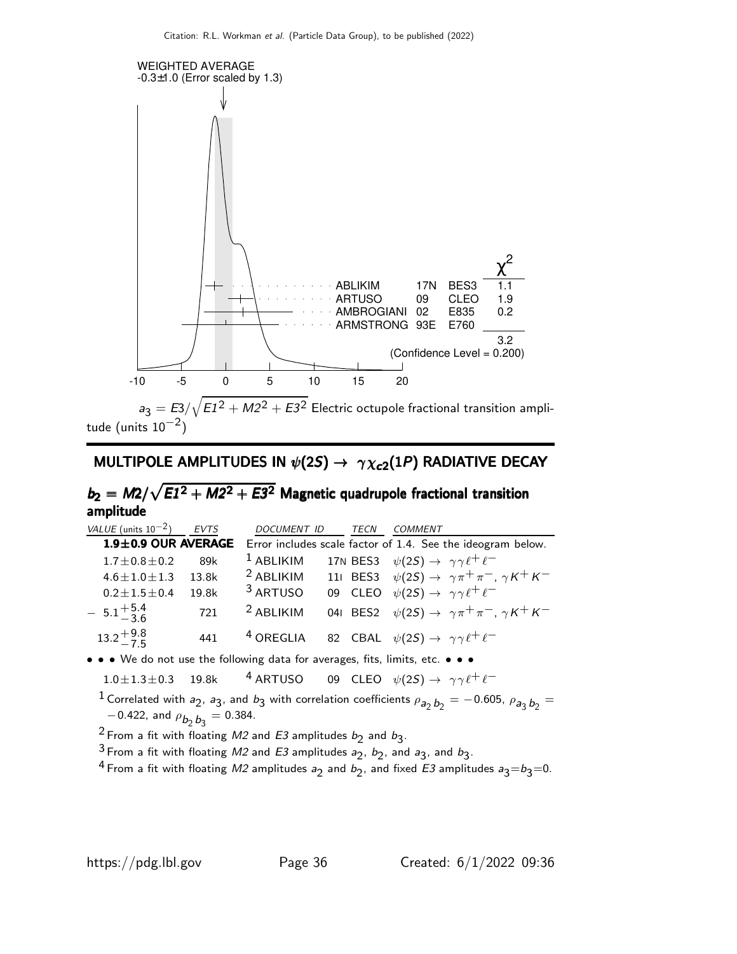

tude (units  $10^{-2})$ 

#### MULTIPOLE AMPLITUDES IN  $\psi(2S) \rightarrow \gamma \chi_{c2}(1P)$  RADIATIVE DECAY

#### $b_2 = M2/\sqrt{E1^2 + M2^2 + E3^2}$  Magnetic quadrupole fractional transition amplitude amplitude

 $VALU E$  (units 10<sup>-2</sup>) EVTS DOCUMENT ID TECN COMMENT 1.9±0.9 OUR AVERAGE Error includes scale factor of 1.4. See the ideogram below.  $1.7\pm0.8\pm0.2$  89k <sup>1</sup> ABLIKIM 17N BES3  $\psi(2S) \rightarrow \gamma \gamma \ell^+ \ell^ 4.6\pm1.0\pm1.3$  13.8k <sup>2</sup> ABLIKIM 11I BES3  $\psi(2S) \rightarrow \ \gamma \pi^+ \pi^-, \ \gamma K^+ K^-$ 0.2 $\pm$ 1.5 $\pm$ 0.4 19.8k  $^3$  ARTUSO 09 CLEO  $\psi(2S) \rightarrow \ \gamma \gamma \ell^+ \ell^ -5.1 + \frac{5.4}{3.6}$ −3.6 721 <sup>2</sup> ABLIKIM 04I BES2  $\psi(2S) \rightarrow \gamma \pi^+ \pi^-$ ,  $\gamma K^+ K^ 13.2 + 9.8$  $-7.5$ 441  $40$  OREGLIA 82 CBAL  $\psi(2S) \rightarrow \gamma \gamma \ell^+ \ell^-$ • • • We do not use the following data for averages, fits, limits, etc. • • •

 $1.0 \pm 1.3 \pm 0.3$  19.8k <sup>4</sup> ARTUSO 09 CLEO  $\psi(2S) \rightarrow \gamma \gamma \ell^+ \ell^-$ 

<sup>1</sup> Correlated with  $a_2$ ,  $a_3$ , and  $b_3$  with correlation coefficients  $\rho_{a_2} b_2 = -0.605$ ,  $\rho_{a_3} b_2 =$  $-0.422$ , and  $\rho_{\bm{b}_2 \bm{b}_3} = 0.384$ .

<sup>2</sup> From a fit with floating M2 and E3 amplitudes  $b_2$  and  $b_3$ .

<sup>3</sup> From a fit with floating M2 and E3 amplitudes  $a_2$ ,  $b_2$ , and  $a_3$ , and  $b_3$ .

<sup>4</sup> From a fit with floating M2 amplitudes  $a_2$  and  $b_2$ , and fixed E3 amplitudes  $a_3 = b_3 = 0$ .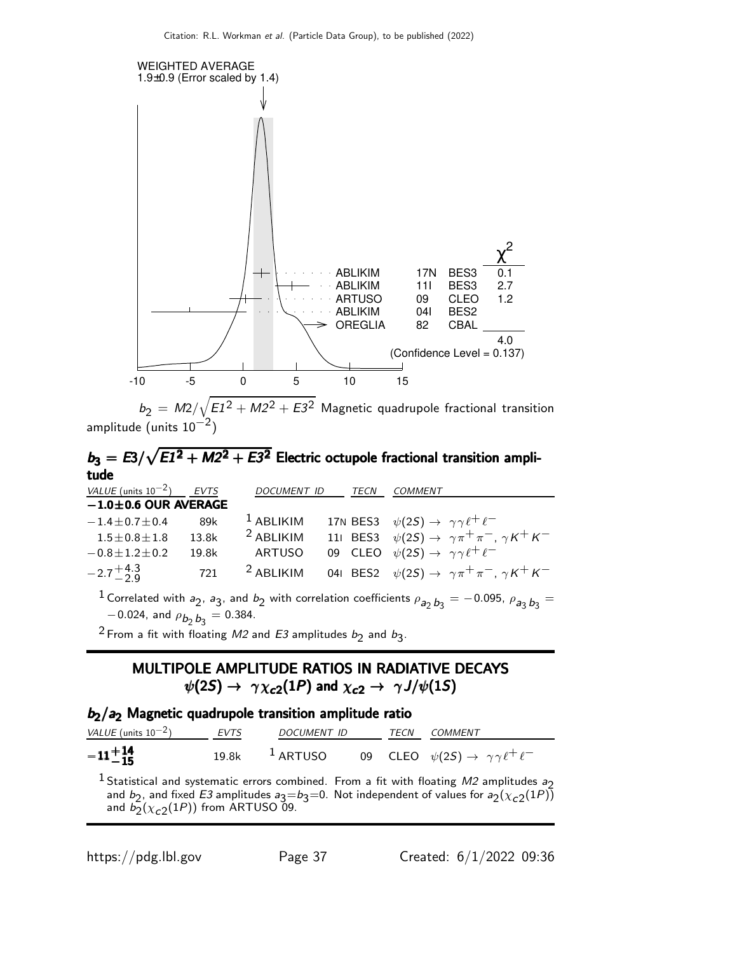

 $b_2\,=\,$  M2/ $\sqrt{E1^2+M2^2+E3^2}\,$  Magnetic quadrupole fractional transition amplitude (units  $10^{-2})$ 

#### $b_3 = E3/\sqrt{E1^2 + M2^2 + E3^2}$  Electric octupole fractional transition amplitude tude tude

| VALUE (units $10^{-2}$ )   | EVTS  | DOCUMENT ID | TECN | <b>COMMENT</b>                                                                                                                      |
|----------------------------|-------|-------------|------|-------------------------------------------------------------------------------------------------------------------------------------|
| $-1.0 \pm 0.6$ OUR AVERAGE |       |             |      |                                                                                                                                     |
| $-1.4 \pm 0.7 \pm 0.4$     | 89k   | $1$ ABLIKIM |      | 17N BES3 $\psi(2S) \rightarrow \gamma \gamma \ell^+ \ell^-$                                                                         |
| $1.5 \pm 0.8 \pm 1.8$      | 13.8k | $2$ ABLIKIM |      | 111 BES3 $\psi(2S) \rightarrow \gamma \pi^+ \pi^-$ , $\gamma K^+ K^-$                                                               |
| $-0.8 \pm 1.2 \pm 0.2$     | 19.8k | ARTUSO      |      | 09 CLEO $\psi(2S) \rightarrow \gamma \gamma \ell^+ \ell^-$                                                                          |
| $-2.7^{+4.3}_{-2.9}$       | 721   | $2$ ABLIKIM |      | 041 BES2 $\psi(2S) \rightarrow \gamma \pi^+ \pi^-$ , $\gamma K^+ K^-$                                                               |
| $0.024$ and $-0.204$       |       |             |      | <sup>1</sup> Correlated with $a_2$ , $a_3$ , and $b_2$ with correlation coefficients $\rho_{a_2} b_3 = -0.095$ , $\rho_{a_3} b_3 =$ |

 $-0.024$ , and  $\rho_{\bm{b}_2 \, \bm{b}_3} = 0.384$ .

<sup>2</sup> From a fit with floating *M2* and *E3* amplitudes  $b_2$  and  $b_3$ .

#### MULTIPOLE AMPLITUDE RATIOS IN RADIATIVE DECAYS  $\psi(2S) \rightarrow \gamma \chi_{c2}(1P)$  and  $\chi_{c2} \rightarrow \gamma J/\psi(1S)$

#### $b_2/a_2$  Magnetic quadrupole transition amplitude ratio

| VALUE (units $10^{-2}$ ) | <b>EVTS</b> | <i>DOCUMENT ID</i> |  | TECN COMMENT                                                                         |
|--------------------------|-------------|--------------------|--|--------------------------------------------------------------------------------------|
| $-11 + 14 - 15$          |             |                    |  | 19.8k <sup>1</sup> ARTUSO 09 CLEO $\psi(2S) \rightarrow \gamma \gamma \ell^+ \ell^-$ |

<sup>1</sup> Statistical and systematic errors combined. From a fit with floating  $M2$  amplitudes  $a_2$ and  $b_2$ , and fixed E3 amplitudes  $a_3=b_3=0$ . Not independent of values for  $a_2(\chi_{c2}(1P))$ and  $b_2(\chi_{c2}(1P))$  from ARTUSO 09.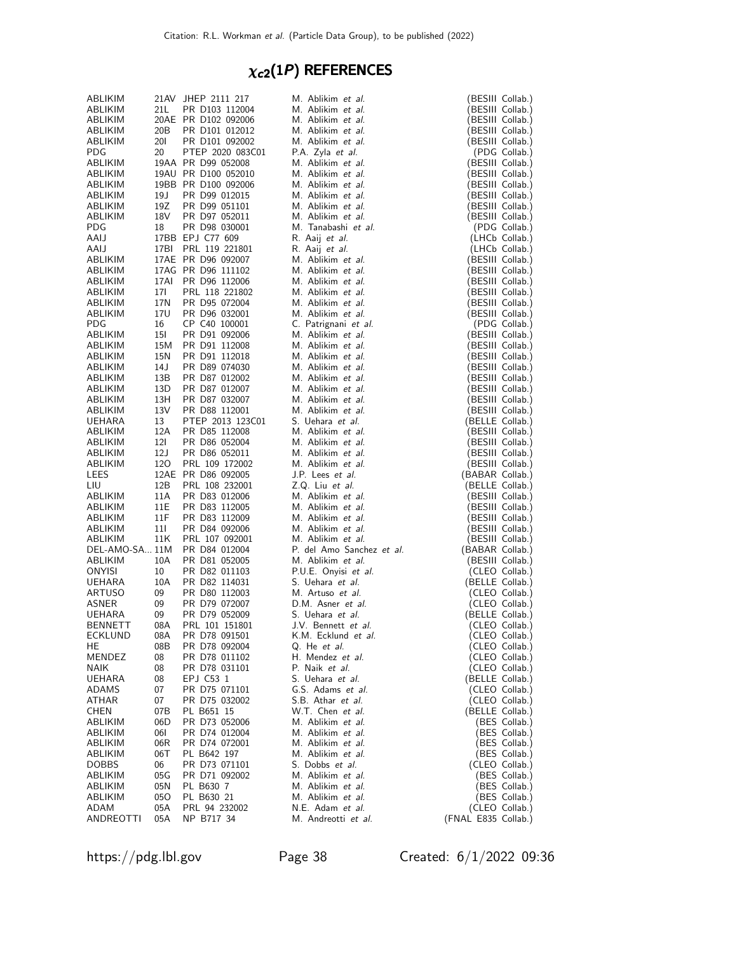# $\chi_{c2}(1P)$  REFERENCES

| ABLIKIM                   |             | 21AV JHEP 2111 217                     | M. Ablikim et al.                              | (BESIII Collab.)                     |
|---------------------------|-------------|----------------------------------------|------------------------------------------------|--------------------------------------|
| ABLIKIM                   | 21 L        | PR D103 112004                         | M. Ablikim et al.                              | (BESIII Collab.)                     |
| ABLIKIM                   |             | 20AE PR D102 092006                    | M. Ablikim et al.                              | (BESIII Collab.)                     |
| ABLIKIM                   | 20B         | PR D101 012012                         | M. Ablikim et al.                              | (BESIII Collab.)                     |
| ABLIKIM                   | <b>201</b>  | PR D101 092002                         | M. Ablikim et al.                              | (BESIII Collab.)                     |
| PDG<br>ABLIKIM            | 20          | PTEP 2020 083C01<br>19AA PR D99 052008 | P.A. Zyla et al.<br>M. Ablikim et al.          | (PDG Collab.)<br>(BESIII Collab.)    |
| ABLIKIM                   |             | 19AU PR D100 052010                    | M. Ablikim et al.                              | (BESIII Collab.)                     |
| ABLIKIM                   |             | 19BB PR D100 092006                    | M. Ablikim et al.                              | (BESIII Collab.)                     |
| ABLIKIM                   | 19 J        | PR D99 012015                          | M. Ablikim et al.                              | (BESIII Collab.)                     |
| ABLIKIM                   | 19Z         | PR D99 051101                          | M. Ablikim et al.                              | (BESIII Collab.)                     |
| ABLIKIM                   | 18V         | PR D97 052011                          | M. Ablikim et al.                              | (BESIII Collab.)                     |
| PDG                       | 18          | PR D98 030001                          | M. Tanabashi et al.                            | (PDG Collab.)                        |
| AAIJ                      |             | 17BB EPJ C77 609                       | R. Aaij et al.                                 | (LHCb Collab.)                       |
| AAIJ                      | 17BI        | PRL 119 221801                         | R. Aaij et al.                                 | (LHCb Collab.)                       |
| ABLIKIM                   |             | 17AE PR D96 092007                     | M. Ablikim et al.                              | (BESIII Collab.)                     |
| ABLIKIM                   |             | 17AG PR D96 111102                     | M. Ablikim et al.                              | (BESIII Collab.)                     |
| ABLIKIM<br>ABLIKIM        | 17AI<br>171 | PR D96 112006<br>PRL 118 221802        | M. Ablikim et al.<br>M. Ablikim et al.         | (BESIII Collab.)<br>(BESIII Collab.) |
| ABLIKIM                   | 17N         | PR D95 072004                          | M. Ablikim et al.                              | (BESIII Collab.)                     |
| ABLIKIM                   | 17U         | PR D96 032001                          | M. Ablikim et al.                              | (BESIII Collab.)                     |
| <b>PDG</b>                | 16          | CP C40 100001                          | C. Patrignani et al.                           | (PDG Collab.)                        |
| ABLIKIM                   | 15I         | PR D91 092006                          | M. Ablikim et al.                              | (BESIII Collab.)                     |
| ABLIKIM                   | 15M         | PR D91 112008                          | M. Ablikim et al.                              | (BESIII Collab.)                     |
| ABLIKIM                   | 15N         | PR D91 112018                          | M. Ablikim et al.                              | (BESIII Collab.)                     |
| ABLIKIM                   | 14 J        | PR D89 074030                          | M. Ablikim et al.                              | (BESIII Collab.)                     |
| ABLIKIM                   | 13B         | PR D87 012002                          | M. Ablikim et al.                              | (BESIII Collab.)                     |
| ABLIKIM                   | 13D         | PR D87 012007                          | M. Ablikim et al.                              | (BESIII Collab.)                     |
| ABLIKIM                   | 13H         | PR D87 032007                          | M. Ablikim et al.                              | (BESIII Collab.)                     |
| ABLIKIM                   | 13V         | PR D88 112001                          | M. Ablikim et al.                              | (BESIII Collab.)                     |
| <b>UEHARA</b><br>ABLIKIM  | 13<br>12A   | PTEP 2013 123C01<br>PR D85 112008      | S. Uehara et al.<br>M. Ablikim et al.          | (BELLE Collab.)<br>(BESIII Collab.)  |
| ABLIKIM                   | 12I         | PR D86 052004                          | M. Ablikim et al.                              | (BESIII Collab.)                     |
| ABLIKIM                   | 12 J        | PR D86 052011                          | M. Ablikim et al.                              | (BESIII Collab.)                     |
| ABLIKIM                   | 120         | PRL 109 172002                         | M. Ablikim et al.                              | (BESIII Collab.)                     |
| LEES                      |             | 12AE PR D86 092005                     | J.P. Lees <i>et al.</i>                        | (BABAR Collab.)                      |
| LIU                       | 12B         | PRL 108 232001                         | Z.Q. Liu et al.                                | (BELLE Collab.)                      |
| ABLIKIM                   | 11A         | PR D83 012006                          | M. Ablikim et al.                              | (BESIII Collab.)                     |
| ABLIKIM                   | 11E         | PR D83 112005                          | M. Ablikim et al.                              | (BESIII Collab.)                     |
| ABLIKIM                   | 11F         | PR D83 112009                          | M. Ablikim et al.                              | (BESIII Collab.)                     |
| ABLIKIM                   | 11I         | PR D84 092006                          | M. Ablikim et al.                              | (BESIII Collab.)                     |
| ABLIKIM                   | 11K         | PRL 107 092001                         | M. Ablikim et al.                              | (BESIII Collab.)                     |
| DEL-AMO-SA 11M<br>ABLIKIM | 10A         | PR D84 012004<br>PR D81 052005         | P. del Amo Sanchez et al.<br>M. Ablikim et al. | (BABAR Collab.)<br>(BESIII Collab.)  |
| ONYISI                    | 10          | PR D82 011103                          | P.U.E. Onyisi et al.                           | (CLEO Collab.)                       |
| <b>UEHARA</b>             | 10A         | PR D82 114031                          | S. Uehara et al.                               | (BELLE Collab.)                      |
| ARTUSO                    | 09          | PR D80 112003                          | M. Artuso et al.                               | (CLEO Collab.)                       |
| ASNER                     | 09          | PR D79 072007                          | D.M. Asner et al.                              | (CLEO Collab.)                       |
| UEHARA                    | 09          | PR D79 052009                          | S. Uehara et al.                               | (BELLE Collab.)                      |
| <b>BENNETT</b>            | 08A         | PRL 101 151801                         | J.V. Bennett et al.                            | (CLEO Collab.)                       |
| <b>ECKLUND</b>            | 08A         | PR D78 091501                          | K.M. Ecklund et al.                            | (CLEO Collab.)                       |
| HE                        | 08B         | PR D78 092004                          | Q. He <i>et al.</i>                            | (CLEO Collab.)                       |
| MENDEZ                    | 08          | PR D78 011102                          | H. Mendez et al.                               | (CLEO Collab.)                       |
| NAIK                      | 08          | PR D78 031101                          | P. Naik et al.                                 | (CLEO Collab.)                       |
| UEHARA<br>ADAMS           | 08<br>07    | EPJ C53 1<br>PR D75 071101             | S. Uehara et al.<br>G.S. Adams et al.          | (BELLE Collab.)<br>(CLEO Collab.)    |
| ATHAR                     | 07          | PR D75 032002                          | S.B. Athar et al.                              | (CLEO Collab.)                       |
| <b>CHEN</b>               | 07B         | PL B651 15                             | W.T. Chen et al.                               | (BELLE Collab.)                      |
| ABLIKIM                   | 06D         | PR D73 052006                          | M. Ablikim et al.                              | (BES Collab.)                        |
| ABLIKIM                   | 06I         | PR D74 012004                          | M. Ablikim et al.                              | (BES Collab.)                        |
| ABLIKIM                   | 06R         | PR D74 072001                          | M. Ablikim et al.                              | (BES Collab.)                        |
| ABLIKIM                   | 06T         | PL B642 197                            | M. Ablikim et al.                              | (BES Collab.)                        |
| <b>DOBBS</b>              | 06          | PR D73 071101                          | S. Dobbs et al.                                | (CLEO Collab.)                       |
| ABLIKIM                   | 05G         | PR D71 092002                          | M. Ablikim et al.                              | (BES Collab.)                        |
| ABLIKIM                   | 05N         | PL B630 7                              | M. Ablikim et al.                              | (BES Collab.)                        |
| ABLIKIM<br>ADAM           | 050<br>05A  | PL B630 21<br>PRL 94 232002            | M. Ablikim et al.<br>N.E. Adam et al.          | (BES Collab.)<br>(CLEO Collab.)      |
| ANDREOTTI                 | 05A         | NP B717 34                             | M. Andreotti et al.                            | (FNAL E835 Collab.)                  |
|                           |             |                                        |                                                |                                      |

https://pdg.lbl.gov Page 38 Created: 6/1/2022 09:36